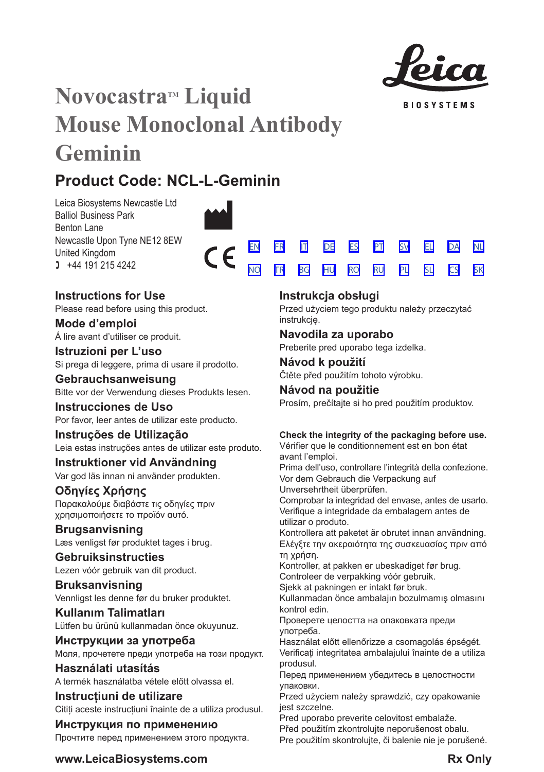

**BIOSYSTEMS** 

[SV](#page-25-0) [EL](#page-29-0) [DA](#page-33-0) [PL](#page-63-0) [SL](#page-67-0) [CS](#page-70-0)

[NL](#page-37-0)

[SK](#page-73-0)

# **Novocastra™ Liquid Mouse Monoclonal Antibody Geminin**

## **Product Code: NCL-L-Geminin**

Leica Biosystems Newcastle Ltd Balliol Business Park Benton Lane Newcastle Upon Tyne NE12 8EW United Kingdom  $1 +44 191 215 4242$ 



### **Instructions for Use**

Please read before using this product.

**Mode d'emploi** Á lire avant d'utiliser ce produit.

**Istruzioni per L'uso** Si prega di leggere, prima di usare il prodotto.

**Gebrauchsanweisung** Bitte vor der Verwendung dieses Produkts lesen.

**Instrucciones de Uso** Por favor, leer antes de utilizar este producto.

## **Instruções de Utilização**

Leia estas instruções antes de utilizar este produto.

## **Instruktioner vid Användning**

Var god läs innan ni använder produkten.

## **Οδηγίες Χρήσης**

Παρακαλούμε διαβάστε τις οδηγίες πριν χρησιμοποιήσετε το προϊόν αυτό.

### **Brugsanvisning**

Læs venligst før produktet tages i brug.

### **Gebruiksinstructies**

Lezen vóór gebruik van dit product.

### **Bruksanvisning** Vennligst les denne før du bruker produktet.

**Kullanım Talimatları** Lütfen bu ürünü kullanmadan önce okuyunuz.

**Инструкции за употреба** Моля, прочетете преди употреба на този продукт.

**Használati utasítás** A termék használatba vétele előtt olvassa el.

**Instrucțiuni de utilizare** Cititi aceste instructiuni înainte de a utiliza produsul.

### **Инструкция по применению** Прочтите перед применением этого продукта.

### **Instrukcja obsługi**

<u>[NO](#page-41-0) [TR](#page-44-0) [BG](#page-47-0) [HU](#page-51-0) [RO](#page-55-0) [RU](#page-59-0)</u>

Przed użyciem tego produktu należy przeczytać instrukcję.

### **Navodila za uporabo**

Preberite pred uporabo tega izdelka.

### **Návod k použití** Čtěte před použitím tohoto výrobku.

### **Návod na použitie**

Prosím, prečítajte si ho pred použitím produktov.

### **Check the integrity of the packaging before use.**

Vérifier que le conditionnement est en bon état avant l'emploi.

Prima dell'uso, controllare l'integrità della confezione. Vor dem Gebrauch die Verpackung auf

Unversehrtheit überprüfen.

Comprobar la integridad del envase, antes de usarlo. Verifique a integridade da embalagem antes de utilizar o produto.

Kontrollera att paketet är obrutet innan användning. Ελέγξτε την ακεραιότητα της συσκευασίας πριν από τη χρήση.

Kontroller, at pakken er ubeskadiget før brug. Controleer de verpakking vóór gebruik.

Sjekk at pakningen er intakt før bruk.

Kullanmadan önce ambalajın bozulmamış olmasını kontrol edin.

Проверете целостта на опаковката преди употреба.

Használat előtt ellenőrizze a csomagolás épségét. Verificați integritatea ambalajului înainte de a utiliza produsul.

Перед применением убедитесь в целостности упаковки.

Przed użyciem należy sprawdzić, czy opakowanie jest szczelne.

Pred uporabo preverite celovitost embalaže.

Před použitím zkontrolujte neporušenost obalu. Pre použitím skontrolujte, či balenie nie je porušené.

### **www.LeicaBiosystems.com Rx Only**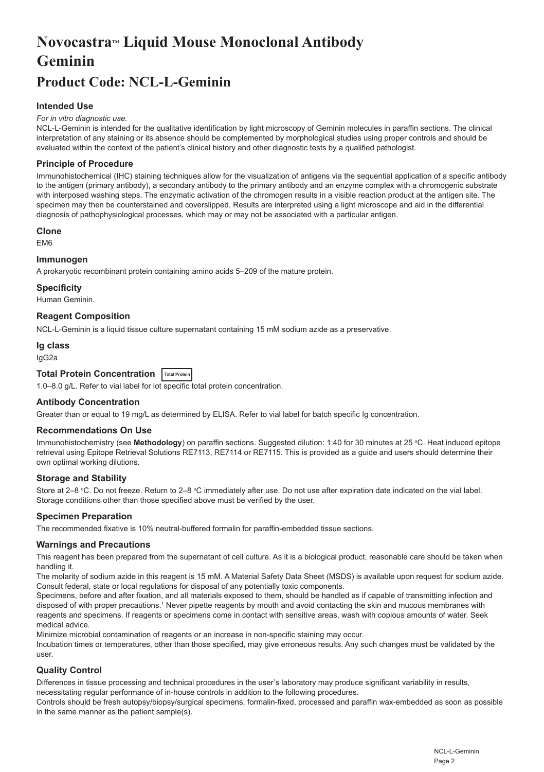## <span id="page-2-0"></span>**NovocastraTM Liquid Mouse Monoclonal Antibody Geminin**

## **Product Code: NCL-L-Geminin**

#### **Intended Use**

#### *For in vitro diagnostic use.*

NCL-L-Geminin is intended for the qualitative identification by light microscopy of Geminin molecules in paraffin sections. The clinical interpretation of any staining or its absence should be complemented by morphological studies using proper controls and should be evaluated within the context of the patient's clinical history and other diagnostic tests by a qualified pathologist.

#### **Principle of Procedure**

Immunohistochemical (IHC) staining techniques allow for the visualization of antigens via the sequential application of a specific antibody to the antigen (primary antibody), a secondary antibody to the primary antibody and an enzyme complex with a chromogenic substrate with interposed washing steps. The enzymatic activation of the chromogen results in a visible reaction product at the antigen site. The specimen may then be counterstained and coverslipped. Results are interpreted using a light microscope and aid in the differential diagnosis of pathophysiological processes, which may or may not be associated with a particular antigen.

#### **Clone**

**EM6** 

#### **Immunogen**

A prokaryotic recombinant protein containing amino acids 5–209 of the mature protein.

#### **Specificity**

Human Geminin.

#### **Reagent Composition**

NCL-L-Geminin is a liquid tissue culture supernatant containing 15 mM sodium azide as a preservative.

#### **Ig class**

IgG2a

### **Total Protein Concentration Total Protein**

1.0–8.0 g/L. Refer to vial label for lot specific total protein concentration.

#### **Antibody Concentration**

Greater than or equal to 19 mg/L as determined by ELISA. Refer to vial label for batch specific Ig concentration.

#### **Recommendations On Use**

lmmunohistochemistry (see **Methodology**) on paraffin sections. Suggested dilution: 1:40 for 30 minutes at 25 °C. Heat induced epitope retrieval using Epitope Retrieval Solutions RE7113, RE7114 or RE7115. This is provided as a guide and users should determine their own optimal working dilutions.

#### **Storage and Stability**

Store at 2–8 ℃. Do not freeze. Return to 2–8 ℃ immediately after use. Do not use after expiration date indicated on the vial label. Storage conditions other than those specified above must be verified by the user.

#### **Specimen Preparation**

The recommended fixative is 10% neutral-buffered formalin for paraffin-embedded tissue sections.

#### **Warnings and Precautions**

This reagent has been prepared from the supernatant of cell culture. As it is a biological product, reasonable care should be taken when handling it.

The molarity of sodium azide in this reagent is 15 mM. A Material Safety Data Sheet (MSDS) is available upon request for sodium azide. Consult federal, state or local regulations for disposal of any potentially toxic components.

Specimens, before and after fixation, and all materials exposed to them, should be handled as if capable of transmitting infection and disposed of with proper precautions.1 Never pipette reagents by mouth and avoid contacting the skin and mucous membranes with reagents and specimens. If reagents or specimens come in contact with sensitive areas, wash with copious amounts of water. Seek medical advice.

Minimize microbial contamination of reagents or an increase in non-specific staining may occur.

Incubation times or temperatures, other than those specified, may give erroneous results. Any such changes must be validated by the user.

#### **Quality Control**

Differences in tissue processing and technical procedures in the user's laboratory may produce significant variability in results, necessitating regular performance of in-house controls in addition to the following procedures.

Controls should be fresh autopsy/biopsy/surgical specimens, formalin-fixed, processed and paraffin wax-embedded as soon as possible in the same manner as the patient sample(s).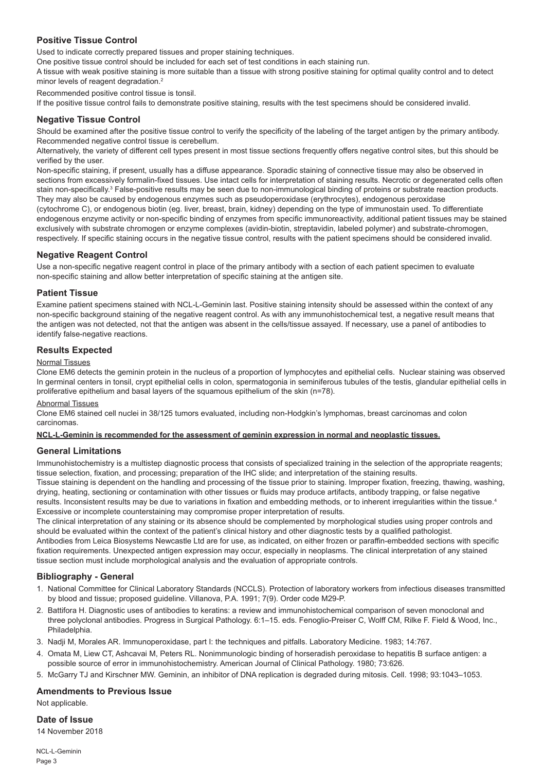#### **Positive Tissue Control**

Used to indicate correctly prepared tissues and proper staining techniques.

One positive tissue control should be included for each set of test conditions in each staining run.

A tissue with weak positive staining is more suitable than a tissue with strong positive staining for optimal quality control and to detect minor levels of reagent degradation.<sup>2</sup>

Recommended positive control tissue is tonsil.

If the positive tissue control fails to demonstrate positive staining, results with the test specimens should be considered invalid.

#### **Negative Tissue Control**

Should be examined after the positive tissue control to verify the specificity of the labeling of the target antigen by the primary antibody. Recommended negative control tissue is cerebellum.

Alternatively, the variety of different cell types present in most tissue sections frequently offers negative control sites, but this should be verified by the user.

Non-specific staining, if present, usually has a diffuse appearance. Sporadic staining of connective tissue may also be observed in sections from excessively formalin-fixed tissues. Use intact cells for interpretation of staining results. Necrotic or degenerated cells often stain non-specifically.<sup>3</sup> False-positive results may be seen due to non-immunological binding of proteins or substrate reaction products. They may also be caused by endogenous enzymes such as pseudoperoxidase (erythrocytes), endogenous peroxidase (cytochrome C), or endogenous biotin (eg. liver, breast, brain, kidney) depending on the type of immunostain used. To differentiate endogenous enzyme activity or non-specific binding of enzymes from specific immunoreactivity, additional patient tissues may be stained exclusively with substrate chromogen or enzyme complexes (avidin-biotin, streptavidin, labeled polymer) and substrate-chromogen, respectively. If specific staining occurs in the negative tissue control, results with the patient specimens should be considered invalid.

#### **Negative Reagent Control**

Use a non-specific negative reagent control in place of the primary antibody with a section of each patient specimen to evaluate non-specific staining and allow better interpretation of specific staining at the antigen site.

#### **Patient Tissue**

Examine patient specimens stained with NCL-L-Geminin last. Positive staining intensity should be assessed within the context of any non-specific background staining of the negative reagent control. As with any immunohistochemical test, a negative result means that the antigen was not detected, not that the antigen was absent in the cells/tissue assayed. If necessary, use a panel of antibodies to identify false-negative reactions.

#### **Results Expected**

#### Normal Tissues

Clone EM6 detects the geminin protein in the nucleus of a proportion of lymphocytes and epithelial cells. Nuclear staining was observed In germinal centers in tonsil, crypt epithelial cells in colon, spermatogonia in seminiferous tubules of the testis, glandular epithelial cells in proliferative epithelium and basal layers of the squamous epithelium of the skin (n=78).

#### Abnormal Tissues

Clone EM6 stained cell nuclei in 38/125 tumors evaluated, including non-Hodgkin's lymphomas, breast carcinomas and colon carcinomas.

#### **NCL-L-Geminin is recommended for the assessment of geminin expression in normal and neoplastic tissues.**

#### **General Limitations**

Immunohistochemistry is a multistep diagnostic process that consists of specialized training in the selection of the appropriate reagents; tissue selection, fixation, and processing; preparation of the IHC slide; and interpretation of the staining results.

Tissue staining is dependent on the handling and processing of the tissue prior to staining. Improper fixation, freezing, thawing, washing, drying, heating, sectioning or contamination with other tissues or fluids may produce artifacts, antibody trapping, or false negative results. Inconsistent results may be due to variations in fixation and embedding methods, or to inherent irregularities within the tissue.4 Excessive or incomplete counterstaining may compromise proper interpretation of results.

The clinical interpretation of any staining or its absence should be complemented by morphological studies using proper controls and should be evaluated within the context of the patient's clinical history and other diagnostic tests by a qualified pathologist. Antibodies from Leica Biosystems Newcastle Ltd are for use, as indicated, on either frozen or paraffin-embedded sections with specific fixation requirements. Unexpected antigen expression may occur, especially in neoplasms. The clinical interpretation of any stained tissue section must include morphological analysis and the evaluation of appropriate controls.

#### **Bibliography - General**

- 1. National Committee for Clinical Laboratory Standards (NCCLS). Protection of laboratory workers from infectious diseases transmitted by blood and tissue; proposed guideline. Villanova, P.A. 1991; 7(9). Order code M29-P.
- 2. Battifora H. Diagnostic uses of antibodies to keratins: a review and immunohistochemical comparison of seven monoclonal and three polyclonal antibodies. Progress in Surgical Pathology. 6:1–15. eds. Fenoglio-Preiser C, Wolff CM, Rilke F. Field & Wood, Inc., **Philadelphia**
- 3. Nadji M, Morales AR. Immunoperoxidase, part I: the techniques and pitfalls. Laboratory Medicine. 1983; 14:767.
- 4. Omata M, Liew CT, Ashcavai M, Peters RL. Nonimmunologic binding of horseradish peroxidase to hepatitis B surface antigen: a possible source of error in immunohistochemistry. American Journal of Clinical Pathology. 1980; 73:626.
- 5. McGarry TJ and Kirschner MW. Geminin, an inhibitor of DNA replication is degraded during mitosis. Cell. 1998; 93:1043–1053.

#### **Amendments to Previous Issue**

Not applicable.

#### **Date of Issue**

14 November 2018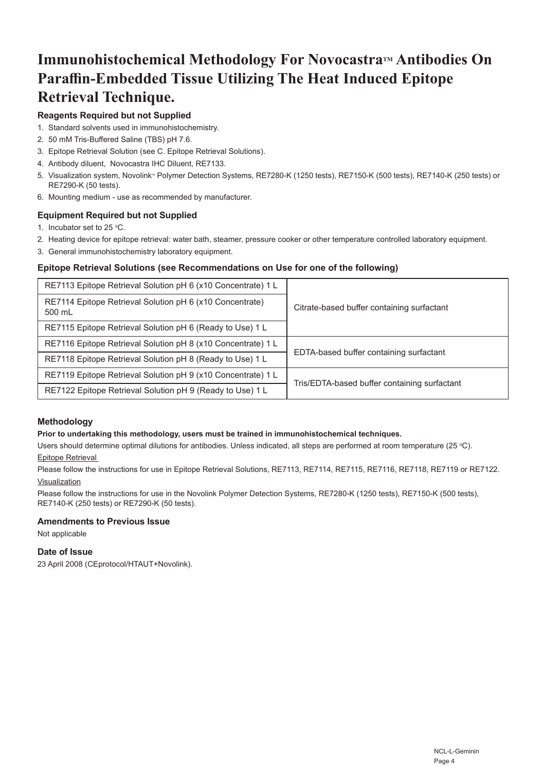## **Immunohistochemical Methodology For Novocastra™ Antibodies On Paraffin-Embedded Tissue Utilizing The Heat Induced Epitope Retrieval Technique.**

### **Reagents Required but not Supplied**

- 1. Standard solvents used in immunohistochemistry.
- 2. 50 mM Tris-Buffered Saline (TBS) pH 7.6.
- 3. Epitope Retrieval Solution (see C. Epitope Retrieval Solutions).
- 4. Antibody diluent, Novocastra IHC Diluent, RE7133.
- 5. Visualization system, Novolink® Polymer Detection Systems, RE7280-K (1250 tests), RE7150-K (500 tests), RE7140-K (250 tests) or RE7290-K (50 tests).
- 6. Mounting medium use as recommended by manufacturer.

#### **Equipment Required but not Supplied**

- 1. Incubator set to  $25 \text{ °C}$ .
- 2. Heating device for epitope retrieval: water bath, steamer, pressure cooker or other temperature controlled laboratory equipment.
- 3. General immunohistochemistry laboratory equipment.

#### **Epitope Retrieval Solutions (see Recommendations on Use for one of the following)**

| RE7113 Epitope Retrieval Solution pH 6 (x10 Concentrate) 1 L       | Citrate-based buffer containing surfactant   |
|--------------------------------------------------------------------|----------------------------------------------|
| RE7114 Epitope Retrieval Solution pH 6 (x10 Concentrate)<br>500 mL |                                              |
| RE7115 Epitope Retrieval Solution pH 6 (Ready to Use) 1 L          |                                              |
| RE7116 Epitope Retrieval Solution pH 8 (x10 Concentrate) 1 L       | EDTA-based buffer containing surfactant      |
| RE7118 Epitope Retrieval Solution pH 8 (Ready to Use) 1 L          |                                              |
| RE7119 Epitope Retrieval Solution pH 9 (x10 Concentrate) 1 L       | Tris/EDTA-based buffer containing surfactant |
| RE7122 Epitope Retrieval Solution pH 9 (Ready to Use) 1 L          |                                              |

#### **Methodology**

#### **Prior to undertaking this methodology, users must be trained in immunohistochemical techniques.**

Users should determine optimal dilutions for antibodies. Unless indicated, all steps are performed at room temperature (25 °C).

#### Epitope Retrieval

Please follow the instructions for use in Epitope Retrieval Solutions, RE7113, RE7114, RE7115, RE7116, RE7118, RE7119 or RE7122. Visualization

Please follow the instructions for use in the Novolink Polymer Detection Systems, RE7280-K (1250 tests), RE7150-K (500 tests), RE7140-K (250 tests) or RE7290-K (50 tests).

#### **Amendments to Previous Issue**

Not applicable

#### **Date of Issue**

23 April 2008 (CEprotocol/HTAUT+Novolink).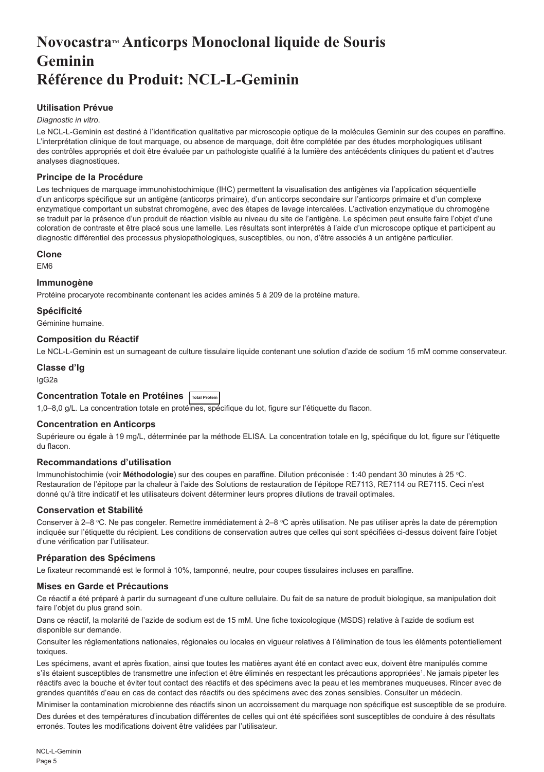## <span id="page-5-0"></span>**NovocastraTM Anticorps Monoclonal liquide de Souris Geminin Référence du Produit: NCL-L-Geminin**

#### **Utilisation Prévue**

#### *Diagnostic in vitro*.

Le NCL-L-Geminin est destiné à l'identification qualitative par microscopie optique de la molécules Geminin sur des coupes en paraffine. L'interprétation clinique de tout marquage, ou absence de marquage, doit être complétée par des études morphologiques utilisant des contrôles appropriés et doit être évaluée par un pathologiste qualifié à la lumière des antécédents cliniques du patient et d'autres analyses diagnostiques.

#### **Principe de la Procédure**

Les techniques de marquage immunohistochimique (IHC) permettent la visualisation des antigènes via l'application séquentielle d'un anticorps spécifique sur un antigène (anticorps primaire), d'un anticorps secondaire sur l'anticorps primaire et d'un complexe enzymatique comportant un substrat chromogène, avec des étapes de lavage intercalées. L'activation enzymatique du chromogène se traduit par la présence d'un produit de réaction visible au niveau du site de l'antigène. Le spécimen peut ensuite faire l'objet d'une coloration de contraste et être placé sous une lamelle. Les résultats sont interprétés à l'aide d'un microscope optique et participent au diagnostic différentiel des processus physiopathologiques, susceptibles, ou non, d'être associés à un antigène particulier.

#### **Clone**

EM6

#### **Immunogène**

Protéine procaryote recombinante contenant les acides aminés 5 à 209 de la protéine mature.

#### **Spécificité**

Géminine humaine.

#### **Composition du Réactif**

Le NCL-L-Geminin est un surnageant de culture tissulaire liquide contenant une solution d'azide de sodium 15 mM comme conservateur.

#### **Classe d'Ig**

IgG2a

#### **Concentration Totale en Protéines Total Protein**

1,0–8,0 g/L. La concentration totale en protéines, spécifique du lot, figure sur l'étiquette du flacon.

#### **Concentration en Anticorps**

Supérieure ou égale à 19 mg/L, déterminée par la méthode ELISA. La concentration totale en Ig, spécifique du lot, figure sur l'étiquette du flacon.

#### **Recommandations d'utilisation**

Immunohistochimie (voir **Méthodologie**) sur des coupes en paraffine. Dilution préconisée : 1:40 pendant 30 minutes à 25 °C. Restauration de l'épitope par la chaleur à l'aide des Solutions de restauration de l'épitope RE7113, RE7114 ou RE7115. Ceci n'est donné qu'à titre indicatif et les utilisateurs doivent déterminer leurs propres dilutions de travail optimales.

#### **Conservation et Stabilité**

Conserver à 2–8 °C. Ne pas congeler. Remettre immédiatement à 2–8 °C après utilisation. Ne pas utiliser après la date de péremption indiquée sur l'étiquette du récipient. Les conditions de conservation autres que celles qui sont spécifiées ci-dessus doivent faire l'objet d'une vérification par l'utilisateur.

#### **Préparation des Spécimens**

Le fixateur recommandé est le formol à 10%, tamponné, neutre, pour coupes tissulaires incluses en paraffine.

#### **Mises en Garde et Précautions**

Ce réactif a été préparé à partir du surnageant d'une culture cellulaire. Du fait de sa nature de produit biologique, sa manipulation doit faire l'objet du plus grand soin.

Dans ce réactif, la molarité de l'azide de sodium est de 15 mM. Une fiche toxicologique (MSDS) relative à l'azide de sodium est disponible sur demande.

Consulter les réglementations nationales, régionales ou locales en vigueur relatives à l'élimination de tous les éléments potentiellement toxiques.

Les spécimens, avant et après fixation, ainsi que toutes les matières ayant été en contact avec eux, doivent être manipulés comme s'ils étaient susceptibles de transmettre une infection et être éliminés en respectant les précautions appropriées<sup>1</sup>. Ne jamais pipeter les réactifs avec la bouche et éviter tout contact des réactifs et des spécimens avec la peau et les membranes muqueuses. Rincer avec de grandes quantités d'eau en cas de contact des réactifs ou des spécimens avec des zones sensibles. Consulter un médecin.

Minimiser la contamination microbienne des réactifs sinon un accroissement du marquage non spécifique est susceptible de se produire.

Des durées et des températures d'incubation différentes de celles qui ont été spécifiées sont susceptibles de conduire à des résultats erronés. Toutes les modifications doivent être validées par l'utilisateur.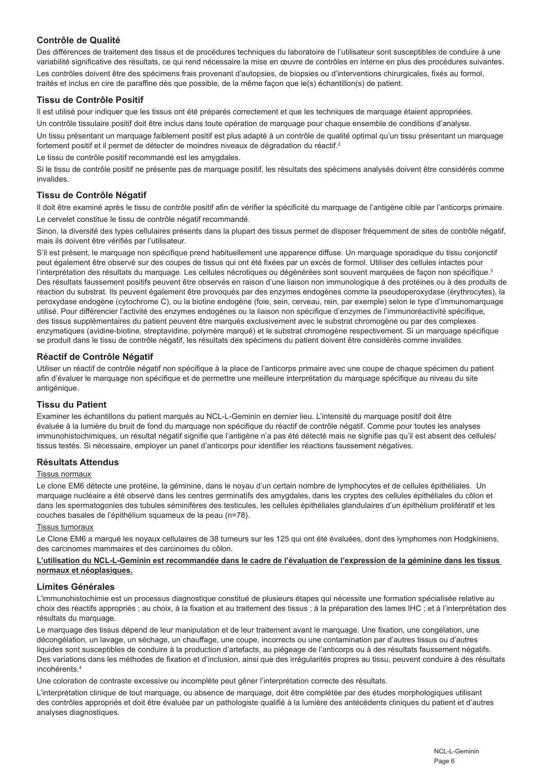#### **Contrôle de Qualité**

Des différences de traitement des tissus et de procédures techniques du laboratoire de l'utilisateur sont susceptibles de conduire à une variabilité significative des résultats, ce qui rend nécessaire la mise en œuvre de contrôles en interne en plus des procédures suivantes. Les contrôles doivent être des spécimens frais provenant d'autopsies, de biopsies ou d'interventions chirurgicales, fixés au formol, traités et inclus en cire de paraffine dès que possible, de la même façon que le(s) échantillon(s) de patient.

#### **Tissu de Contrôle Positif**

Il est utilisé pour indiquer que les tissus ont été préparés correctement et que les techniques de marquage étaient appropriées.

Un contrôle tissulaire positif doit être inclus dans toute opération de marquage pour chaque ensemble de conditions d'analyse.

Un tissu présentant un marquage faiblement positif est plus adapté à un contrôle de qualité optimal qu'un tissu présentant un marquage fortement positif et il permet de détecter de moindres niveaux de dégradation du réactif.<sup>2</sup>

Le tissu de contrôle positif recommandé est les amygdales.

Si le tissu de contrôle positif ne présente pas de marquage positif, les résultats des spécimens analysés doivent être considérés comme invalides.

#### **Tissu de Contrôle Négatif**

Il doit être examiné après le tissu de contrôle positif afin de vérifier la spécificité du marquage de l'antigène cible par l'anticorps primaire. Le cervelet constitue le tissu de contrôle négatif recommandé.

Sinon, la diversité des types cellulaires présents dans la plupart des tissus permet de disposer fréquemment de sites de contrôle négatif, mais ils doivent être vérifiés par l'utilisateur.

S'il est présent, le marquage non spécifique prend habituellement une apparence diffuse. Un marquage sporadique du tissu conjonctif peut également être observé sur des coupes de tissus qui ont été fixées par un excès de formol. Utiliser des cellules intactes pour l'interprétation des résultats du marquage. Les cellules nécrotiques ou dégénérées sont souvent marquées de façon non spécifique.<sup>3</sup> Des résultats faussement positifs peuvent être observés en raison d'une liaison non immunologique à des protéines ou à des produits de réaction du substrat. Ils peuvent également être provoqués par des enzymes endogènes comme la pseudoperoxydase (érythrocytes), la peroxydase endogène (cytochrome C), ou la biotine endogène (foie, sein, cerveau, rein, par exemple) selon le type d'immunomarquage utilisé. Pour différencier l'activité des enzymes endogènes ou la liaison non spécifique d'enzymes de l'immunoréactivité spécifique, des tissus supplémentaires du patient peuvent être marqués exclusivement avec le substrat chromogène ou par des complexes enzymatiques (avidine-biotine, streptavidine, polymère marqué) et le substrat chromogène respectivement. Si un marquage spécifique se produit dans le tissu de contrôle négatif, les résultats des spécimens du patient doivent être considérés comme invalides.

#### **Réactif de Contrôle Négatif**

Utiliser un réactif de contrôle négatif non spécifique à la place de l'anticorps primaire avec une coupe de chaque spécimen du patient afin d'évaluer le marquage non spécifique et de permettre une meilleure interprétation du marquage spécifique au niveau du site antigénique.

#### **Tissu du Patient**

Examiner les échantillons du patient marqués au NCL-L-Geminin en dernier lieu. L'intensité du marquage positif doit être évaluée à la lumière du bruit de fond du marquage non spécifique du réactif de contrôle négatif. Comme pour toutes les analyses immunohistochimiques, un résultat négatif signifie que l'antigène n'a pas été détecté mais ne signifie pas qu'il est absent des cellules/ tissus testés. Si nécessaire, employer un panel d'anticorps pour identifier les réactions faussement négatives.

#### **Résultats Attendus**

#### Tissus normaux

Le clone EM6 détecte une protéine, la géminine, dans le noyau d'un certain nombre de lymphocytes et de cellules épithéliales. Un marquage nucléaire a été observé dans les centres germinatifs des amygdales, dans les cryptes des cellules épithéliales du côlon et dans les spermatogonies des tubules séminifères des testicules, les cellules épithéliales glandulaires d'un épithélium prolifératif et les couches basales de l'épithélium squameux de la peau (n=78).

#### Tissus tumoraux

Le Clone EM6 a marqué les noyaux cellulaires de 38 tumeurs sur les 125 qui ont été évaluées, dont des lymphomes non Hodgkiniens, des carcinomes mammaires et des carcinomes du côlon.

#### **L'utilisation du NCL-L-Geminin est recommandée dans le cadre de l'évaluation de l'expression de la géminine dans les tissus normaux et néoplasiques.**

#### **Limites Générales**

L'immunohistochimie est un processus diagnostique constitué de plusieurs étapes qui nécessite une formation spécialisée relative au choix des réactifs appropriés ; au choix, à la fixation et au traitement des tissus ; à la préparation des lames IHC ; et à l'interprétation des résultats du marquage.

Le marquage des tissus dépend de leur manipulation et de leur traitement avant le marquage. Une fixation, une congélation, une décongélation, un lavage, un séchage, un chauffage, une coupe, incorrects ou une contamination par d'autres tissus ou d'autres liquides sont susceptibles de conduire à la production d'artefacts, au piégeage de l'anticorps ou à des résultats faussement négatifs. Des variations dans les méthodes de fixation et d'inclusion, ainsi que des irrégularités propres au tissu, peuvent conduire à des résultats incohérents.4

Une coloration de contraste excessive ou incomplète peut gêner l'interprétation correcte des résultats.

L'interprétation clinique de tout marquage, ou absence de marquage, doit être complétée par des études morphologiques utilisant des contrôles appropriés et doit être évaluée par un pathologiste qualifié à la lumière des antécédents cliniques du patient et d'autres analyses diagnostiques.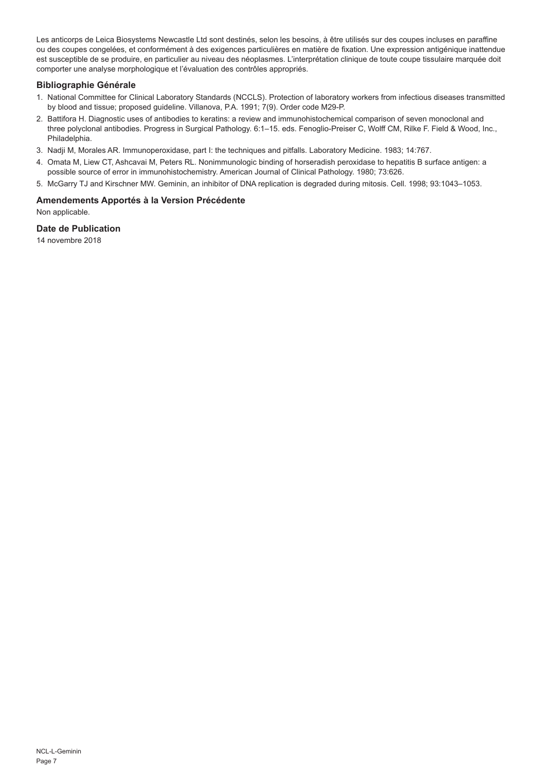Les anticorps de Leica Biosystems Newcastle Ltd sont destinés, selon les besoins, à être utilisés sur des coupes incluses en paraffine ou des coupes congelées, et conformément à des exigences particulières en matière de fixation. Une expression antigénique inattendue est susceptible de se produire, en particulier au niveau des néoplasmes. L'interprétation clinique de toute coupe tissulaire marquée doit comporter une analyse morphologique et l'évaluation des contrôles appropriés.

#### **Bibliographie Générale**

- 1. National Committee for Clinical Laboratory Standards (NCCLS). Protection of laboratory workers from infectious diseases transmitted by blood and tissue; proposed guideline. Villanova, P.A. 1991; 7(9). Order code M29-P.
- 2. Battifora H. Diagnostic uses of antibodies to keratins: a review and immunohistochemical comparison of seven monoclonal and three polyclonal antibodies. Progress in Surgical Pathology. 6:1–15. eds. Fenoglio-Preiser C, Wolff CM, Rilke F. Field & Wood, Inc., Philadelphia.
- 3. Nadji M, Morales AR. Immunoperoxidase, part I: the techniques and pitfalls. Laboratory Medicine. 1983; 14:767.
- 4. Omata M, Liew CT, Ashcavai M, Peters RL. Nonimmunologic binding of horseradish peroxidase to hepatitis B surface antigen: a possible source of error in immunohistochemistry. American Journal of Clinical Pathology. 1980; 73:626.
- 5. McGarry TJ and Kirschner MW. Geminin, an inhibitor of DNA replication is degraded during mitosis. Cell. 1998; 93:1043–1053.

#### **Amendements Apportés à la Version Précédente**

Non applicable.

#### **Date de Publication**

14 novembre 2018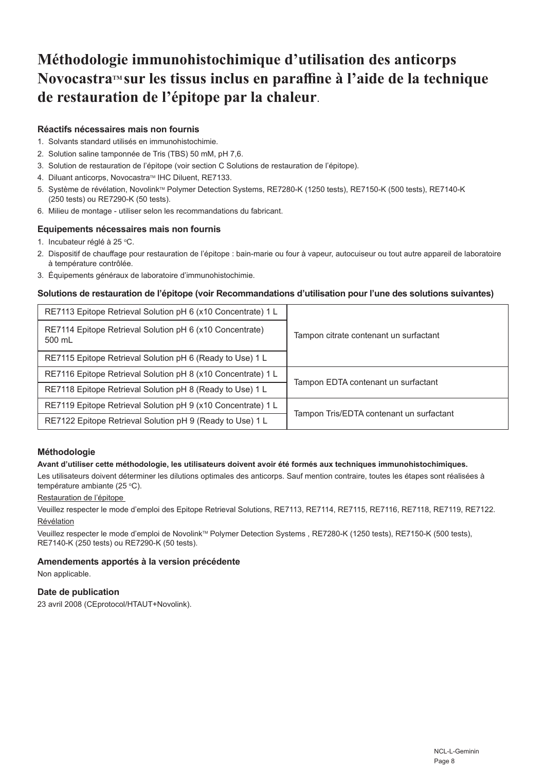## **Méthodologie immunohistochimique d'utilisation des anticorps NovocastraTM sur les tissus inclus en paraffine à l'aide de la technique de restauration de l'épitope par la chaleur**.

#### **Réactifs nécessaires mais non fournis**

- 1. Solvants standard utilisés en immunohistochimie.
- 2. Solution saline tamponnée de Tris (TBS) 50 mM, pH 7,6.
- 3. Solution de restauration de l'épitope (voir section C Solutions de restauration de l'épitope).
- 4. Diluant anticorps, Novocastra™ IHC Diluent, RE7133.
- 5. Système de révélation, Novolink™ Polymer Detection Systems, RE7280-K (1250 tests), RE7150-K (500 tests), RE7140-K (250 tests) ou RE7290-K (50 tests).
- 6. Milieu de montage utiliser selon les recommandations du fabricant.

#### **Equipements nécessaires mais non fournis**

- 1. Incubateur réglé à 25 °C.
- 2. Dispositif de chauffage pour restauration de l'épitope : bain-marie ou four à vapeur, autocuiseur ou tout autre appareil de laboratoire à température contrôlée.
- 3. Équipements généraux de laboratoire d'immunohistochimie.

#### **Solutions de restauration de l'épitope (voir Recommandations d'utilisation pour l'une des solutions suivantes)**

| RE7113 Epitope Retrieval Solution pH 6 (x10 Concentrate) 1 L       | Tampon citrate contenant un surfactant   |
|--------------------------------------------------------------------|------------------------------------------|
| RE7114 Epitope Retrieval Solution pH 6 (x10 Concentrate)<br>500 mL |                                          |
| RE7115 Epitope Retrieval Solution pH 6 (Ready to Use) 1 L          |                                          |
| RE7116 Epitope Retrieval Solution pH 8 (x10 Concentrate) 1 L       | Tampon EDTA contenant un surfactant      |
| RE7118 Epitope Retrieval Solution pH 8 (Ready to Use) 1 L          |                                          |
| RE7119 Epitope Retrieval Solution pH 9 (x10 Concentrate) 1 L       | Tampon Tris/EDTA contenant un surfactant |
| RE7122 Epitope Retrieval Solution pH 9 (Ready to Use) 1 L          |                                          |

#### **Méthodologie**

#### **Avant d'utiliser cette méthodologie, les utilisateurs doivent avoir été formés aux techniques immunohistochimiques.**

Les utilisateurs doivent déterminer les dilutions optimales des anticorps. Sauf mention contraire, toutes les étapes sont réalisées à température ambiante (25 °C).

#### Restauration de l'épitope

Veuillez respecter le mode d'emploi des Epitope Retrieval Solutions, RE7113, RE7114, RE7115, RE7116, RE7118, RE7119, RE7122. Révélation

Veuillez respecter le mode d'emploi de Novolink™ Polymer Detection Systems , RE7280-K (1250 tests), RE7150-K (500 tests), RE7140-K (250 tests) ou RE7290-K (50 tests).

#### **Amendements apportés à la version précédente**

Non applicable.

#### **Date de publication**

23 avril 2008 (CEprotocol/HTAUT+Novolink).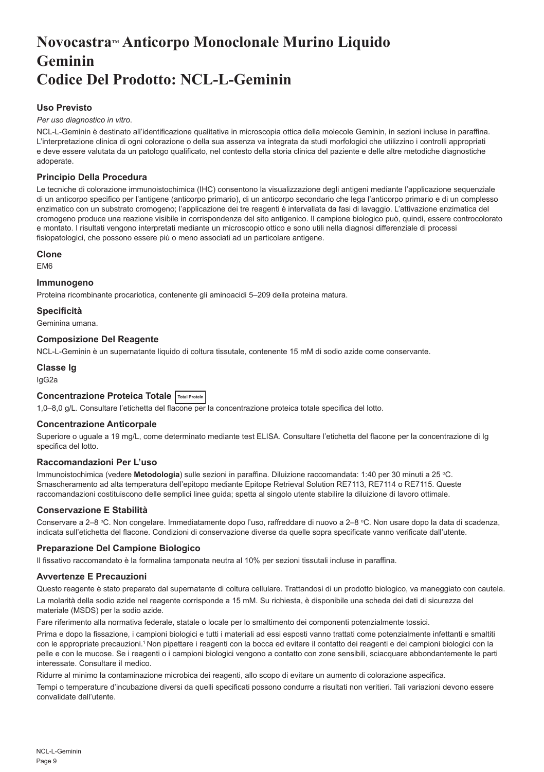## <span id="page-9-0"></span>**NovocastraTM Anticorpo Monoclonale Murino Liquido Geminin Codice Del Prodotto: NCL-L-Geminin**

#### **Uso Previsto**

#### *Per uso diagnostico in vitro*.

NCL-L-Geminin è destinato all'identificazione qualitativa in microscopia ottica della molecole Geminin, in sezioni incluse in paraffina. L'interpretazione clinica di ogni colorazione o della sua assenza va integrata da studi morfologici che utilizzino i controlli appropriati e deve essere valutata da un patologo qualificato, nel contesto della storia clinica del paziente e delle altre metodiche diagnostiche adoperate.

#### **Principio Della Procedura**

Le tecniche di colorazione immunoistochimica (IHC) consentono la visualizzazione degli antigeni mediante l'applicazione sequenziale di un anticorpo specifico per l'antigene (anticorpo primario), di un anticorpo secondario che lega l'anticorpo primario e di un complesso enzimatico con un substrato cromogeno; l'applicazione dei tre reagenti è intervallata da fasi di lavaggio. L'attivazione enzimatica del cromogeno produce una reazione visibile in corrispondenza del sito antigenico. Il campione biologico può, quindi, essere controcolorato e montato. I risultati vengono interpretati mediante un microscopio ottico e sono utili nella diagnosi differenziale di processi fisiopatologici, che possono essere più o meno associati ad un particolare antigene.

#### **Clone**

EM6

#### **Immunogeno**

Proteina ricombinante procariotica, contenente gli aminoacidi 5–209 della proteina matura.

#### **Specificità**

Geminina umana.

#### **Composizione Del Reagente**

NCL-L-Geminin è un supernatante liquido di coltura tissutale, contenente 15 mM di sodio azide come conservante.

### **Classe Ig**

IgG2a

#### **Concentrazione Proteica Totale Total Protein**

1,0–8,0 g/L. Consultare l'etichetta del flacone per la concentrazione proteica totale specifica del lotto.

#### **Concentrazione Anticorpale**

Superiore o uguale a 19 mg/L, come determinato mediante test ELISA. Consultare l'etichetta del flacone per la concentrazione di Ig specifica del lotto.

#### **Raccomandazioni Per L'uso**

Immunoistochimica (vedere **Metodologia**) sulle sezioni in paraffina. Diluizione raccomandata: 1:40 per 30 minuti a 25 °C. Smascheramento ad alta temperatura dell'epitopo mediante Epitope Retrieval Solution RE7113, RE7114 o RE7115. Queste raccomandazioni costituiscono delle semplici linee guida; spetta al singolo utente stabilire la diluizione di lavoro ottimale.

#### **Conservazione E Stabilità**

Conservare a 2–8 °C. Non congelare. Immediatamente dopo l'uso, raffreddare di nuovo a 2–8 °C. Non usare dopo la data di scadenza, indicata sull'etichetta del flacone. Condizioni di conservazione diverse da quelle sopra specificate vanno verificate dall'utente.

#### **Preparazione Del Campione Biologico**

Il fissativo raccomandato è la formalina tamponata neutra al 10% per sezioni tissutali incluse in paraffina.

#### **Avvertenze E Precauzioni**

Questo reagente è stato preparato dal supernatante di coltura cellulare. Trattandosi di un prodotto biologico, va maneggiato con cautela. La molarità della sodio azide nel reagente corrisponde a 15 mM. Su richiesta, è disponibile una scheda dei dati di sicurezza del materiale (MSDS) per la sodio azide.

Fare riferimento alla normativa federale, statale o locale per lo smaltimento dei componenti potenzialmente tossici.

Prima e dopo la fissazione, i campioni biologici e tutti i materiali ad essi esposti vanno trattati come potenzialmente infettanti e smaltiti con le appropriate precauzioni.<sup>1</sup> Non pipettare i reagenti con la bocca ed evitare il contatto dei reagenti e dei campioni biologici con la pelle e con le mucose. Se i reagenti o i campioni biologici vengono a contatto con zone sensibili, sciacquare abbondantemente le parti interessate. Consultare il medico.

Ridurre al minimo la contaminazione microbica dei reagenti, allo scopo di evitare un aumento di colorazione aspecifica.

Tempi o temperature d'incubazione diversi da quelli specificati possono condurre a risultati non veritieri. Tali variazioni devono essere convalidate dall'utente.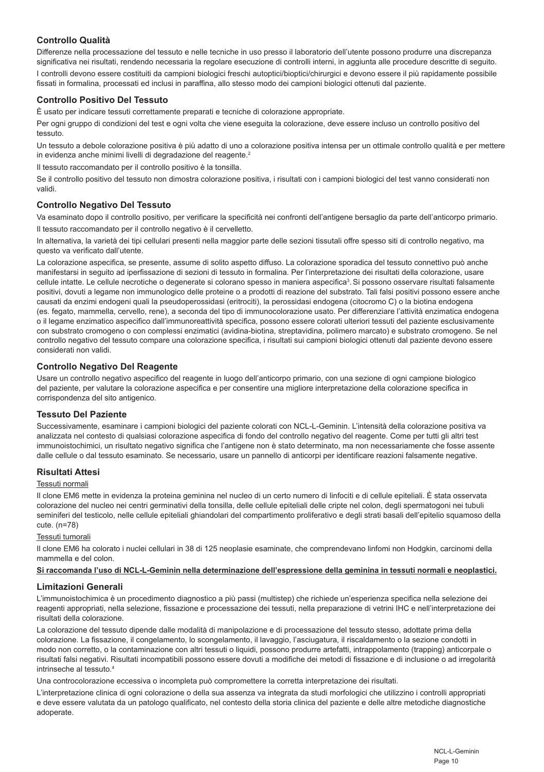#### **Controllo Qualità**

Differenze nella processazione del tessuto e nelle tecniche in uso presso il laboratorio dell'utente possono produrre una discrepanza significativa nei risultati, rendendo necessaria la regolare esecuzione di controlli interni, in aggiunta alle procedure descritte di seguito. I controlli devono essere costituiti da campioni biologici freschi autoptici/bioptici/chirurgici e devono essere il più rapidamente possibile fissati in formalina, processati ed inclusi in paraffina, allo stesso modo dei campioni biologici ottenuti dal paziente.

#### **Controllo Positivo Del Tessuto**

È usato per indicare tessuti correttamente preparati e tecniche di colorazione appropriate.

Per ogni gruppo di condizioni del test e ogni volta che viene eseguita la colorazione, deve essere incluso un controllo positivo del tessuto.

Un tessuto a debole colorazione positiva è più adatto di uno a colorazione positiva intensa per un ottimale controllo qualità e per mettere in evidenza anche minimi livelli di degradazione del reagente.<sup>2</sup>

Il tessuto raccomandato per il controllo positivo è la tonsilla.

Se il controllo positivo del tessuto non dimostra colorazione positiva, i risultati con i campioni biologici del test vanno considerati non validi.

#### **Controllo Negativo Del Tessuto**

Va esaminato dopo il controllo positivo, per verificare la specificità nei confronti dell'antigene bersaglio da parte dell'anticorpo primario. Il tessuto raccomandato per il controllo negativo è il cervelletto.

In alternativa, la varietà dei tipi cellulari presenti nella maggior parte delle sezioni tissutali offre spesso siti di controllo negativo, ma questo va verificato dall'utente.

La colorazione aspecifica, se presente, assume di solito aspetto diffuso. La colorazione sporadica del tessuto connettivo può anche manifestarsi in seguito ad iperfissazione di sezioni di tessuto in formalina. Per l'interpretazione dei risultati della colorazione, usare cellule intatte. Le cellule necrotiche o degenerate si colorano spesso in maniera aspecifica<sup>3</sup>. Si possono osservare risultati falsamente positivi, dovuti a legame non immunologico delle proteine o a prodotti di reazione del substrato. Tali falsi positivi possono essere anche causati da enzimi endogeni quali la pseudoperossidasi (eritrociti), la perossidasi endogena (citocromo C) o la biotina endogena (es. fegato, mammella, cervello, rene), a seconda del tipo di immunocolorazione usato. Per differenziare l'attività enzimatica endogena o il legame enzimatico aspecifico dall'immunoreattività specifica, possono essere colorati ulteriori tessuti del paziente esclusivamente con substrato cromogeno o con complessi enzimatici (avidina-biotina, streptavidina, polimero marcato) e substrato cromogeno. Se nel controllo negativo del tessuto compare una colorazione specifica, i risultati sui campioni biologici ottenuti dal paziente devono essere considerati non validi.

#### **Controllo Negativo Del Reagente**

Usare un controllo negativo aspecifico del reagente in luogo dell'anticorpo primario, con una sezione di ogni campione biologico del paziente, per valutare la colorazione aspecifica e per consentire una migliore interpretazione della colorazione specifica in corrispondenza del sito antigenico.

#### **Tessuto Del Paziente**

Successivamente, esaminare i campioni biologici del paziente colorati con NCL-L-Geminin. L'intensità della colorazione positiva va analizzata nel contesto di qualsiasi colorazione aspecifica di fondo del controllo negativo del reagente. Come per tutti gli altri test immunoistochimici, un risultato negativo significa che l'antigene non è stato determinato, ma non necessariamente che fosse assente dalle cellule o dal tessuto esaminato. Se necessario, usare un pannello di anticorpi per identificare reazioni falsamente negative.

#### **Risultati Attesi**

#### Tessuti normali

Il clone EM6 mette in evidenza la proteina geminina nel nucleo di un certo numero di linfociti e di cellule epiteliali. È stata osservata colorazione del nucleo nei centri germinativi della tonsilla, delle cellule epiteliali delle cripte nel colon, degli spermatogoni nei tubuli seminiferi del testicolo, nelle cellule epiteliali ghiandolari del compartimento proliferativo e degli strati basali dell'epitelio squamoso della cute. (n=78)

#### Tessuti tumorali

Il clone EM6 ha colorato i nuclei cellulari in 38 di 125 neoplasie esaminate, che comprendevano linfomi non Hodgkin, carcinomi della mammella e del colon.

#### **Si raccomanda l'uso di NCL-L-Geminin nella determinazione dell'espressione della geminina in tessuti normali e neoplastici.**

#### **Limitazioni Generali**

L'immunoistochimica è un procedimento diagnostico a più passi (multistep) che richiede un'esperienza specifica nella selezione dei reagenti appropriati, nella selezione, fissazione e processazione dei tessuti, nella preparazione di vetrini IHC e nell'interpretazione dei risultati della colorazione.

La colorazione del tessuto dipende dalle modalità di manipolazione e di processazione del tessuto stesso, adottate prima della colorazione. La fissazione, il congelamento, lo scongelamento, il lavaggio, l'asciugatura, il riscaldamento o la sezione condotti in modo non corretto, o la contaminazione con altri tessuti o liquidi, possono produrre artefatti, intrappolamento (trapping) anticorpale o risultati falsi negativi. Risultati incompatibili possono essere dovuti a modifiche dei metodi di fissazione e di inclusione o ad irregolarità intrinseche al tessuto.4

Una controcolorazione eccessiva o incompleta può compromettere la corretta interpretazione dei risultati.

L'interpretazione clinica di ogni colorazione o della sua assenza va integrata da studi morfologici che utilizzino i controlli appropriati e deve essere valutata da un patologo qualificato, nel contesto della storia clinica del paziente e delle altre metodiche diagnostiche adoperate.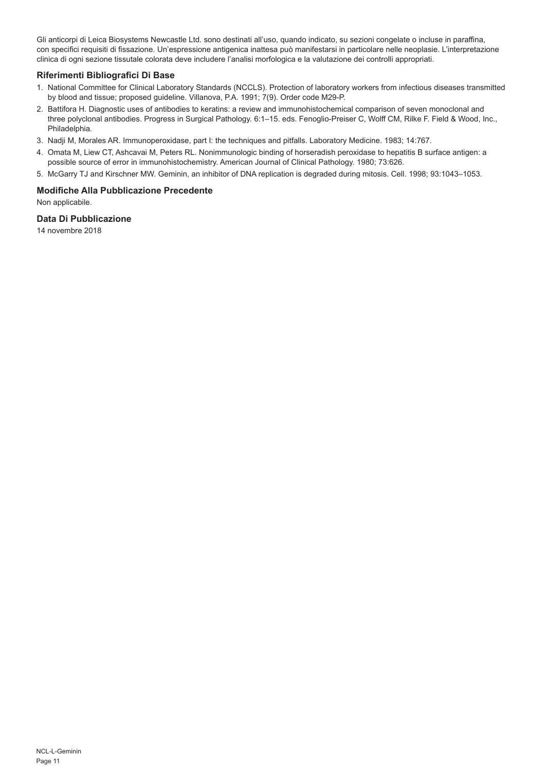Gli anticorpi di Leica Biosystems Newcastle Ltd. sono destinati all'uso, quando indicato, su sezioni congelate o incluse in paraffina, con specifici requisiti di fissazione. Un'espressione antigenica inattesa può manifestarsi in particolare nelle neoplasie. L'interpretazione clinica di ogni sezione tissutale colorata deve includere l'analisi morfologica e la valutazione dei controlli appropriati.

#### **Riferimenti Bibliografici Di Base**

- 1. National Committee for Clinical Laboratory Standards (NCCLS). Protection of laboratory workers from infectious diseases transmitted by blood and tissue; proposed guideline. Villanova, P.A. 1991; 7(9). Order code M29-P.
- 2. Battifora H. Diagnostic uses of antibodies to keratins: a review and immunohistochemical comparison of seven monoclonal and three polyclonal antibodies. Progress in Surgical Pathology. 6:1–15. eds. Fenoglio-Preiser C, Wolff CM, Rilke F. Field & Wood, Inc., Philadelphia.
- 3. Nadji M, Morales AR. Immunoperoxidase, part I: the techniques and pitfalls. Laboratory Medicine. 1983; 14:767.
- 4. Omata M, Liew CT, Ashcavai M, Peters RL. Nonimmunologic binding of horseradish peroxidase to hepatitis B surface antigen: a possible source of error in immunohistochemistry. American Journal of Clinical Pathology. 1980; 73:626.
- 5. McGarry TJ and Kirschner MW. Geminin, an inhibitor of DNA replication is degraded during mitosis. Cell. 1998; 93:1043–1053.

#### **Modifiche Alla Pubblicazione Precedente**

Non applicabile.

#### **Data Di Pubblicazione**

14 novembre 2018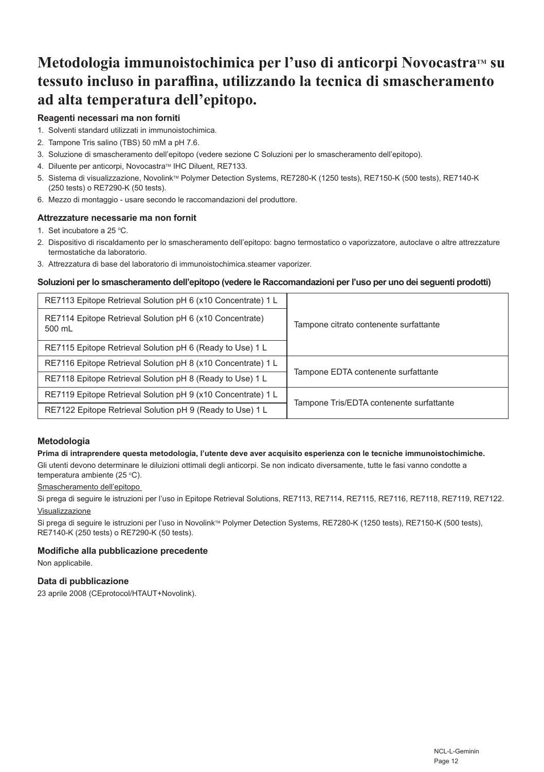## Metodologia immunoistochimica per l'uso di anticorpi Novocastra™ su **tessuto incluso in paraffina, utilizzando la tecnica di smascheramento ad alta temperatura dell'epitopo.**

#### **Reagenti necessari ma non forniti**

- 1. Solventi standard utilizzati in immunoistochimica.
- 2. Tampone Tris salino (TBS) 50 mM a pH 7.6.
- 3. Soluzione di smascheramento dell'epitopo (vedere sezione C Soluzioni per lo smascheramento dell'epitopo).
- 4. Diluente per anticorpi, Novocastra™ IHC Diluent, RE7133.
- 5. Sistema di visualizzazione, Novolink™ Polymer Detection Systems, RE7280-K (1250 tests), RE7150-K (500 tests), RE7140-K (250 tests) o RE7290-K (50 tests).
- 6. Mezzo di montaggio usare secondo le raccomandazioni del produttore.

#### **Attrezzature necessarie ma non fornit**

- 1. Set incubatore a 25  $^{\circ}$ C.
- 2. Dispositivo di riscaldamento per lo smascheramento dell'epitopo: bagno termostatico o vaporizzatore, autoclave o altre attrezzature termostatiche da laboratorio.
- 3. Attrezzatura di base del laboratorio di immunoistochimica.steamer vaporizer.

#### **Soluzioni per lo smascheramento dell'epitopo (vedere le Raccomandazioni per l'uso per uno dei seguenti prodotti)**

| RE7113 Epitope Retrieval Solution pH 6 (x10 Concentrate) 1 L       | Tampone citrato contenente surfattante   |
|--------------------------------------------------------------------|------------------------------------------|
| RE7114 Epitope Retrieval Solution pH 6 (x10 Concentrate)<br>500 mL |                                          |
| RE7115 Epitope Retrieval Solution pH 6 (Ready to Use) 1 L          |                                          |
| RE7116 Epitope Retrieval Solution pH 8 (x10 Concentrate) 1 L       | Tampone EDTA contenente surfattante      |
| RE7118 Epitope Retrieval Solution pH 8 (Ready to Use) 1 L          |                                          |
| RE7119 Epitope Retrieval Solution pH 9 (x10 Concentrate) 1 L       | Tampone Tris/EDTA contenente surfattante |
| RE7122 Epitope Retrieval Solution pH 9 (Ready to Use) 1 L          |                                          |

#### **Metodologia**

#### **Prima di intraprendere questa metodologia, l'utente deve aver acquisito esperienza con le tecniche immunoistochimiche.**

Gli utenti devono determinare le diluizioni ottimali degli anticorpi. Se non indicato diversamente, tutte le fasi vanno condotte a temperatura ambiente (25 °C).

#### Smascheramento dell'epitopo

Si prega di seguire le istruzioni per l'uso in Epitope Retrieval Solutions, RE7113, RE7114, RE7115, RE7116, RE7118, RE7119, RE7122. Visualizzazione

Si prega di seguire le istruzioni per l'uso in Novolink™ Polymer Detection Systems, RE7280-K (1250 tests), RE7150-K (500 tests), RE7140-K (250 tests) o RE7290-K (50 tests).

#### **Modifiche alla pubblicazione precedente**

Non applicabile.

#### **Data di pubblicazione**

23 aprile 2008 (CEprotocol/HTAUT+Novolink).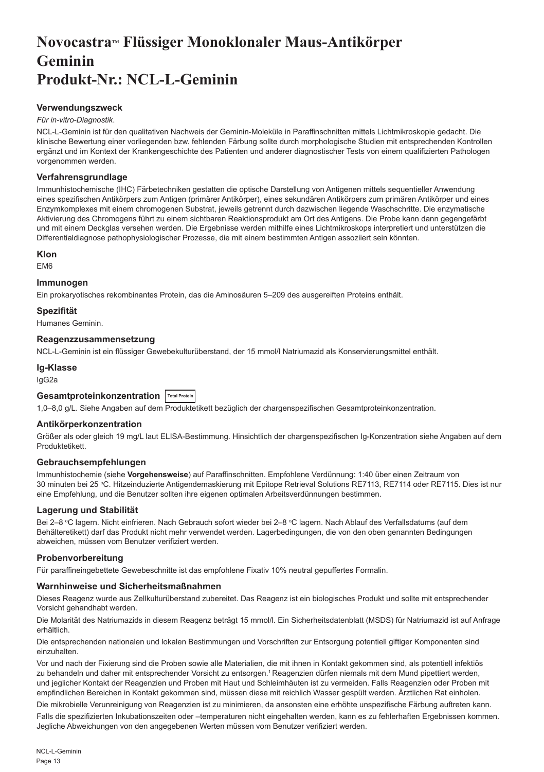## <span id="page-13-0"></span>**NovocastraTM Flüssiger Monoklonaler Maus-Antikörper Geminin Produkt-Nr.: NCL-L-Geminin**

#### **Verwendungszweck**

#### *Für in-vitro-Diagnostik*.

NCL-L-Geminin ist für den qualitativen Nachweis der Geminin-Moleküle in Paraffinschnitten mittels Lichtmikroskopie gedacht. Die klinische Bewertung einer vorliegenden bzw. fehlenden Färbung sollte durch morphologische Studien mit entsprechenden Kontrollen ergänzt und im Kontext der Krankengeschichte des Patienten und anderer diagnostischer Tests von einem qualifizierten Pathologen vorgenommen werden.

#### **Verfahrensgrundlage**

Immunhistochemische (IHC) Färbetechniken gestatten die optische Darstellung von Antigenen mittels sequentieller Anwendung eines spezifischen Antikörpers zum Antigen (primärer Antikörper), eines sekundären Antikörpers zum primären Antikörper und eines Enzymkomplexes mit einem chromogenen Substrat, jeweils getrennt durch dazwischen liegende Waschschritte. Die enzymatische Aktivierung des Chromogens führt zu einem sichtbaren Reaktionsprodukt am Ort des Antigens. Die Probe kann dann gegengefärbt und mit einem Deckglas versehen werden. Die Ergebnisse werden mithilfe eines Lichtmikroskops interpretiert und unterstützen die Differentialdiagnose pathophysiologischer Prozesse, die mit einem bestimmten Antigen assoziiert sein könnten.

#### **Klon**

EM6

#### **Immunogen**

Ein prokaryotisches rekombinantes Protein, das die Aminosäuren 5–209 des ausgereiften Proteins enthält.

#### **Spezifität**

Humanes Geminin.

#### **Reagenzzusammensetzung**

NCL-L-Geminin ist ein flüssiger Gewebekulturüberstand, der 15 mmol/l Natriumazid als Konservierungsmittel enthält.

### **Ig-Klasse**

IgG2a

### **Gesamtproteinkonzentration Total Protein**

1,0–8,0 g/L. Siehe Angaben auf dem Produktetikett bezüglich der chargenspezifischen Gesamtproteinkonzentration.

#### **Antikörperkonzentration**

Größer als oder gleich 19 mg/L laut ELISA-Bestimmung. Hinsichtlich der chargenspezifischen Ig-Konzentration siehe Angaben auf dem Produktetikett.

#### **Gebrauchsempfehlungen**

Immunhistochemie (siehe **Vorgehensweise**) auf Paraffinschnitten. Empfohlene Verdünnung: 1:40 über einen Zeitraum von 30 minuten bei 25 °C. Hitzeinduzierte Antigendemaskierung mit Epitope Retrieval Solutions RE7113, RE7114 oder RE7115. Dies ist nur eine Empfehlung, und die Benutzer sollten ihre eigenen optimalen Arbeitsverdünnungen bestimmen.

#### **Lagerung und Stabilität**

Bei 2–8 °C lagern. Nicht einfrieren. Nach Gebrauch sofort wieder bei 2–8 °C lagern. Nach Ablauf des Verfallsdatums (auf dem Behälteretikett) darf das Produkt nicht mehr verwendet werden. Lagerbedingungen, die von den oben genannten Bedingungen abweichen, müssen vom Benutzer verifiziert werden.

#### **Probenvorbereitung**

Für paraffineingebettete Gewebeschnitte ist das empfohlene Fixativ 10% neutral gepuffertes Formalin.

#### **Warnhinweise und Sicherheitsmaßnahmen**

Dieses Reagenz wurde aus Zellkulturüberstand zubereitet. Das Reagenz ist ein biologisches Produkt und sollte mit entsprechender Vorsicht gehandhabt werden.

Die Molarität des Natriumazids in diesem Reagenz beträgt 15 mmol/l. Ein Sicherheitsdatenblatt (MSDS) für Natriumazid ist auf Anfrage erhältlich.

Die entsprechenden nationalen und lokalen Bestimmungen und Vorschriften zur Entsorgung potentiell giftiger Komponenten sind einzuhalten.

Vor und nach der Fixierung sind die Proben sowie alle Materialien, die mit ihnen in Kontakt gekommen sind, als potentiell infektiös zu behandeln und daher mit entsprechender Vorsicht zu entsorgen.<sup>1</sup> Reagenzien dürfen niemals mit dem Mund pipettiert werden, und jeglicher Kontakt der Reagenzien und Proben mit Haut und Schleimhäuten ist zu vermeiden. Falls Reagenzien oder Proben mit empfindlichen Bereichen in Kontakt gekommen sind, müssen diese mit reichlich Wasser gespült werden. Ärztlichen Rat einholen.

Die mikrobielle Verunreinigung von Reagenzien ist zu minimieren, da ansonsten eine erhöhte unspezifische Färbung auftreten kann.

Falls die spezifizierten Inkubationszeiten oder –temperaturen nicht eingehalten werden, kann es zu fehlerhaften Ergebnissen kommen. Jegliche Abweichungen von den angegebenen Werten müssen vom Benutzer verifiziert werden.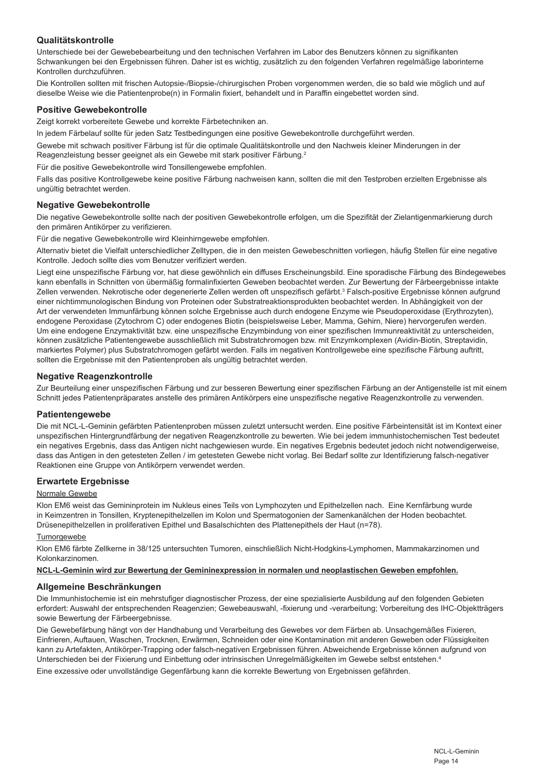#### **Qualitätskontrolle**

Unterschiede bei der Gewebebearbeitung und den technischen Verfahren im Labor des Benutzers können zu signifikanten Schwankungen bei den Ergebnissen führen. Daher ist es wichtig, zusätzlich zu den folgenden Verfahren regelmäßige laborinterne Kontrollen durchzuführen.

Die Kontrollen sollten mit frischen Autopsie-/Biopsie-/chirurgischen Proben vorgenommen werden, die so bald wie möglich und auf dieselbe Weise wie die Patientenprobe(n) in Formalin fixiert, behandelt und in Paraffin eingebettet worden sind.

#### **Positive Gewebekontrolle**

Zeigt korrekt vorbereitete Gewebe und korrekte Färbetechniken an.

In jedem Färbelauf sollte für jeden Satz Testbedingungen eine positive Gewebekontrolle durchgeführt werden.

Gewebe mit schwach positiver Färbung ist für die optimale Qualitätskontrolle und den Nachweis kleiner Minderungen in der Reagenzleistung besser geeignet als ein Gewebe mit stark positiver Färbung.<sup>2</sup>

Für die positive Gewebekontrolle wird Tonsillengewebe empfohlen.

Falls das positive Kontrollgewebe keine positive Färbung nachweisen kann, sollten die mit den Testproben erzielten Ergebnisse als ungültig betrachtet werden.

#### **Negative Gewebekontrolle**

Die negative Gewebekontrolle sollte nach der positiven Gewebekontrolle erfolgen, um die Spezifität der Zielantigenmarkierung durch den primären Antikörper zu verifizieren.

Für die negative Gewebekontrolle wird Kleinhirngewebe empfohlen.

Alternativ bietet die Vielfalt unterschiedlicher Zelltypen, die in den meisten Gewebeschnitten vorliegen, häufig Stellen für eine negative Kontrolle. Jedoch sollte dies vom Benutzer verifiziert werden.

Liegt eine unspezifische Färbung vor, hat diese gewöhnlich ein diffuses Erscheinungsbild. Eine sporadische Färbung des Bindegewebes kann ebenfalls in Schnitten von übermäßig formalinfixierten Geweben beobachtet werden. Zur Bewertung der Färbeergebnisse intakte Zellen verwenden. Nekrotische oder degenerierte Zellen werden oft unspezifisch gefärbt.<sup>3</sup> Falsch-positive Ergebnisse können aufgrund einer nichtimmunologischen Bindung von Proteinen oder Substratreaktionsprodukten beobachtet werden. In Abhängigkeit von der Art der verwendeten Immunfärbung können solche Ergebnisse auch durch endogene Enzyme wie Pseudoperoxidase (Erythrozyten), endogene Peroxidase (Zytochrom C) oder endogenes Biotin (beispielsweise Leber, Mamma, Gehirn, Niere) hervorgerufen werden. Um eine endogene Enzymaktivität bzw. eine unspezifische Enzymbindung von einer spezifischen Immunreaktivität zu unterscheiden, können zusätzliche Patientengewebe ausschließlich mit Substratchromogen bzw. mit Enzymkomplexen (Avidin-Biotin, Streptavidin, markiertes Polymer) plus Substratchromogen gefärbt werden. Falls im negativen Kontrollgewebe eine spezifische Färbung auftritt, sollten die Ergebnisse mit den Patientenproben als ungültig betrachtet werden.

#### **Negative Reagenzkontrolle**

Zur Beurteilung einer unspezifischen Färbung und zur besseren Bewertung einer spezifischen Färbung an der Antigenstelle ist mit einem Schnitt jedes Patientenpräparates anstelle des primären Antikörpers eine unspezifische negative Reagenzkontrolle zu verwenden.

#### **Patientengewebe**

Die mit NCL-L-Geminin gefärbten Patientenproben müssen zuletzt untersucht werden. Eine positive Färbeintensität ist im Kontext einer unspezifischen Hintergrundfärbung der negativen Reagenzkontrolle zu bewerten. Wie bei jedem immunhistochemischen Test bedeutet ein negatives Ergebnis, dass das Antigen nicht nachgewiesen wurde. Ein negatives Ergebnis bedeutet jedoch nicht notwendigerweise, dass das Antigen in den getesteten Zellen / im getesteten Gewebe nicht vorlag. Bei Bedarf sollte zur Identifizierung falsch-negativer Reaktionen eine Gruppe von Antikörpern verwendet werden.

#### **Erwartete Ergebnisse**

#### Normale Gewebe

Klon EM6 weist das Gemininprotein im Nukleus eines Teils von Lymphozyten und Epithelzellen nach. Eine Kernfärbung wurde in Keimzentren in Tonsillen, Kryptenepithelzellen im Kolon und Spermatogonien der Samenkanälchen der Hoden beobachtet. Drüsenepithelzellen in proliferativen Epithel und Basalschichten des Plattenepithels der Haut (n=78).

#### Tumorgewebe

Klon EM6 färbte Zellkerne in 38/125 untersuchten Tumoren, einschließlich Nicht-Hodgkins-Lymphomen, Mammakarzinomen und Kolonkarzinomen.

#### **NCL-L-Geminin wird zur Bewertung der Gemininexpression in normalen und neoplastischen Geweben empfohlen.**

#### **Allgemeine Beschränkungen**

Die Immunhistochemie ist ein mehrstufiger diagnostischer Prozess, der eine spezialisierte Ausbildung auf den folgenden Gebieten erfordert: Auswahl der entsprechenden Reagenzien; Gewebeauswahl, -fixierung und -verarbeitung; Vorbereitung des IHC-Objektträgers sowie Bewertung der Färbeergebnisse.

Die Gewebefärbung hängt von der Handhabung und Verarbeitung des Gewebes vor dem Färben ab. Unsachgemäßes Fixieren, Einfrieren, Auftauen, Waschen, Trocknen, Erwärmen, Schneiden oder eine Kontamination mit anderen Geweben oder Flüssigkeiten kann zu Artefakten, Antikörper-Trapping oder falsch-negativen Ergebnissen führen. Abweichende Ergebnisse können aufgrund von Unterschieden bei der Fixierung und Einbettung oder intrinsischen Unregelmäßigkeiten im Gewebe selbst entstehen.4

Eine exzessive oder unvollständige Gegenfärbung kann die korrekte Bewertung von Ergebnissen gefährden.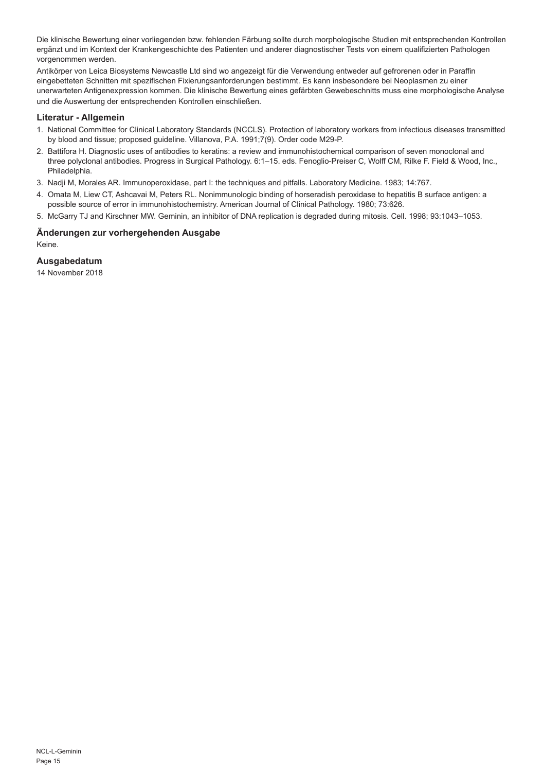Die klinische Bewertung einer vorliegenden bzw. fehlenden Färbung sollte durch morphologische Studien mit entsprechenden Kontrollen ergänzt und im Kontext der Krankengeschichte des Patienten und anderer diagnostischer Tests von einem qualifizierten Pathologen vorgenommen werden.

Antikörper von Leica Biosystems Newcastle Ltd sind wo angezeigt für die Verwendung entweder auf gefrorenen oder in Paraffin eingebetteten Schnitten mit spezifischen Fixierungsanforderungen bestimmt. Es kann insbesondere bei Neoplasmen zu einer unerwarteten Antigenexpression kommen. Die klinische Bewertung eines gefärbten Gewebeschnitts muss eine morphologische Analyse und die Auswertung der entsprechenden Kontrollen einschließen.

#### **Literatur - Allgemein**

- 1. National Committee for Clinical Laboratory Standards (NCCLS). Protection of laboratory workers from infectious diseases transmitted by blood and tissue; proposed guideline. Villanova, P.A. 1991;7(9). Order code M29-P.
- 2. Battifora H. Diagnostic uses of antibodies to keratins: a review and immunohistochemical comparison of seven monoclonal and three polyclonal antibodies. Progress in Surgical Pathology. 6:1–15. eds. Fenoglio-Preiser C, Wolff CM, Rilke F. Field & Wood, Inc., Philadelphia.
- 3. Nadji M, Morales AR. Immunoperoxidase, part I: the techniques and pitfalls. Laboratory Medicine. 1983; 14:767.
- 4. Omata M, Liew CT, Ashcavai M, Peters RL. Nonimmunologic binding of horseradish peroxidase to hepatitis B surface antigen: a possible source of error in immunohistochemistry. American Journal of Clinical Pathology. 1980; 73:626.
- 5. McGarry TJ and Kirschner MW. Geminin, an inhibitor of DNA replication is degraded during mitosis. Cell. 1998; 93:1043–1053.

#### **Änderungen zur vorhergehenden Ausgabe**

Keine.

#### **Ausgabedatum**

14 November 2018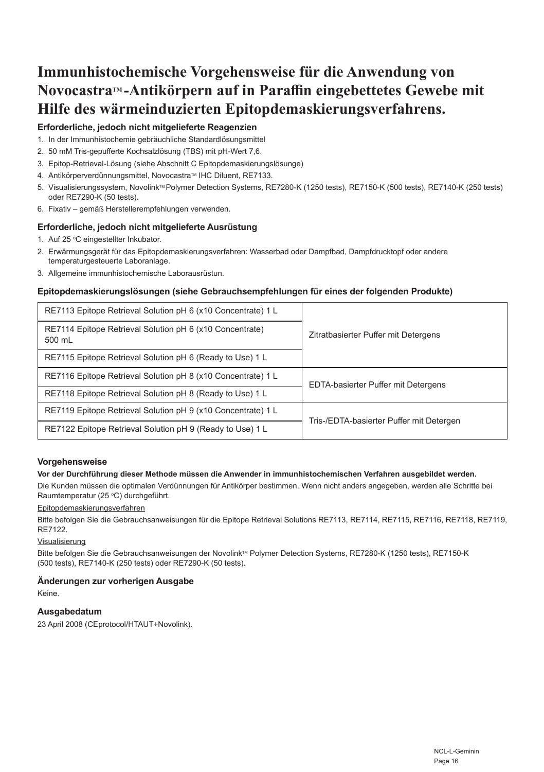## **Immunhistochemische Vorgehensweise für die Anwendung von NovocastraTM -Antikörpern auf in Paraffin eingebettetes Gewebe mit Hilfe des wärmeinduzierten Epitopdemaskierungsverfahrens.**

#### **Erforderliche, jedoch nicht mitgelieferte Reagenzien**

- 1. In der Immunhistochemie gebräuchliche Standardlösungsmittel
- 2. 50 mM Tris-gepufferte Kochsalzlösung (TBS) mit pH-Wert 7,6.
- 3. Epitop-Retrieval-Lösung (siehe Abschnitt C Epitopdemaskierungslösunge)
- 4. Antikörperverdünnungsmittel, Novocastra™ IHC Diluent, RE7133.
- 5. Visualisierungssystem, Novolink™ Polymer Detection Systems, RE7280-K (1250 tests), RE7150-K (500 tests), RE7140-K (250 tests) oder RE7290-K (50 tests).
- 6. Fixativ gemäß Herstellerempfehlungen verwenden.

#### **Erforderliche, jedoch nicht mitgelieferte Ausrüstung**

- 1. Auf 25 °C eingestellter Inkubator.
- 2. Erwärmungsgerät für das Epitopdemaskierungsverfahren: Wasserbad oder Dampfbad, Dampfdrucktopf oder andere temperaturgesteuerte Laboranlage.
- 3. Allgemeine immunhistochemische Laborausrüstun.

#### **Epitopdemaskierungslösungen (siehe Gebrauchsempfehlungen für eines der folgenden Produkte)**

| RE7113 Epitope Retrieval Solution pH 6 (x10 Concentrate) 1 L       | Zitratbasierter Puffer mit Detergens     |
|--------------------------------------------------------------------|------------------------------------------|
| RE7114 Epitope Retrieval Solution pH 6 (x10 Concentrate)<br>500 mL |                                          |
| RE7115 Epitope Retrieval Solution pH 6 (Ready to Use) 1 L          |                                          |
| RE7116 Epitope Retrieval Solution pH 8 (x10 Concentrate) 1 L       | EDTA-basierter Puffer mit Detergens      |
| RE7118 Epitope Retrieval Solution pH 8 (Ready to Use) 1 L          |                                          |
| RE7119 Epitope Retrieval Solution pH 9 (x10 Concentrate) 1 L       | Tris-/EDTA-basierter Puffer mit Detergen |
| RE7122 Epitope Retrieval Solution pH 9 (Ready to Use) 1 L          |                                          |

#### **Vorgehensweise**

#### **Vor der Durchführung dieser Methode müssen die Anwender in immunhistochemischen Verfahren ausgebildet werden.**

Die Kunden müssen die optimalen Verdünnungen für Antikörper bestimmen. Wenn nicht anders angegeben, werden alle Schritte bei Raumtemperatur (25 °C) durchgeführt.

#### Epitopdemaskierungsverfahren

Bitte befolgen Sie die Gebrauchsanweisungen für die Epitope Retrieval Solutions RE7113, RE7114, RE7115, RE7116, RE7118, RE7119, RE7122.

#### Visualisierung

Bitte befolgen Sie die Gebrauchsanweisungen der Novolink™ Polymer Detection Systems, RE7280-K (1250 tests), RE7150-K (500 tests), RE7140-K (250 tests) oder RE7290-K (50 tests).

#### **Änderungen zur vorherigen Ausgabe**

Keine.

#### **Ausgabedatum**

23 April 2008 (CEprotocol/HTAUT+Novolink).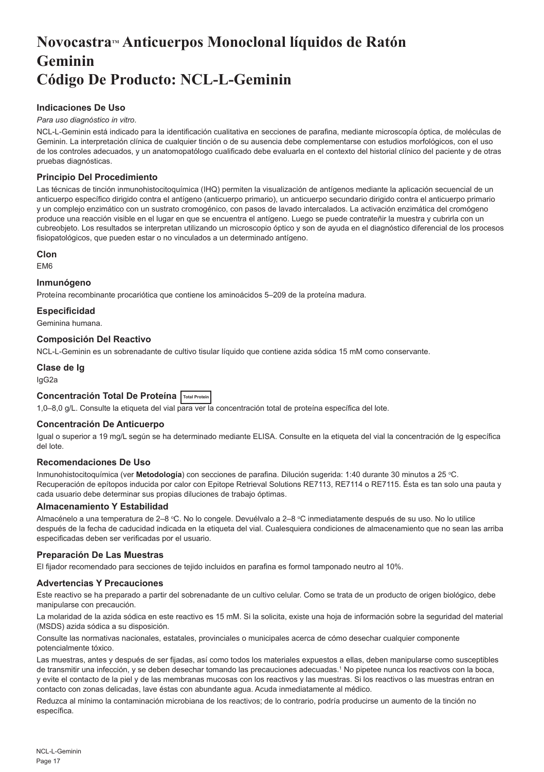## <span id="page-17-0"></span>**NovocastraTM Anticuerpos Monoclonal líquidos de Ratón Geminin Código De Producto: NCL-L-Geminin**

#### **Indicaciones De Uso**

#### *Para uso diagnóstico in vitro*.

NCL-L-Geminin está indicado para la identificación cualitativa en secciones de parafina, mediante microscopía óptica, de moléculas de Geminin. La interpretación clínica de cualquier tinción o de su ausencia debe complementarse con estudios morfológicos, con el uso de los controles adecuados, y un anatomopatólogo cualificado debe evaluarla en el contexto del historial clínico del paciente y de otras pruebas diagnósticas.

#### **Principio Del Procedimiento**

Las técnicas de tinción inmunohistocitoquímica (IHQ) permiten la visualización de antígenos mediante la aplicación secuencial de un anticuerpo específico dirigido contra el antígeno (anticuerpo primario), un anticuerpo secundario dirigido contra el anticuerpo primario y un complejo enzimático con un sustrato cromogénico, con pasos de lavado intercalados. La activación enzimática del cromógeno produce una reacción visible en el lugar en que se encuentra el antígeno. Luego se puede contrateñir la muestra y cubrirla con un cubreobjeto. Los resultados se interpretan utilizando un microscopio óptico y son de ayuda en el diagnóstico diferencial de los procesos fisiopatológicos, que pueden estar o no vinculados a un determinado antígeno.

#### **Clon**

EM6

#### **Inmunógeno**

Proteína recombinante procariótica que contiene los aminoácidos 5–209 de la proteína madura.

#### **Especificidad**

Geminina humana.

#### **Composición Del Reactivo**

NCL-L-Geminin es un sobrenadante de cultivo tisular líquido que contiene azida sódica 15 mM como conservante.

#### **Clase de Ig**

IgG2a

#### **Concentración Total De Proteína Total Protein**

1,0–8,0 g/L. Consulte la etiqueta del vial para ver la concentración total de proteína específica del lote.

#### **Concentración De Anticuerpo**

Igual o superior a 19 mg/L según se ha determinado mediante ELISA. Consulte en la etiqueta del vial la concentración de Ig específica del lote.

#### **Recomendaciones De Uso**

Inmunohistocitoquímica (ver **Metodología**) con secciones de parafina. Dilución sugerida: 1:40 durante 30 minutos a 25 °C. Recuperación de epítopos inducida por calor con Epitope Retrieval Solutions RE7113, RE7114 o RE7115. Ésta es tan solo una pauta y cada usuario debe determinar sus propias diluciones de trabajo óptimas.

#### **Almacenamiento Y Estabilidad**

Almacénelo a una temperatura de 2–8 °C. No lo congele. Devuélvalo a 2–8 °C inmediatamente después de su uso. No lo utilice después de la fecha de caducidad indicada en la etiqueta del vial. Cualesquiera condiciones de almacenamiento que no sean las arriba especificadas deben ser verificadas por el usuario.

#### **Preparación De Las Muestras**

El fijador recomendado para secciones de tejido incluidos en parafina es formol tamponado neutro al 10%.

#### **Advertencias Y Precauciones**

Este reactivo se ha preparado a partir del sobrenadante de un cultivo celular. Como se trata de un producto de origen biológico, debe manipularse con precaución.

La molaridad de la azida sódica en este reactivo es 15 mM. Si la solicita, existe una hoja de información sobre la seguridad del material (MSDS) azida sódica a su disposición.

Consulte las normativas nacionales, estatales, provinciales o municipales acerca de cómo desechar cualquier componente potencialmente tóxico.

Las muestras, antes y después de ser fijadas, así como todos los materiales expuestos a ellas, deben manipularse como susceptibles de transmitir una infección, y se deben desechar tomando las precauciones adecuadas.1 No pipetee nunca los reactivos con la boca, y evite el contacto de la piel y de las membranas mucosas con los reactivos y las muestras. Si los reactivos o las muestras entran en contacto con zonas delicadas, lave éstas con abundante agua. Acuda inmediatamente al médico.

Reduzca al mínimo la contaminación microbiana de los reactivos; de lo contrario, podría producirse un aumento de la tinción no específica.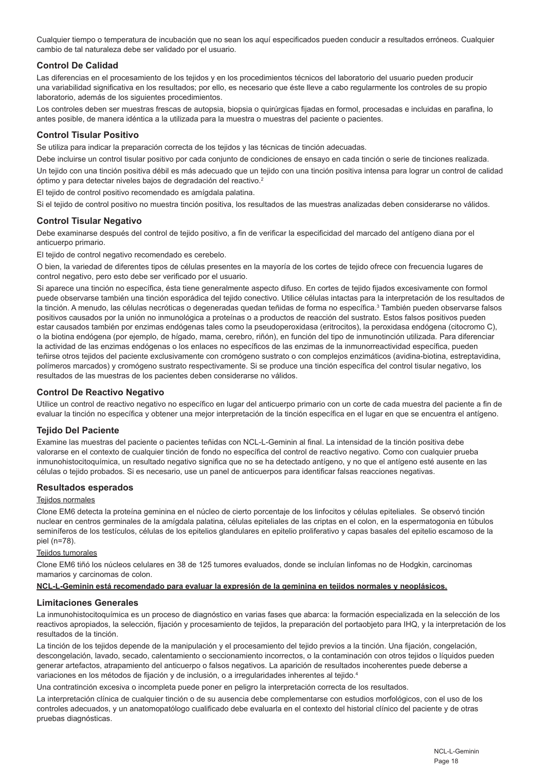Cualquier tiempo o temperatura de incubación que no sean los aquí especificados pueden conducir a resultados erróneos. Cualquier cambio de tal naturaleza debe ser validado por el usuario.

#### **Control De Calidad**

Las diferencias en el procesamiento de los tejidos y en los procedimientos técnicos del laboratorio del usuario pueden producir una variabilidad significativa en los resultados; por ello, es necesario que éste lleve a cabo regularmente los controles de su propio laboratorio, además de los siguientes procedimientos.

Los controles deben ser muestras frescas de autopsia, biopsia o quirúrgicas fijadas en formol, procesadas e incluidas en parafina, lo antes posible, de manera idéntica a la utilizada para la muestra o muestras del paciente o pacientes.

#### **Control Tisular Positivo**

Se utiliza para indicar la preparación correcta de los tejidos y las técnicas de tinción adecuadas.

Debe incluirse un control tisular positivo por cada conjunto de condiciones de ensayo en cada tinción o serie de tinciones realizada.

Un tejido con una tinción positiva débil es más adecuado que un tejido con una tinción positiva intensa para lograr un control de calidad óptimo y para detectar niveles bajos de degradación del reactivo.<sup>2</sup>

El tejido de control positivo recomendado es amígdala palatina.

Si el tejido de control positivo no muestra tinción positiva, los resultados de las muestras analizadas deben considerarse no válidos.

#### **Control Tisular Negativo**

Debe examinarse después del control de tejido positivo, a fin de verificar la especificidad del marcado del antígeno diana por el anticuerpo primario.

El tejido de control negativo recomendado es cerebelo.

O bien, la variedad de diferentes tipos de células presentes en la mayoría de los cortes de tejido ofrece con frecuencia lugares de control negativo, pero esto debe ser verificado por el usuario.

Si aparece una tinción no específica, ésta tiene generalmente aspecto difuso. En cortes de tejido fijados excesivamente con formol puede observarse también una tinción esporádica del tejido conectivo. Utilice células intactas para la interpretación de los resultados de la tinción. A menudo, las células necróticas o degeneradas quedan teñidas de forma no específica.<sup>3</sup> También pueden observarse falsos positivos causados por la unión no inmunológica a proteínas o a productos de reacción del sustrato. Estos falsos positivos pueden estar causados también por enzimas endógenas tales como la pseudoperoxidasa (eritrocitos), la peroxidasa endógena (citocromo C), o la biotina endógena (por ejemplo, de hígado, mama, cerebro, riñón), en función del tipo de inmunotinción utilizada. Para diferenciar la actividad de las enzimas endógenas o los enlaces no específicos de las enzimas de la inmunorreactividad específica, pueden teñirse otros tejidos del paciente exclusivamente con cromógeno sustrato o con complejos enzimáticos (avidina-biotina, estreptavidina, polímeros marcados) y cromógeno sustrato respectivamente. Si se produce una tinción específica del control tisular negativo, los resultados de las muestras de los pacientes deben considerarse no válidos.

#### **Control De Reactivo Negativo**

Utilice un control de reactivo negativo no específico en lugar del anticuerpo primario con un corte de cada muestra del paciente a fin de evaluar la tinción no específica y obtener una mejor interpretación de la tinción específica en el lugar en que se encuentra el antígeno.

#### **Tejido Del Paciente**

Examine las muestras del paciente o pacientes teñidas con NCL-L-Geminin al final. La intensidad de la tinción positiva debe valorarse en el contexto de cualquier tinción de fondo no específica del control de reactivo negativo. Como con cualquier prueba inmunohistocitoquímica, un resultado negativo significa que no se ha detectado antígeno, y no que el antígeno esté ausente en las células o tejido probados. Si es necesario, use un panel de anticuerpos para identificar falsas reacciones negativas.

#### **Resultados esperados**

#### Teiidos normales

Clone EM6 detecta la proteína geminina en el núcleo de cierto porcentaje de los linfocitos y células epiteliales. Se observó tinción nuclear en centros germinales de la amígdala palatina, células epiteliales de las criptas en el colon, en la espermatogonia en túbulos seminíferos de los testículos, células de los epitelios glandulares en epitelio proliferativo y capas basales del epitelio escamoso de la piel (n=78).

#### Teiidos tumorales

Clone EM6 tiñó los núcleos celulares en 38 de 125 tumores evaluados, donde se incluían linfomas no de Hodgkin, carcinomas mamarios y carcinomas de colon.

#### **NCL-L-Geminin está recomendado para evaluar la expresión de la geminina en tejidos normales y neoplásicos.**

#### **Limitaciones Generales**

La inmunohistocitoquímica es un proceso de diagnóstico en varias fases que abarca: la formación especializada en la selección de los reactivos apropiados, la selección, fijación y procesamiento de tejidos, la preparación del portaobjeto para IHQ, y la interpretación de los resultados de la tinción.

La tinción de los tejidos depende de la manipulación y el procesamiento del tejido previos a la tinción. Una fijación, congelación, descongelación, lavado, secado, calentamiento o seccionamiento incorrectos, o la contaminación con otros tejidos o líquidos pueden generar artefactos, atrapamiento del anticuerpo o falsos negativos. La aparición de resultados incoherentes puede deberse a variaciones en los métodos de fijación y de inclusión, o a irregularidades inherentes al tejido.<sup>4</sup>

Una contratinción excesiva o incompleta puede poner en peligro la interpretación correcta de los resultados.

La interpretación clínica de cualquier tinción o de su ausencia debe complementarse con estudios morfológicos, con el uso de los controles adecuados, y un anatomopatólogo cualificado debe evaluarla en el contexto del historial clínico del paciente y de otras pruebas diagnósticas.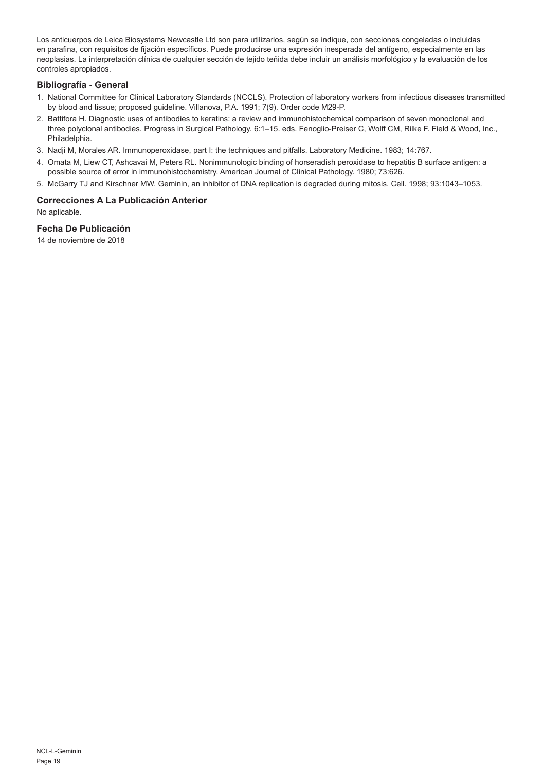Los anticuerpos de Leica Biosystems Newcastle Ltd son para utilizarlos, según se indique, con secciones congeladas o incluidas en parafina, con requisitos de fijación específicos. Puede producirse una expresión inesperada del antígeno, especialmente en las neoplasias. La interpretación clínica de cualquier sección de tejido teñida debe incluir un análisis morfológico y la evaluación de los controles apropiados.

#### **Bibliografía - General**

- 1. National Committee for Clinical Laboratory Standards (NCCLS). Protection of laboratory workers from infectious diseases transmitted by blood and tissue; proposed guideline. Villanova, P.A. 1991; 7(9). Order code M29-P.
- 2. Battifora H. Diagnostic uses of antibodies to keratins: a review and immunohistochemical comparison of seven monoclonal and three polyclonal antibodies. Progress in Surgical Pathology. 6:1–15. eds. Fenoglio-Preiser C, Wolff CM, Rilke F. Field & Wood, Inc., Philadelphia.
- 3. Nadji M, Morales AR. Immunoperoxidase, part I: the techniques and pitfalls. Laboratory Medicine. 1983; 14:767.
- 4. Omata M, Liew CT, Ashcavai M, Peters RL. Nonimmunologic binding of horseradish peroxidase to hepatitis B surface antigen: a possible source of error in immunohistochemistry. American Journal of Clinical Pathology. 1980; 73:626.
- 5. McGarry TJ and Kirschner MW. Geminin, an inhibitor of DNA replication is degraded during mitosis. Cell. 1998; 93:1043–1053.

#### **Correcciones A La Publicación Anterior**

No aplicable.

#### **Fecha De Publicación**

14 de noviembre de 2018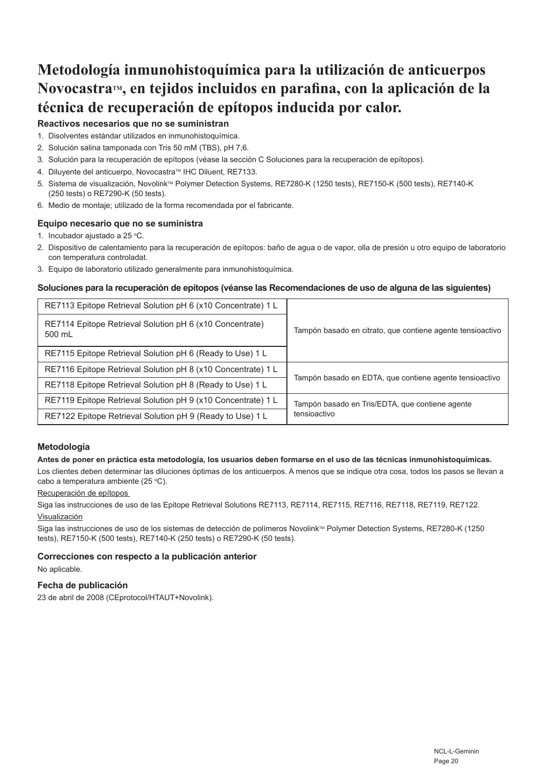## **Metodología inmunohistoquímica para la utilización de anticuerpos NovocastraTM, en tejidos incluidos en parafina, con la aplicación de la técnica de recuperación de epítopos inducida por calor.**

### **Reactivos necesarios que no se suministran**

- 1. Disolventes estándar utilizados en inmunohistoquímica.
- 2. Solución salina tamponada con Tris 50 mM (TBS), pH 7,6.
- 3. Solución para la recuperación de epítopos (véase la sección C Soluciones para la recuperación de epítopos).
- 4. Diluyente del anticuerpo, Novocastra™ IHC Diluent, RE7133.
- 5. Sistema de visualización, Novolink™ Polymer Detection Systems, RE7280-K (1250 tests), RE7150-K (500 tests), RE7140-K (250 tests) o RE7290-K (50 tests).
- 6. Medio de montaje; utilizado de la forma recomendada por el fabricante.

#### **Equipo necesario que no se suministra**

- 1. Incubador ajustado a 25 °C.
- 2. Dispositivo de calentamiento para la recuperación de epítopos: baño de agua o de vapor, olla de presión u otro equipo de laboratorio con temperatura controladat.
- 3. Equipo de laboratorio utilizado generalmente para inmunohistoquímica.

#### **Soluciones para la recuperación de epítopos (véanse las Recomendaciones de uso de alguna de las siguientes)**

| RE7113 Epitope Retrieval Solution pH 6 (x10 Concentrate) 1 L       | Tampón basado en citrato, que contiene agente tensioactivo      |
|--------------------------------------------------------------------|-----------------------------------------------------------------|
| RE7114 Epitope Retrieval Solution pH 6 (x10 Concentrate)<br>500 mL |                                                                 |
| RE7115 Epitope Retrieval Solution pH 6 (Ready to Use) 1 L          |                                                                 |
| RE7116 Epitope Retrieval Solution pH 8 (x10 Concentrate) 1 L       | Tampón basado en EDTA, que contiene agente tensioactivo         |
| RE7118 Epitope Retrieval Solution pH 8 (Ready to Use) 1 L          |                                                                 |
| RE7119 Epitope Retrieval Solution pH 9 (x10 Concentrate) 1 L       | Tampón basado en Tris/EDTA, que contiene agente<br>tensioactivo |
| RE7122 Epitope Retrieval Solution pH 9 (Ready to Use) 1 L          |                                                                 |

#### **Metodología**

#### **Antes de poner en práctica esta metodología, los usuarios deben formarse en el uso de las técnicas inmunohistoquímicas.**

Los clientes deben determinar las diluciones óptimas de los anticuerpos. A menos que se indique otra cosa, todos los pasos se llevan a cabo a temperatura ambiente (25 °C).

#### Recuperación de epítopos

Siga las instrucciones de uso de las Epitope Retrieval Solutions RE7113, RE7114, RE7115, RE7116, RE7118, RE7119, RE7122. Visualización

Siga las instrucciones de uso de los sistemas de detección de polímeros Novolink™ Polymer Detection Systems, RE7280-K (1250 tests), RE7150-K (500 tests), RE7140-K (250 tests) o RE7290-K (50 tests).

#### **Correcciones con respecto a la publicación anterior**

No aplicable.

#### **Fecha de publicación**

23 de abril de 2008 (CEprotocol/HTAUT+Novolink).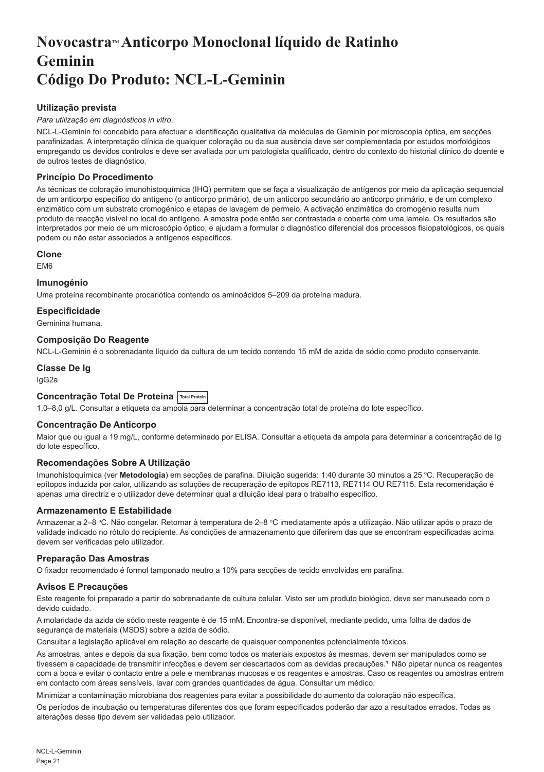## <span id="page-21-0"></span>**NovocastraTM Anticorpo Monoclonal líquido de Ratinho Geminin Código Do Produto: NCL-L-Geminin**

#### **Utilização prevista**

#### *Para utilização em diagnósticos in vitro*.

NCL-L-Geminin foi concebido para efectuar a identificação qualitativa da moléculas de Geminin por microscopia óptica, em secções parafinizadas. A interpretação clínica de qualquer coloração ou da sua ausência deve ser complementada por estudos morfológicos empregando os devidos controlos e deve ser avaliada por um patologista qualificado, dentro do contexto do historial clínico do doente e de outros testes de diagnóstico.

#### **Princípio Do Procedimento**

As técnicas de coloração imunohistoquímica (IHQ) permitem que se faça a visualização de antígenos por meio da aplicação sequencial de um anticorpo específico do antígeno (o anticorpo primário), de um anticorpo secundário ao anticorpo primário, e de um complexo enzimático com um substrato cromogénico e etapas de lavagem de permeio. A activação enzimática do cromogénio resulta num produto de reacção visível no local do antígeno. A amostra pode então ser contrastada e coberta com uma lamela. Os resultados são interpretados por meio de um microscópio óptico, e ajudam a formular o diagnóstico diferencial dos processos fisiopatológicos, os quais podem ou não estar associados a antígenos específicos.

#### **Clone**

EM6

#### **Imunogénio**

Uma proteína recombinante procariótica contendo os aminoácidos 5–209 da proteína madura.

#### **Especificidade**

Geminina humana.

#### **Composição Do Reagente**

NCL-L-Geminin é o sobrenadante líquido da cultura de um tecido contendo 15 mM de azida de sódio como produto conservante.

#### **Classe De Ig**

IgG2a

#### **Concentração Total De Proteína Total Protein**

1,0–8,0 g/L. Consultar a etiqueta da ampola para determinar a concentração total de proteína do lote específico.

#### **Concentração De Anticorpo**

Maior que ou igual a 19 mg/L, conforme determinado por ELISA. Consultar a etiqueta da ampola para determinar a concentração de Ig do lote específico.

#### **Recomendações Sobre A Utilização**

Imunohistoquímica (ver **Metodologia**) em secções de parafina. Diluição sugerida: 1:40 durante 30 minutos a 25 °C. Recuperação de epítopos induzida por calor, utilizando as soluções de recuperação de epítopos RE7113, RE7114 OU RE7115. Esta recomendação é apenas uma directriz e o utilizador deve determinar qual a diluição ideal para o trabalho específico.

#### **Armazenamento E Estabilidade**

Armazenar a 2–8 °C. Não congelar. Retornar à temperatura de 2–8 °C imediatamente após a utilização. Não utilizar após o prazo de validade indicado no rótulo do recipiente. As condições de armazenamento que diferirem das que se encontram especificadas acima devem ser verificadas pelo utilizador.

#### **Preparação Das Amostras**

O fixador recomendado é formol tamponado neutro a 10% para secções de tecido envolvidas em parafina.

#### **Avisos E Precauções**

Este reagente foi preparado a partir do sobrenadante de cultura celular. Visto ser um produto biológico, deve ser manuseado com o devido cuidado.

A molaridade da azida de sódio neste reagente é de 15 mM. Encontra-se disponível, mediante pedido, uma folha de dados de segurança de materiais (MSDS) sobre a azida de sódio.

Consultar a legislação aplicável em relação ao descarte de quaisquer componentes potencialmente tóxicos.

As amostras, antes e depois da sua fixação, bem como todos os materiais expostos às mesmas, devem ser manipulados como se tivessem a capacidade de transmitir infecções e devem ser descartados com as devidas precauções.<sup>1</sup> Não pipetar nunca os reagentes com a boca e evitar o contacto entre a pele e membranas mucosas e os reagentes e amostras. Caso os reagentes ou amostras entrem em contacto com áreas sensíveis, lavar com grandes quantidades de água. Consultar um médico.

Minimizar a contaminação microbiana dos reagentes para evitar a possibilidade do aumento da coloração não específica.

Os períodos de incubação ou temperaturas diferentes dos que foram especificados poderão dar azo a resultados errados. Todas as alterações desse tipo devem ser validadas pelo utilizador.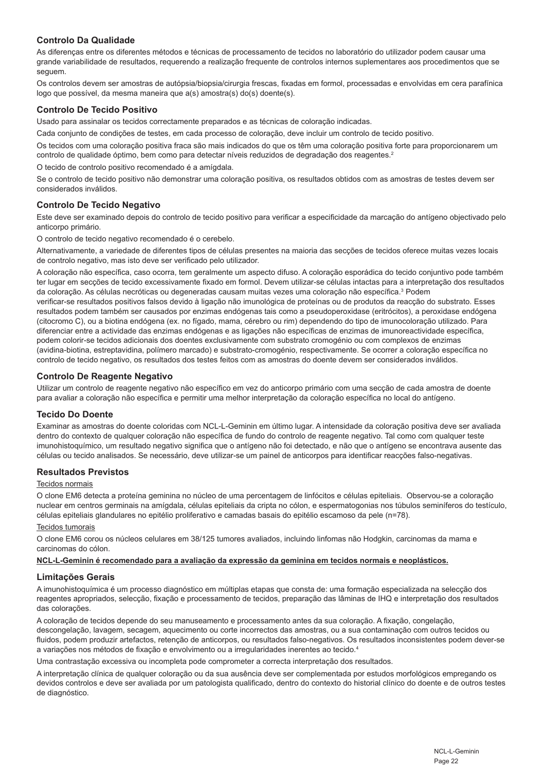#### **Controlo Da Qualidade**

As diferenças entre os diferentes métodos e técnicas de processamento de tecidos no laboratório do utilizador podem causar uma grande variabilidade de resultados, requerendo a realização frequente de controlos internos suplementares aos procedimentos que se seguem.

Os controlos devem ser amostras de autópsia/biopsia/cirurgia frescas, fixadas em formol, processadas e envolvidas em cera parafínica logo que possível, da mesma maneira que a(s) amostra(s) do(s) doente(s).

#### **Controlo De Tecido Positivo**

Usado para assinalar os tecidos correctamente preparados e as técnicas de coloração indicadas.

Cada conjunto de condições de testes, em cada processo de coloração, deve incluir um controlo de tecido positivo.

Os tecidos com uma coloração positiva fraca são mais indicados do que os têm uma coloração positiva forte para proporcionarem um controlo de qualidade óptimo, bem como para detectar níveis reduzidos de degradação dos reagentes.<sup>2</sup>

O tecido de controlo positivo recomendado é a amígdala.

Se o controlo de tecido positivo não demonstrar uma coloração positiva, os resultados obtidos com as amostras de testes devem ser considerados inválidos.

#### **Controlo De Tecido Negativo**

Este deve ser examinado depois do controlo de tecido positivo para verificar a especificidade da marcação do antígeno objectivado pelo anticorpo primário.

O controlo de tecido negativo recomendado é o cerebelo.

Alternativamente, a variedade de diferentes tipos de células presentes na maioria das secções de tecidos oferece muitas vezes locais de controlo negativo, mas isto deve ser verificado pelo utilizador.

A coloração não específica, caso ocorra, tem geralmente um aspecto difuso. A coloração esporádica do tecido conjuntivo pode também ter lugar em secções de tecido excessivamente fixado em formol. Devem utilizar-se células intactas para a interpretação dos resultados da coloração. As células necróticas ou degeneradas causam muitas vezes uma coloração não específica.<sup>3</sup> Podem

verificar-se resultados positivos falsos devido à ligação não imunológica de proteínas ou de produtos da reacção do substrato. Esses resultados podem também ser causados por enzimas endógenas tais como a pseudoperoxidase (eritrócitos), a peroxidase endógena (citocromo C), ou a biotina endógena (ex. no fígado, mama, cérebro ou rim) dependendo do tipo de imunocoloração utilizado. Para diferenciar entre a actividade das enzimas endógenas e as ligações não específicas de enzimas de imunoreactividade específica, podem colorir-se tecidos adicionais dos doentes exclusivamente com substrato cromogénio ou com complexos de enzimas (avidina-biotina, estreptavidina, polímero marcado) e substrato-cromogénio, respectivamente. Se ocorrer a coloração específica no controlo de tecido negativo, os resultados dos testes feitos com as amostras do doente devem ser considerados inválidos.

#### **Controlo De Reagente Negativo**

Utilizar um controlo de reagente negativo não específico em vez do anticorpo primário com uma secção de cada amostra de doente para avaliar a coloração não específica e permitir uma melhor interpretação da coloração específica no local do antígeno.

#### **Tecido Do Doente**

Examinar as amostras do doente coloridas com NCL-L-Geminin em último lugar. A intensidade da coloração positiva deve ser avaliada dentro do contexto de qualquer coloração não específica de fundo do controlo de reagente negativo. Tal como com qualquer teste imunohistoquímico, um resultado negativo significa que o antígeno não foi detectado, e não que o antígeno se encontrava ausente das células ou tecido analisados. Se necessário, deve utilizar-se um painel de anticorpos para identificar reacções falso-negativas.

#### **Resultados Previstos**

#### Tecidos normais

O clone EM6 detecta a proteína geminina no núcleo de uma percentagem de linfócitos e células epiteliais. Observou-se a coloração nuclear em centros germinais na amígdala, células epiteliais da cripta no cólon, e espermatogonias nos túbulos seminíferos do testículo, células epiteliais glandulares no epitélio proliferativo e camadas basais do epitélio escamoso da pele (n=78).

#### Tecidos tumorais

O clone EM6 corou os núcleos celulares em 38/125 tumores avaliados, incluindo linfomas não Hodgkin, carcinomas da mama e carcinomas do cólon.

#### **NCL-L-Geminin é recomendado para a avaliação da expressão da geminina em tecidos normais e neoplásticos.**

#### **Limitações Gerais**

A imunohistoquímica é um processo diagnóstico em múltiplas etapas que consta de: uma formação especializada na selecção dos reagentes apropriados, selecção, fixação e processamento de tecidos, preparação das lâminas de IHQ e interpretação dos resultados das colorações.

A coloração de tecidos depende do seu manuseamento e processamento antes da sua coloração. A fixação, congelação, descongelação, lavagem, secagem, aquecimento ou corte incorrectos das amostras, ou a sua contaminação com outros tecidos ou fluidos, podem produzir artefactos, retenção de anticorpos, ou resultados falso-negativos. Os resultados inconsistentes podem dever-se a variações nos métodos de fixação e envolvimento ou a irregularidades inerentes ao tecido.4

Uma contrastação excessiva ou incompleta pode comprometer a correcta interpretação dos resultados.

A interpretação clínica de qualquer coloração ou da sua ausência deve ser complementada por estudos morfológicos empregando os devidos controlos e deve ser avaliada por um patologista qualificado, dentro do contexto do historial clínico do doente e de outros testes de diagnóstico.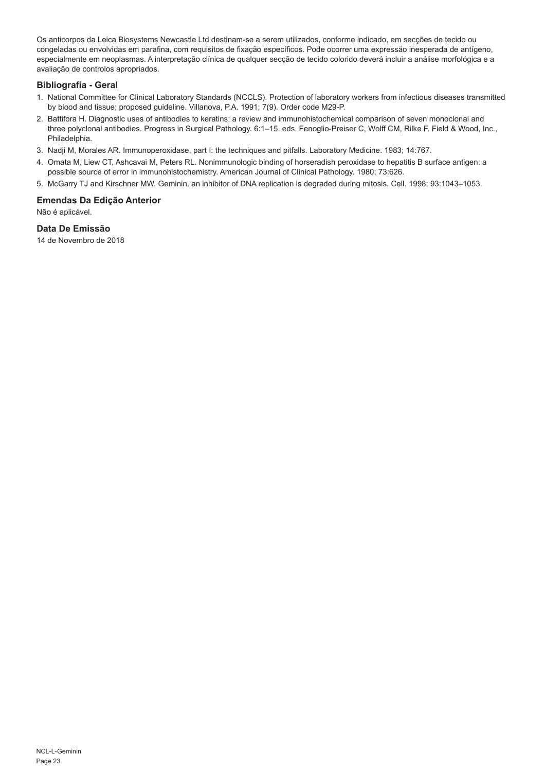Os anticorpos da Leica Biosystems Newcastle Ltd destinam-se a serem utilizados, conforme indicado, em secções de tecido ou congeladas ou envolvidas em parafina, com requisitos de fixação específicos. Pode ocorrer uma expressão inesperada de antígeno, especialmente em neoplasmas. A interpretação clínica de qualquer secção de tecido colorido deverá incluir a análise morfológica e a avaliação de controlos apropriados.

#### **Bibliografia - Geral**

- 1. National Committee for Clinical Laboratory Standards (NCCLS). Protection of laboratory workers from infectious diseases transmitted by blood and tissue; proposed guideline. Villanova, P.A. 1991; 7(9). Order code M29-P.
- 2. Battifora H. Diagnostic uses of antibodies to keratins: a review and immunohistochemical comparison of seven monoclonal and three polyclonal antibodies. Progress in Surgical Pathology. 6:1–15. eds. Fenoglio-Preiser C, Wolff CM, Rilke F. Field & Wood, Inc., Philadelphia.
- 3. Nadji M, Morales AR. Immunoperoxidase, part I: the techniques and pitfalls. Laboratory Medicine. 1983; 14:767.
- 4. Omata M, Liew CT, Ashcavai M, Peters RL. Nonimmunologic binding of horseradish peroxidase to hepatitis B surface antigen: a possible source of error in immunohistochemistry. American Journal of Clinical Pathology. 1980; 73:626.
- 5. McGarry TJ and Kirschner MW. Geminin, an inhibitor of DNA replication is degraded during mitosis. Cell. 1998; 93:1043–1053.

#### **Emendas Da Edição Anterior**

Não é aplicável.

#### **Data De Emissão**

14 de Novembro de 2018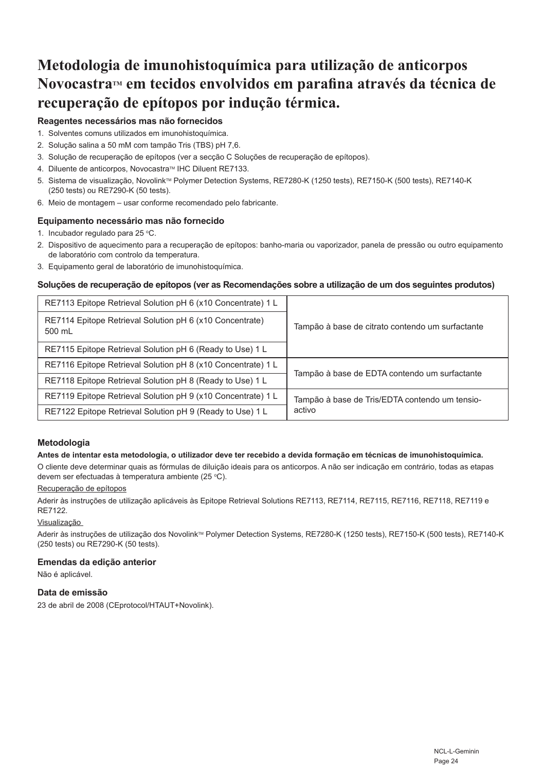## **Metodologia de imunohistoquímica para utilização de anticorpos**  Novocastra™ em tecidos envolvidos em parafina através da técnica de **recuperação de epítopos por indução térmica.**

#### **Reagentes necessários mas não fornecidos**

- 1. Solventes comuns utilizados em imunohistoquímica.
- 2. Solução salina a 50 mM com tampão Tris (TBS) pH 7,6.
- 3. Solução de recuperação de epítopos (ver a secção C Soluções de recuperação de epítopos).
- 4. Diluente de anticorpos, Novocastra™ IHC Diluent RE7133.
- 5. Sistema de visualização, Novolink™ Polymer Detection Systems, RE7280-K (1250 tests), RE7150-K (500 tests), RE7140-K (250 tests) ou RE7290-K (50 tests).
- 6. Meio de montagem usar conforme recomendado pelo fabricante.

#### **Equipamento necessário mas não fornecido**

- 1. Incubador regulado para 25 °C.
- 2. Dispositivo de aquecimento para a recuperação de epítopos: banho-maria ou vaporizador, panela de pressão ou outro equipamento de laboratório com controlo da temperatura.
- 3. Equipamento geral de laboratório de imunohistoquímica.

#### **Soluções de recuperação de epítopos (ver as Recomendações sobre a utilização de um dos seguintes produtos)**

| RE7113 Epitope Retrieval Solution pH 6 (x10 Concentrate) 1 L       | Tampão à base de citrato contendo um surfactante         |
|--------------------------------------------------------------------|----------------------------------------------------------|
| RE7114 Epitope Retrieval Solution pH 6 (x10 Concentrate)<br>500 mL |                                                          |
| RE7115 Epitope Retrieval Solution pH 6 (Ready to Use) 1 L          |                                                          |
| RE7116 Epitope Retrieval Solution pH 8 (x10 Concentrate) 1 L       | Tampão à base de EDTA contendo um surfactante            |
| RE7118 Epitope Retrieval Solution pH 8 (Ready to Use) 1 L          |                                                          |
| RE7119 Epitope Retrieval Solution pH 9 (x10 Concentrate) 1 L       | Tampão à base de Tris/EDTA contendo um tensio-<br>activo |
| RE7122 Epitope Retrieval Solution pH 9 (Ready to Use) 1 L          |                                                          |

#### **Metodologia**

#### **Antes de intentar esta metodologia, o utilizador deve ter recebido a devida formação em técnicas de imunohistoquímica.**

O cliente deve determinar quais as fórmulas de diluição ideais para os anticorpos. A não ser indicação em contrário, todas as etapas devem ser efectuadas à temperatura ambiente (25 °C).

#### Recuperação de epítopos

Aderir às instruções de utilização aplicáveis às Epitope Retrieval Solutions RE7113, RE7114, RE7115, RE7116, RE7118, RE7119 e RE7122.

#### Visualização

Aderir às instruções de utilização dos Novolink™ Polymer Detection Systems, RE7280-K (1250 tests), RE7150-K (500 tests), RE7140-K (250 tests) ou RE7290-K (50 tests).

#### **Emendas da edição anterior**

Não é aplicável.

#### **Data de emissão**

23 de abril de 2008 (CEprotocol/HTAUT+Novolink).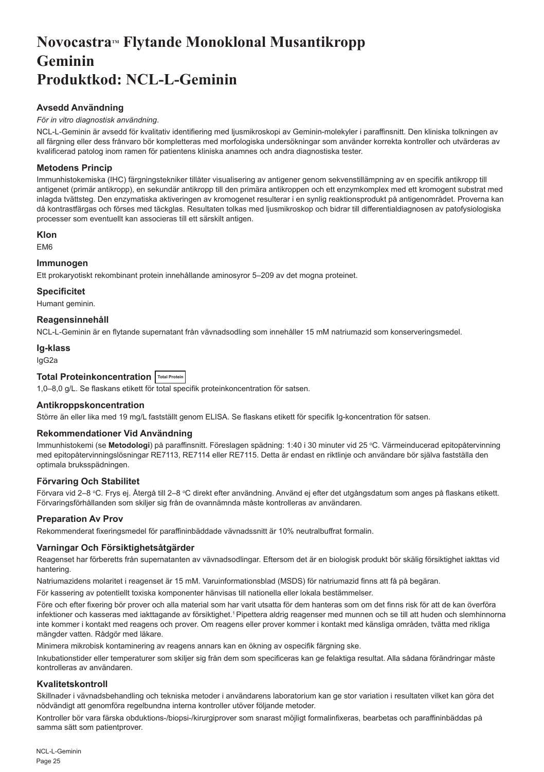## <span id="page-25-0"></span>Novocastra™ Flytande Monoklonal Musantikropp **Geminin Produktkod: NCL-L-Geminin**

#### **Avsedd Användning**

#### *För in vitro diagnostisk användning*.

NCL-L-Geminin är avsedd för kvalitativ identifiering med ljusmikroskopi av Geminin-molekyler i paraffinsnitt. Den kliniska tolkningen av all färgning eller dess frånvaro bör kompletteras med morfologiska undersökningar som använder korrekta kontroller och utvärderas av kvalificerad patolog inom ramen för patientens kliniska anamnes och andra diagnostiska tester.

#### **Metodens Princip**

Immunhistokemiska (IHC) färgningstekniker tillåter visualisering av antigener genom sekvenstillämpning av en specifik antikropp till antigenet (primär antikropp), en sekundär antikropp till den primära antikroppen och ett enzymkomplex med ett kromogent substrat med inlagda tvättsteg. Den enzymatiska aktiveringen av kromogenet resulterar i en synlig reaktionsprodukt på antigenområdet. Proverna kan då kontrastfärgas och förses med täckglas. Resultaten tolkas med ljusmikroskop och bidrar till differentialdiagnosen av patofysiologiska processer som eventuellt kan associeras till ett särskilt antigen.

#### **Klon**

EM6

#### **Immunogen**

Ett prokaryotiskt rekombinant protein innehållande aminosyror 5–209 av det mogna proteinet.

#### **Specificitet**

Humant geminin.

#### **Reagensinnehåll**

NCL-L-Geminin är en flytande supernatant från vävnadsodling som innehåller 15 mM natriumazid som konserveringsmedel.

#### **Ig-klass**

IgG2a

### **Total Proteinkoncentration Total Protein**

1,0–8,0 g/L. Se flaskans etikett för total specifik proteinkoncentration för satsen.

#### **Antikroppskoncentration**

Större än eller lika med 19 mg/L fastställt genom ELISA. Se flaskans etikett för specifik Ig-koncentration för satsen.

#### **Rekommendationer Vid Användning**

Immunhistokemi (se **Metodologi**) på paraffinsnitt. Föreslagen spädning: 1:40 i 30 minuter vid 25 °C. Värmeinducerad epitopåtervinning med epitopåtervinningslösningar RE7113, RE7114 eller RE7115. Detta är endast en riktlinje och användare bör själva fastställa den optimala bruksspädningen.

#### **Förvaring Och Stabilitet**

Förvara vid 2–8 °C. Frys ej. Atergå till 2–8 °C direkt efter användning. Använd ej efter det utgångsdatum som anges på flaskans etikett. Förvaringsförhållanden som skiljer sig från de ovannämnda måste kontrolleras av användaren.

#### **Preparation Av Prov**

Rekommenderat fixeringsmedel för paraffininbäddade vävnadssnitt är 10% neutralbuffrat formalin.

#### **Varningar Och Försiktighetsåtgärder**

Reagenset har förberetts från supernatanten av vävnadsodlingar. Eftersom det är en biologisk produkt bör skälig försiktighet iakttas vid hantering.

Natriumazidens molaritet i reagenset är 15 mM. Varuinformationsblad (MSDS) för natriumazid finns att få på begäran.

För kassering av potentiellt toxiska komponenter hänvisas till nationella eller lokala bestämmelser.

Före och efter fixering bör prover och alla material som har varit utsatta för dem hanteras som om det finns risk för att de kan överföra infektioner och kasseras med iakttagande av försiktighet.<sup>1</sup> Pipettera aldrig reagenser med munnen och se till att huden och slemhinnorna inte kommer i kontakt med reagens och prover. Om reagens eller prover kommer i kontakt med känsliga områden, tvätta med rikliga mängder vatten. Rådgör med läkare.

Minimera mikrobisk kontaminering av reagens annars kan en ökning av ospecifik färgning ske.

Inkubationstider eller temperaturer som skiljer sig från dem som specificeras kan ge felaktiga resultat. Alla sådana förändringar måste kontrolleras av användaren.

#### **Kvalitetskontroll**

Skillnader i vävnadsbehandling och tekniska metoder i användarens laboratorium kan ge stor variation i resultaten vilket kan göra det nödvändigt att genomföra regelbundna interna kontroller utöver följande metoder.

Kontroller bör vara färska obduktions-/biopsi-/kirurgiprover som snarast möjligt formalinfixeras, bearbetas och paraffininbäddas på samma sätt som patientprover.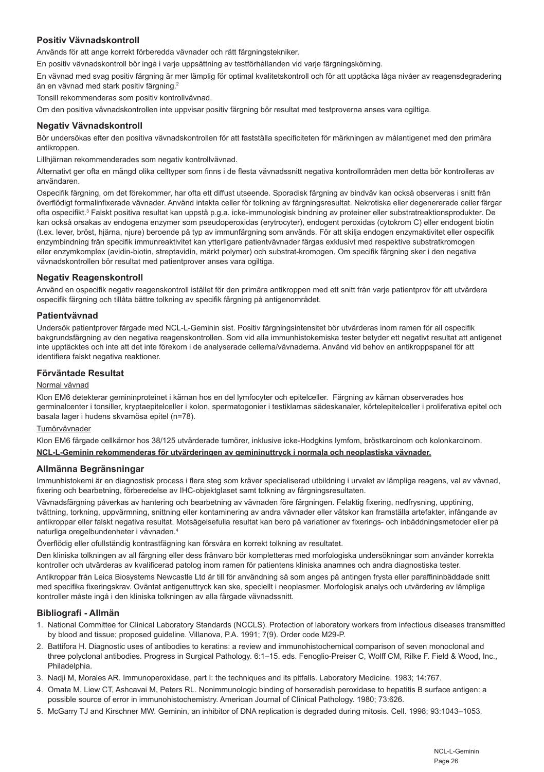#### **Positiv Vävnadskontroll**

Används för att ange korrekt förberedda vävnader och rätt färgningstekniker.

En positiv vävnadskontroll bör ingå i varje uppsättning av testförhållanden vid varje färgningskörning.

En vävnad med svag positiv färgning är mer lämplig för optimal kvalitetskontroll och för att upptäcka låga nivåer av reagensdegradering än en vävnad med stark positiv färgning.<sup>2</sup>

Tonsill rekommenderas som positiv kontrollvävnad.

Om den positiva vävnadskontrollen inte uppvisar positiv färgning bör resultat med testproverna anses vara ogiltiga.

#### **Negativ Vävnadskontroll**

Bör undersökas efter den positiva vävnadskontrollen för att fastställa specificiteten för märkningen av målantigenet med den primära antikroppen.

Lillhjärnan rekommenderades som negativ kontrollvävnad.

Alternativt ger ofta en mängd olika celltyper som finns i de flesta vävnadssnitt negativa kontrollområden men detta bör kontrolleras av användaren.

Ospecifik färgning, om det förekommer, har ofta ett diffust utseende. Sporadisk färgning av bindväv kan också observeras i snitt från överflödigt formalinfixerade vävnader. Använd intakta celler för tolkning av färgningsresultat. Nekrotiska eller degenererade celler färgar ofta ospecifikt.<sup>3</sup> Falskt positiva resultat kan uppstå p.g.a. icke-immunologisk bindning av proteiner eller substratreaktionsprodukter. De kan också orsakas av endogena enzymer som pseudoperoxidas (erytrocyter), endogent peroxidas (cytokrom C) eller endogent biotin (t.ex. lever, bröst, hjärna, njure) beroende på typ av immunfärgning som används. För att skilja endogen enzymaktivitet eller ospecifik enzymbindning från specifik immunreaktivitet kan ytterligare patientvävnader färgas exklusivt med respektive substratkromogen eller enzymkomplex (avidin-biotin, streptavidin, märkt polymer) och substrat-kromogen. Om specifik färgning sker i den negativa vävnadskontrollen bör resultat med patientprover anses vara ogiltiga.

#### **Negativ Reagenskontroll**

Använd en ospecifik negativ reagenskontroll istället för den primära antikroppen med ett snitt från varje patientprov för att utvärdera ospecifik färgning och tillåta bättre tolkning av specifik färgning på antigenområdet.

#### **Patientvävnad**

Undersök patientprover färgade med NCL-L-Geminin sist. Positiv färgningsintensitet bör utvärderas inom ramen för all ospecifik bakgrundsfärgning av den negativa reagenskontrollen. Som vid alla immunhistokemiska tester betyder ett negativt resultat att antigenet inte upptäcktes och inte att det inte förekom i de analyserade cellerna/vävnaderna. Använd vid behov en antikroppspanel för att identifiera falskt negativa reaktioner.

#### **Förväntade Resultat**

#### Normal vävnad

Klon EM6 detekterar gemininproteinet i kärnan hos en del lymfocyter och epitelceller. Färgning av kärnan observerades hos germinalcenter i tonsiller, kryptaepitelceller i kolon, spermatogonier i testiklarnas sädeskanaler, körtelepitelceller i proliferativa epitel och basala lager i hudens skvamösa epitel (n=78).

#### **Tumörvävnader**

Klon EM6 färgade cellkärnor hos 38/125 utvärderade tumörer, inklusive icke-Hodgkins lymfom, bröstkarcinom och kolonkarcinom.

#### **NCL-L-Geminin rekommenderas för utvärderingen av gemininuttryck i normala och neoplastiska vävnader.**

#### **Allmänna Begränsningar**

Immunhistokemi är en diagnostisk process i flera steg som kräver specialiserad utbildning i urvalet av lämpliga reagens, val av vävnad, fixering och bearbetning, förberedelse av IHC-objektglaset samt tolkning av färgningsresultaten.

Vävnadsfärgning påverkas av hantering och bearbetning av vävnaden före färgningen. Felaktig fixering, nedfrysning, upptining, tvättning, torkning, uppvärmning, snittning eller kontaminering av andra vävnader eller vätskor kan framställa artefakter, infångande av antikroppar eller falskt negativa resultat. Motsägelsefulla resultat kan bero på variationer av fixerings- och inbäddningsmetoder eller på naturliga oregelbundenheter i vävnaden.4

Överflödig eller ofullständig kontrastfägning kan försvåra en korrekt tolkning av resultatet.

Den kliniska tolkningen av all färgning eller dess frånvaro bör kompletteras med morfologiska undersökningar som använder korrekta kontroller och utvärderas av kvalificerad patolog inom ramen för patientens kliniska anamnes och andra diagnostiska tester.

Antikroppar från Leica Biosystems Newcastle Ltd är till för användning så som anges på antingen frysta eller paraffininbäddade snitt med specifika fixeringskrav. Oväntat antigenuttryck kan ske, speciellt i neoplasmer. Morfologisk analys och utvärdering av lämpliga kontroller måste ingå i den kliniska tolkningen av alla färgade vävnadssnitt.

#### **Bibliografi - Allmän**

- 1. National Committee for Clinical Laboratory Standards (NCCLS). Protection of laboratory workers from infectious diseases transmitted by blood and tissue; proposed guideline. Villanova, P.A. 1991; 7(9). Order code M29-P.
- 2. Battifora H. Diagnostic uses of antibodies to keratins: a review and immunohistochemical comparison of seven monoclonal and three polyclonal antibodies. Progress in Surgical Pathology. 6:1–15. eds. Fenoglio-Preiser C, Wolff CM, Rilke F. Field & Wood, Inc., Philadelphia.
- 3. Nadji M, Morales AR. Immunoperoxidase, part I: the techniques and its pitfalls. Laboratory Medicine. 1983; 14:767.
- 4. Omata M, Liew CT, Ashcavai M, Peters RL. Nonimmunologic binding of horseradish peroxidase to hepatitis B surface antigen: a possible source of error in immunohistochemistry. American Journal of Clinical Pathology. 1980; 73:626.
- 5. McGarry TJ and Kirschner MW. Geminin, an inhibitor of DNA replication is degraded during mitosis. Cell. 1998; 93:1043–1053.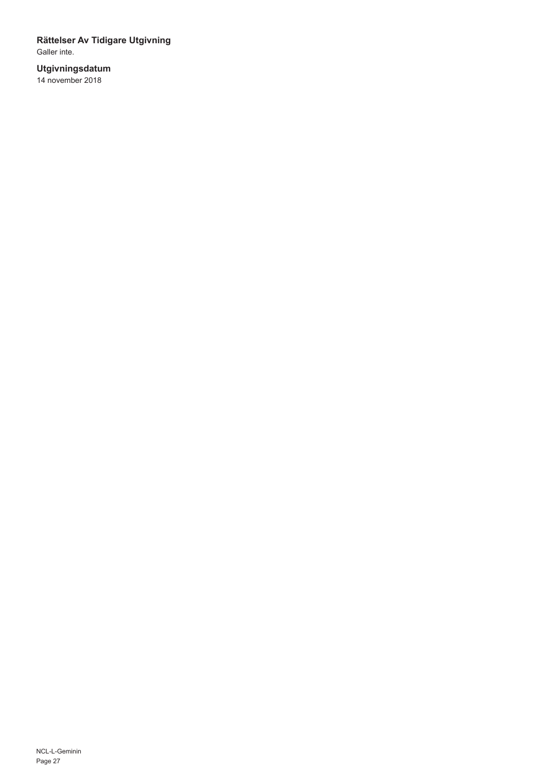### **Rättelser Av Tidigare Utgivning**

Galler inte.

### **Utgivningsdatum**

14 november 2018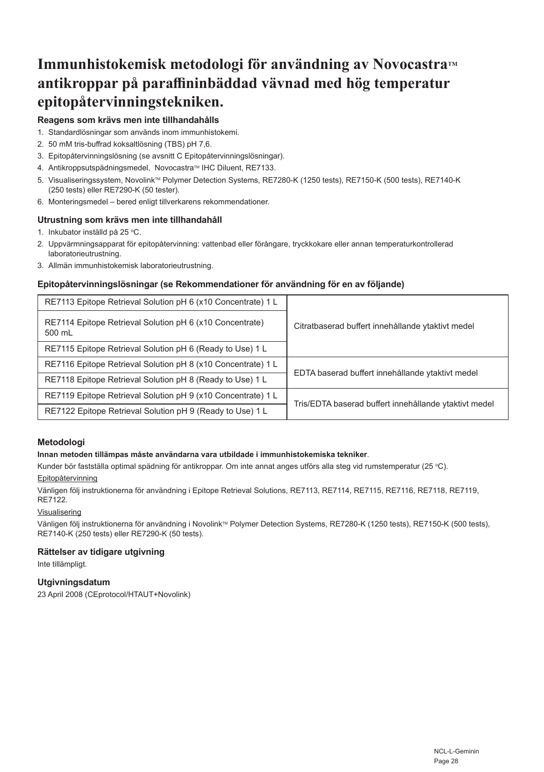## **Immunhistokemisk metodologi för användning av Novocastra™ antikroppar på paraffininbäddad vävnad med hög temperatur epitopåtervinningstekniken.**

#### **Reagens som krävs men inte tillhandahålls**

- 1. Standardlösningar som används inom immunhistokemi.
- 2. 50 mM tris-buffrad koksaltlösning (TBS) pH 7,6.
- 3. Epitopåtervinningslösning (se avsnitt C Epitopåtervinningslösningar).
- 4. Antikroppsutspädningsmedel, Novocastra™ IHC Diluent, RE7133.
- 5. Visualiseringssystem, Novolink™ Polymer Detection Systems, RE7280-K (1250 tests), RE7150-K (500 tests), RE7140-K (250 tests) eller RE7290-K (50 tester).
- 6. Monteringsmedel bered enligt tillverkarens rekommendationer.

#### **Utrustning som krävs men inte tillhandahåll**

- 1. Inkubator inställd på 25 °C.
- 2. Uppvärmningsapparat för epitopåtervinning: vattenbad eller förångare, tryckkokare eller annan temperaturkontrollerad laboratorieutrustning.
- 3. Allmän immunhistokemisk laboratorieutrustning.

#### **Epitopåtervinningslösningar (se Rekommendationer för användning för en av följande)**

| RE7113 Epitope Retrieval Solution pH 6 (x10 Concentrate) 1 L       | Citratbaserad buffert innehållande ytaktivt medel     |
|--------------------------------------------------------------------|-------------------------------------------------------|
| RE7114 Epitope Retrieval Solution pH 6 (x10 Concentrate)<br>500 mL |                                                       |
| RE7115 Epitope Retrieval Solution pH 6 (Ready to Use) 1 L          |                                                       |
| RE7116 Epitope Retrieval Solution pH 8 (x10 Concentrate) 1 L       | EDTA baserad buffert innehållande ytaktivt medel      |
| RE7118 Epitope Retrieval Solution pH 8 (Ready to Use) 1 L          |                                                       |
| RE7119 Epitope Retrieval Solution pH 9 (x10 Concentrate) 1 L       | Tris/EDTA baserad buffert innehållande ytaktivt medel |
| RE7122 Epitope Retrieval Solution pH 9 (Ready to Use) 1 L          |                                                       |

#### **Metodologi**

#### **Innan metoden tillämpas måste användarna vara utbildade i immunhistokemiska tekniker**.

Kunder bör fastställa optimal spädning för antikroppar. Om inte annat anges utförs alla steg vid rumstemperatur (25 °C).

#### Epitopåtervinning

Vänligen följ instruktionerna för användning i Epitope Retrieval Solutions, RE7113, RE7114, RE7115, RE7116, RE7118, RE7119, RE7122.

#### Visualisering

Vänligen följ instruktionerna för användning i Novolink™ Polymer Detection Systems, RE7280-K (1250 tests), RE7150-K (500 tests), RE7140-K (250 tests) eller RE7290-K (50 tests).

#### **Rättelser av tidigare utgivning**

Inte tillämpligt.

### **Utgivningsdatum**

23 April 2008 (CEprotocol/HTAUT+Novolink)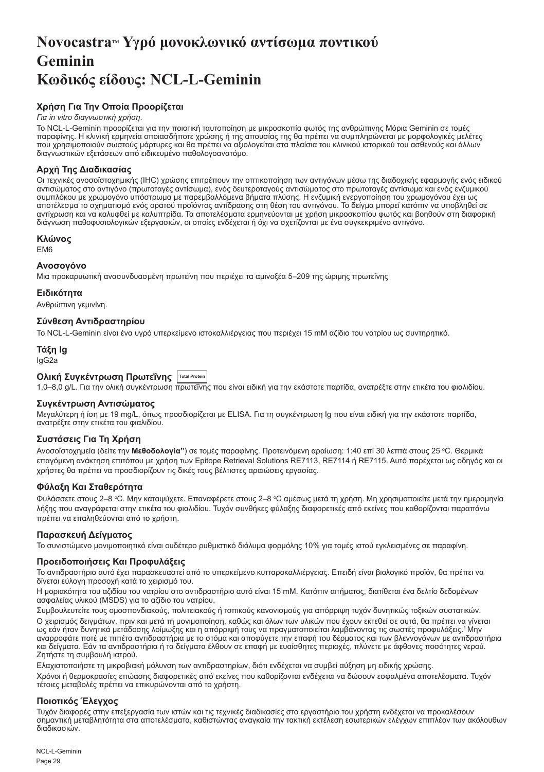## <span id="page-29-0"></span>**NovocastraTM Υγρό μονοκλωνικό αντίσωμα ποντικού Geminin Κωδικός είδους: NCL-L-Geminin**

### **Χρήση Για Την Οποία Προορίζεται**

#### *Για in vitro διαγνωστική χρήση*.

Το NCL-L-Geminin προορίζεται για την ποιοτική ταυτοποίηση με μικροσκοπία φωτός της ανθρώπινης Μόρια Geminin σε τομές παραφίνης. Η κλινική ερμηνεία οποιασδήποτε χρώσης ή της απουσίας της θα πρέπει να συμπληρώνεται με μορφολογικές μελέτες που χρησιμοποιούν σωστούς μάρτυρες και θα πρέπει να αξιολογείται στα πλαίσια του κλινικού ιστορικού του ασθενούς και άλλων διαγνωστικών εξετάσεων από ειδικευμένο παθολογοανατόμο.

#### **Αρχή Της Διαδικασίας**

Οι τεχνικές ανοσοϊστοχημικής (IHC) χρώσης επιτρέπουν την οπτικοποίηση των αντιγόνων μέσω της διαδοχικής εφαρμογής ενός ειδικού αντισώματος στο αντιγόνο (πρωτοταγές αντίσωμα), ενός δευτεροταγούς αντισώματος στο πρωτοταγές αντίσωμα και ενός ενζυμικού συμπλόκου με χρωμογόνο υπόστρωμα με παρεμβαλλόμενα βήματα πλύσης. Η ενζυμική ενεργοποίηση του χρωμογόνου έχει ως αποτέλεσμα το σχηματισμό ενός ορατού προϊόντος αντίδρασης στη θέση του αντιγόνου. Το δείγμα μπορεί κατόπιν να υποβληθεί σε αντίχρωση και να καλυφθεί με καλυπτρίδα. Τα αποτελέσματα ερμηνεύονται με χρήση μικροσκοπίου φωτός και βοηθούν στη διαφορική διάγνωση παθοφυσιολογικών εξεργασιών, οι οποίες ενδέχεται ή όχι να σχετίζονται με ένα συγκεκριμένο αντιγόνο.

#### **Κλώνος**

EM6

#### **Ανοσογόνο**

Μια προκαρυωτική ανασυνδυασμένη πρωτεΐνη που περιέχει τα αμινοξέα 5–209 της ώριμης πρωτεΐνης

#### **Ειδικότητα**

Ανθρώπινη γεμινίνη.

#### **Σύνθεση Αντιδραστηρίου**

Το NCL-L-Geminin είναι ένα υγρό υπερκείμενο ιστοκαλλιέργειας που περιέχει 15 mM αζίδιο του νατρίου ως συντηρητικό.

#### **Τάξη Ig** IgG2a

#### **Ολική Συγκέντρωση Πρωτεΐνης Total Protein**

1,0–8,0 g/L. Για την ολική συγκέντρωση πρωτεΐνης που είναι ειδική για την εκάστοτε παρτίδα, ανατρέξτε στην ετικέτα του φιαλιδίου.

#### **Συγκέντρωση Αντισώματος**

Μεγαλύτερη ή ίση με 19 mg/L, όπως προσδιορίζεται με ELISA. Για τη συγκέντρωση Ig που είναι ειδική για την εκάστοτε παρτίδα, ανατρέξτε στην ετικέτα του φιαλιδίου.

#### **Συστάσεις Για Τη Χρήση**

Ανοσοϊστοχημεία (δείτε την **Μεθοδολογία**") σε τομές παραφίνης. Προτεινόμενη αραίωση: 1:40 επί 30 λεπτά στους 25 °C. Θερμικά επαγόμενη ανάκτηση επιτόπου με χρήση των Epitope Retrieval Solutions RE7113, RE7114 ή RE7115. Αυτό παρέχεται ως οδηγός και οι χρήστες θα πρέπει να προσδιορίζουν τις δικές τους βέλτιστες αραιώσεις εργασίας.

#### **Φύλαξη Και Σταθερότητα**

Φυλάσσετε στους 2–8 °C. Μην καταψύχετε. Επαναφέρετε στους 2–8 °C αμέσως μετά τη χρήση. Μη χρησιμοποιείτε μετά την ημερομηνία λήξης που αναγράφεται στην ετικέτα του φιαλιδίου. Τυχόν συνθήκες φύλαξης διαφορετικές από εκείνες που καθορίζονται παραπάνω πρέπει να επαληθεύονται από το χρήστη.

#### **Παρασκευή Δείγματος**

Το συνιστώμενο μονιμοποιητικό είναι ουδέτερο ρυθμιστικό διάλυμα φορμόλης 10% για τομές ιστού εγκλεισμένες σε παραφίνη.

#### **Προειδοποιήσεις Και Προφυλάξεις**

Το αντιδραστήριο αυτό έχει παρασκευαστεί από το υπερκείμενο κυτταροκαλλιέργειας. Επειδή είναι βιολογικό προϊόν, θα πρέπει να δίνεται εύλογη προσοχή κατά το χειρισμό του.

Η μοριακότητα του αζιδίου του νατρίου στο αντιδραστήριο αυτό είναι 15 mM. Kατόπιν αιτήματος, διατίθεται ένα δελτίο δεδομένων ασφαλείας υλικού (MSDS) για το αζίδιο του νατρίου.

Συμβουλευτείτε τους ομοσπονδιακούς, πολιτειακούς ή τοπικούς κανονισμούς για απόρριψη τυχόν δυνητικώς τοξικών συστατικών. Ο χειρισμός δειγμάτων, πριν και μετά τη μονιμοποίηση, καθώς και όλων των υλικών που έχουν εκτεθεί σε αυτά, θα πρέπει να γίνεται ως εάν ήταν δυνητικά μετάδοσης λοίμωξης και η απόρριψή τους να πραγματοποιείται λαμβάνοντας τις σωστές προφυλάξεις.<sup>1</sup>Μην αναρροφάτε ποτέ με πιπέτα αντιδραστήρια με το στόμα και αποφύγετε την επαφή του δέρματος και των βλεννογόνων με αντιδραστήρια και δείγματα. Εάν τα αντιδραστήρια ή τα δείγματα έλθουν σε επαφή με ευαίσθητες περιοχές, πλύνετε με άφθονες ποσότητες νερού. Ζητήστε τη συμβουλή ιατρού.

Ελαχιστοποιήστε τη μικροβιακή μόλυνση των αντιδραστηρίων, διότι ενδέχεται να συμβεί αύξηση μη ειδικής χρώσης.

Χρόνοι ή θερμοκρασίες επώασης διαφορετικές από εκείνες που καθορίζονται ενδέχεται να δώσουν εσφαλμένα αποτελέσματα. Τυχόν τέτοιες μεταβολές πρέπει να επικυρώνονται από το χρήστη.

#### **Ποιοτικός Έλεγχος**

Τυχόν διαφορές στην επεξεργασία των ιστών και τις τεχνικές διαδικασίες στο εργαστήριο του χρήστη ενδέχεται να προκαλέσουν σημαντική μεταβλητότητα στα αποτελέσματα, καθιστώντας αναγκαία την τακτική εκτέλεση εσωτερικών ελέγχων επιπλέον των ακόλουθων διαδικασιών.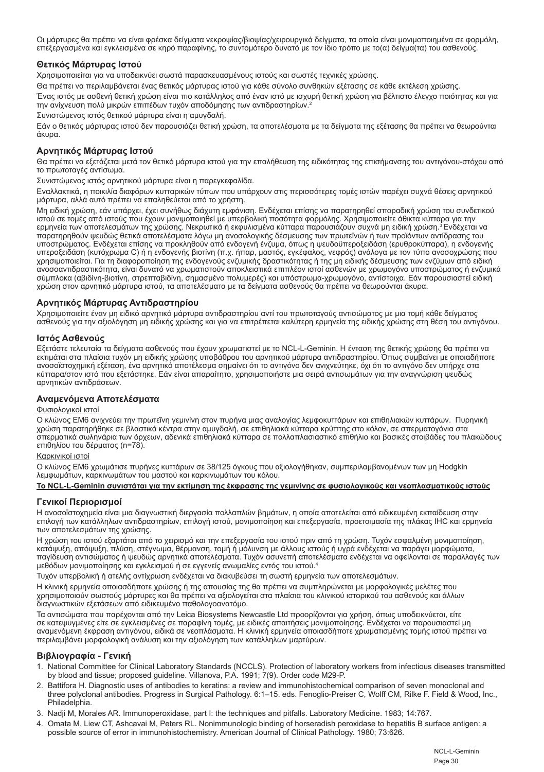Οι μάρτυρες θα πρέπει να είναι φρέσκα δείγματα νεκροψίας/βιοψίας/χειρουργικά δείγματα, τα οποία είναι μονιμοποιημένα σε φορμόλη, επεξεργασμένα και εγκλεισμένα σε κηρό παραφίνης, το συντομότερο δυνατό με τον ίδιο τρόπο με το(α) δείγμα(τα) του ασθενούς.

#### **Θετικός Μάρτυρας Ιστού**

Χρησιμοποιείται για να υποδεικνύει σωστά παρασκευασμένους ιστούς και σωστές τεχνικές χρώσης.

Θα πρέπει να περιλαμβάνεται ένας θετικός μάρτυρας ιστού για κάθε σύνολο συνθηκών εξέτασης σε κάθε εκτέλεση χρώσης.

Ένας ιστός με ασθενή θετική χρώση είναι πιο κατάλληλος από έναν ιστό με ισχυρή θετική χρώση για βέλτιστο έλεγχο ποιότητας και για την ανίχνευση πολύ μικρών επιπέδων τυχόν αποδόμησης των αντιδραστηρίων.<sup>2</sup>

Συνιστώμενος ιστός θετικού μάρτυρα είναι η αμυγδαλή.

Εάν ο θετικός μάρτυρας ιστού δεν παρουσιάζει θετική χρώση, τα αποτελέσματα με τα δείγματα της εξέτασης θα πρέπει να θεωρούνται άκυρα.

#### **Αρνητικός Μάρτυρας Ιστού**

Θα πρέπει να εξετάζεται μετά τον θετικό μάρτυρα ιστού για την επαλήθευση της ειδικότητας της επισήμανσης του αντιγόνου-στόχου από το πρωτοταγές αντίσωμα.

Συνιστώμενος ιστός αρνητικού μάρτυρα είναι η παρεγκεφαλίδα.

Εναλλακτικά, η ποικιλία διαφόρων κυτταρικών τύπων που υπάρχουν στις περισσότερες τομές ιστών παρέχει συχνά θέσεις αρνητικού μάρτυρα, αλλά αυτό πρέπει να επαληθεύεται από το χρήστη.

Μη ειδική χρώση, εάν υπάρχει, έχει συνήθως διάχυτη εμφάνιση. Ενδέχεται επίσης να παρατηρηθεί σποραδική χρώση του συνδετικού ιστού σε τομές από ιστούς που έχουν μονιμοποιηθεί με υπερβολική ποσότητα φορμόλης. Χρησιμοποιείτε άθικτα κύτταρα για την ερμηνεία των αποτελεσμάτων της χρώσης. Νεκρωτικά ή εκφυλισμένα κύτταρα παρουσιάζουν συχνά μη ειδική χρώση.3 Ενδέχεται να παρατηρηθούν ψευδώς θετικά αποτελέσματα λόγω μη ανοσολογικής δέσμευσης των πρωτεϊνών ή των προϊόντων αντίδρασης του υποστρώματος. Ενδέχεται επίσης να προκληθούν από ενδογενή ένζυμα, όπως η ψευδοϋπεροξειδάση (ερυθροκύτταρα), η ενδογενής υπεροξειδάση (κυτόχρωμα C) ή η ενδογενής βιοτίνη (π.χ. ήπαρ, μαστός, εγκέφαλος, νεφρός) ανάλογα με τον τύπο ανοσοχρώσης που<br>χρησιμοποιείται. Για τη διαφοροποίηση της ενδογενούς ενζυμικής δραστικότητας ή της μη ειδικής δέσ ανοσοαντιδραστικότητα, είναι δυνατό να χρωματιστούν αποκλειστικά επιπλέον ιστοί ασθενών με χρωμογόνο υποστρώματος ή ενζυμικά σύμπλοκα (αβιδίνη-βιοτίνη, στρεπταβιδίνη, σημασμένο πολυμερές) και υπόστρωμα-χρωμογόνο, αντίστοιχα. Εάν παρουσιαστεί ειδική χρώση στον αρνητικό μάρτυρα ιστού, τα αποτελέσματα με τα δείγματα ασθενούς θα πρέπει να θεωρούνται άκυρα.

#### **Αρνητικός Μάρτυρας Αντιδραστηρίου**

Χρησιμοποιείτε έναν μη ειδικό αρνητικό μάρτυρα αντιδραστηρίου αντί του πρωτοταγούς αντισώματος με μια τομή κάθε δείγματος ασθενούς για την αξιολόγηση μη ειδικής χρώσης και για να επιτρέπεται καλύτερη ερμηνεία της ειδικής χρώσης στη θέση του αντιγόνου.

#### **Ιστός Ασθενούς**

Εξετάστε τελευταία τα δείγματα ασθενούς που έχουν χρωματιστεί με το NCL-L-Geminin. Η ένταση της θετικής χρώσης θα πρέπει να<br>εκτιμάται στα πλαίσια τυχόν μη ειδικής χρώσης υποβάθρου του αρνητικού μάρτυρα αντιδραστηρίου. Όπω ανοσοϊστοχημική εξέταση, ένα αρνητικό αποτέλεσμα σημαίνει ότι το αντιγόνο δεν ανιχνεύτηκε, όχι ότι το αντιγόνο δεν υπήρχε στα κύτταρα/στον ιστό που εξετάστηκε. Εάν είναι απαραίτητο, χρησιμοποιήστε μια σειρά αντισωμάτων για την αναγνώριση ψευδώς αρνητικών αντιδράσεων.

#### **Αναμενόμενα Αποτελέσματα**

#### Φυσιολογικοί ιστοί

Ο κλώνος EM6 ανιχνεύει την πρωτεΐνη γεμινίνη στον πυρήνα μιας αναλογίας λεμφοκυττάρων και επιθηλιακών κυττάρων. Πυρηνική χρώση παρατηρήθηκε σε βλαστικά κέντρα στην αμυγδαλή, σε επιθηλιακά κύτταρα κρύπτης στο κόλον, σε σπερματογόνια στα σπερματικά σωληνάρια των όρχεων, αδενικά επιθηλιακά κύτταρα σε πολλαπλασιαστικό επιθήλιο και βασικές στοιβάδες του πλακώδους επιθηλίου του δέρματος (n=78).

#### Καρκινικοί ιστοί

Ο κλώνος EM6 χρωμάτισε πυρήνες κυττάρων σε 38/125 όγκους που αξιολογήθηκαν, συμπεριλαμβανομένων των μη Hodgkin λεμφωμάτων, καρκινωμάτων του μαστού και καρκινωμάτων του κόλου.

**Το NCL-L-Geminin συνιστάται για την εκτίμηση της έκφρασης της γεμινίνης σε φυσιολογικούς και νεοπλασματικούς ιστούς**

#### **Γενικοί Περιορισμοί**

Η ανοσοϊστοχημεία είναι μια διαγνωστική διεργασία πολλαπλών βημάτων, η οποία αποτελείται από ειδικευμένη εκπαίδευση στην επιλογή των κατάλληλων αντιδραστηρίων, επιλογή ιστού, μονιμοποίηση και επεξεργασία, προετοιμασία της πλάκας IHC και ερμηνεία των αποτελεσμάτων της χρώσης.

Η χρώση του ιστού εξαρτάται από το χειρισμό και την επεξεργασία του ιστού πριν από τη χρώση. Τυχόν εσφαλμένη μονιμοποίηση,<br>κατάψυξη, απόψυξη, πλύση, στέγνωμα, θέρμανση, τομή ή μόλυνση με άλλους ιστούς ή υγρά ενδέχεται να παγίδευση αντισώματος ή ψευδώς αρνητικά αποτελέσματα. Τυχόν ασυνεπή αποτελέσματα ενδέχεται να οφείλονται σε παραλλαγές των μεθόδων μονιμοποίησης και εγκλεισμού ή σε εγγενείς ανωμαλίες εντός του ιστού.4

Τυχόν υπερβολική ή ατελής αντίχρωση ενδέχεται να διακυβεύσει τη σωστή ερμηνεία των αποτελεσμάτων.

Η κλινική ερμηνεία οποιασδήποτε χρώσης ή της απουσίας της θα πρέπει να συμπληρώνεται με μορφολογικές μελέτες που χρησιμοποιούν σωστούς μάρτυρες και θα πρέπει να αξιολογείται στα πλαίσια του κλινικού ιστορικού του ασθενούς και άλλων διαγνωστικών εξετάσεων από ειδικευμένο παθολογοανατόμο.

Τα αντισώματα που παρέχονται από την Leica Biosystems Newcastle Ltd προορίζονται για χρήση, όπως υποδεικνύεται, είτε σε κατεψυγμένες είτε σε εγκλεισμένες σε παραφίνη τομές, με ειδικές απαιτήσεις μονιμοποίησης. Ενδέχεται να παρουσιαστεί μη αναμενόμενη έκφραση αντιγόνου, ειδικά σε νεοπλάσματα. Η κλινική ερμηνεία οποιασδήποτε χρωματισμένης τομής ιστού πρέπει να περιλαμβάνει μορφολογική ανάλυση και την αξιολόγηση των κατάλληλων μαρτύρων.

#### **Βιβλιογραφία - Γενική**

- 1. National Committee for Clinical Laboratory Standards (NCCLS). Protection of laboratory workers from infectious diseases transmitted by blood and tissue; proposed guideline. Villanova, P.A. 1991; 7(9). Order code M29-P.
- 2. Battifora H. Diagnostic uses of antibodies to keratins: a review and immunohistochemical comparison of seven monoclonal and three polyclonal antibodies. Progress in Surgical Pathology. 6:1–15. eds. Fenoglio-Preiser C, Wolff CM, Rilke F. Field & Wood, Inc., Philadelphia.
- 3. Nadji M, Morales AR. Immunoperoxidase, part I: the techniques and pitfalls. Laboratory Medicine. 1983; 14:767.
- 4. Omata M, Liew CT, Ashcavai M, Peters RL. Nonimmunologic binding of horseradish peroxidase to hepatitis B surface antigen: a possible source of error in immunohistochemistry. American Journal of Clinical Pathology. 1980; 73:626.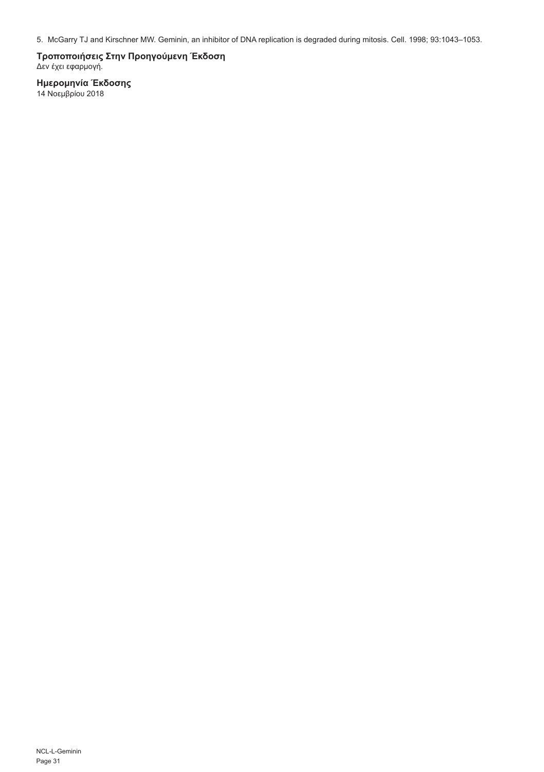5. McGarry TJ and Kirschner MW. Geminin, an inhibitor of DNA replication is degraded during mitosis. Cell. 1998; 93:1043–1053.

**Τροποποιήσεις Στην Προηγούμενη Έκδοση** Δεν έχει εφαρμογή.

**Ημερομηνία Έκδοσης**<br>14 Νοεμβρίου 2018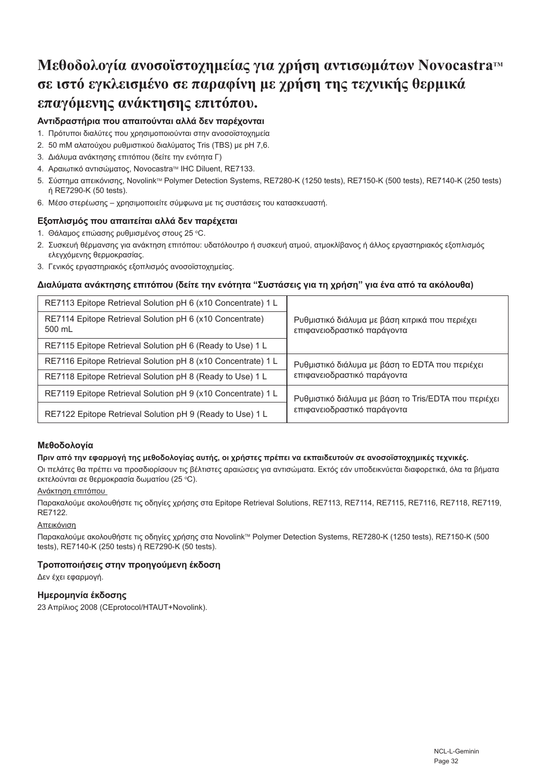## **Μεθοδολογία ανοσοϊστοχημείας για χρήση αντισωμάτων NovocastraTM σε ιστό εγκλεισμένο σε παραφίνη με χρήση της τεχνικής θερμικά επαγόμενης ανάκτησης επιτόπου.**

#### **Αντιδραστήρια που απαιτούνται αλλά δεν παρέχονται**

- 1. Πρότυποι διαλύτες που χρησιμοποιούνται στην ανοσοϊστοχημεία
- 2. 50 mM αλατούχου ρυθμιστικού διαλύματος Tris (TBS) με pH 7,6.
- 3. Διάλυμα ανάκτησης επιτόπου (δείτε την ενότητα Γ)
- 4. Αραιωτικό αντισώματος, Novocastra<sup>m</sup> IHC Diluent, RE7133.
- 5. Σύστημα απεικόνισης, NovolinkTM Polymer Detection Systems, RE7280-K (1250 tests), RE7150-K (500 tests), RE7140-K (250 tests) ή RE7290-K (50 tests).
- 6. Μέσο στερέωσης χρησιμοποιείτε σύμφωνα με τις συστάσεις του κατασκευαστή.

#### **Εξοπλισμός που απαιτείται αλλά δεν παρέχεται**

- 1. Θάλαμος επώασης ρυθμισμένος στους 25 °C.
- 2. Συσκευή θέρμανσης για ανάκτηση επιτόπου: υδατόλουτρο ή συσκευή ατμού, ατμοκλίβανος ή άλλος εργαστηριακός εξοπλισμός ελεγχόμενης θερμοκρασίας.
- 3. Γενικός εργαστηριακός εξοπλισμός ανοσοϊστοχημείας.

#### **Διαλύματα ανάκτησης επιτόπου (δείτε την ενότητα "Συστάσεις για τη χρήση" για ένα από τα ακόλουθα)**

| RE7113 Epitope Retrieval Solution pH 6 (x10 Concentrate) 1 L       | Ρυθμιστικό διάλυμα με βάση κιτρικά που περιέχει<br>επιφανειοδραστικό παράγοντα      |
|--------------------------------------------------------------------|-------------------------------------------------------------------------------------|
| RE7114 Epitope Retrieval Solution pH 6 (x10 Concentrate)<br>500 mL |                                                                                     |
| RE7115 Epitope Retrieval Solution pH 6 (Ready to Use) 1 L          |                                                                                     |
| RE7116 Epitope Retrieval Solution pH 8 (x10 Concentrate) 1 L       | Ρυθμιστικό διάλυμα με βάση το ΕDTA που περιέχει<br>επιφανειοδραστικό παράγοντα      |
| RE7118 Epitope Retrieval Solution pH 8 (Ready to Use) 1 L          |                                                                                     |
| RE7119 Epitope Retrieval Solution pH 9 (x10 Concentrate) 1 L       | Ρυθμιστικό διάλυμα με βάση το Tris/EDTA που περιέχει<br>επιφανειοδραστικό παράγοντα |
| RE7122 Epitope Retrieval Solution pH 9 (Ready to Use) 1 L          |                                                                                     |

#### **Μεθοδολογία**

#### **Πριν από την εφαρμογή της μεθοδολογίας αυτής, οι χρήστες πρέπει να εκπαιδευτούν σε ανοσοϊστοχημικές τεχνικές.**

Οι πελάτες θα πρέπει να προσδιορίσουν τις βέλτιστες αραιώσεις για αντισώματα. Εκτός εάν υποδεικνύεται διαφορετικά, όλα τα βήματα εκτελούνται σε θερμοκρασία δωματίου (25 °C).

#### Ανάκτηση επιτόπου

Παρακαλούμε ακολουθήστε τις οδηγίες χρήσης στα Epitope Retrieval Solutions, RE7113, RE7114, RE7115, RE7116, RE7118, RE7119, RE7122.

#### Απεικόνιση

Παρακαλούμε ακολουθήστε τις οδηγίες χρήσης στα NovolinkTM Polymer Detection Systems, RE7280-K (1250 tests), RE7150-K (500 tests), RE7140-K (250 tests) ή RE7290-K (50 tests).

#### **Τροποποιήσεις στην προηγούμενη έκδοση**

Δεν έχει εφαρμογή.

#### **Ημερομηνία έκδοσης**

23 Απρίλιος 2008 (CEprotocol/HTAUT+Novolink).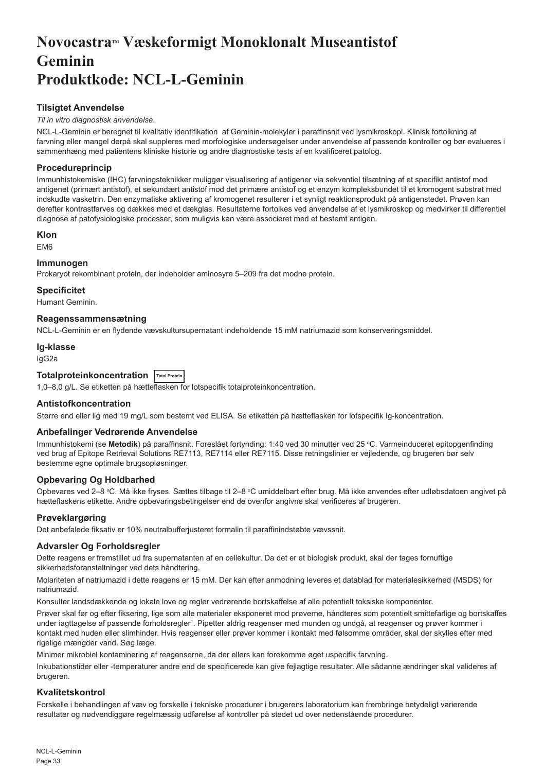## <span id="page-33-0"></span>**NovocastraTM Væskeformigt Monoklonalt Museantistof Geminin Produktkode: NCL-L-Geminin**

#### **Tilsigtet Anvendelse**

#### *Til in vitro diagnostisk anvendelse*.

NCL-L-Geminin er beregnet til kvalitativ identifikation af Geminin-molekyler i paraffinsnit ved lysmikroskopi. Klinisk fortolkning af farvning eller mangel derpå skal suppleres med morfologiske undersøgelser under anvendelse af passende kontroller og bør evalueres i sammenhæng med patientens kliniske historie og andre diagnostiske tests af en kvalificeret patolog.

#### **Procedureprincip**

Immunhistokemiske (IHC) farvningsteknikker muliggør visualisering af antigener via sekventiel tilsætning af et specifikt antistof mod antigenet (primært antistof), et sekundært antistof mod det primære antistof og et enzym kompleksbundet til et kromogent substrat med indskudte vasketrin. Den enzymatiske aktivering af kromogenet resulterer i et synligt reaktionsprodukt på antigenstedet. Prøven kan derefter kontrastfarves og dækkes med et dækglas. Resultaterne fortolkes ved anvendelse af et lysmikroskop og medvirker til differentiel diagnose af patofysiologiske processer, som muligvis kan være associeret med et bestemt antigen.

#### **Klon**

EM6

#### **Immunogen**

Prokaryot rekombinant protein, der indeholder aminosyre 5–209 fra det modne protein.

#### **Specificitet**

Humant Geminin.

#### **Reagenssammensætning**

NCL-L-Geminin er en flydende vævskultursupernatant indeholdende 15 mM natriumazid som konserveringsmiddel.

#### **Ig-klasse**

IgG2a

### **Totalproteinkoncentration Total Protein**

1,0–8,0 g/L. Se etiketten på hætteflasken for lotspecifik totalproteinkoncentration.

#### **Antistofkoncentration**

Større end eller lig med 19 mg/L som bestemt ved ELISA. Se etiketten på hætteflasken for lotspecifik Ig-koncentration.

#### **Anbefalinger Vedrørende Anvendelse**

Immunhistokemi (se **Metodik**) på paraffinsnit. Foreslået fortynding: 1:40 ved 30 minutter ved 25 °C. Varmeinduceret epitopgenfinding ved brug af Epitope Retrieval Solutions RE7113, RE7114 eller RE7115. Disse retningslinier er vejledende, og brugeren bør selv bestemme egne optimale brugsopløsninger.

#### **Opbevaring Og Holdbarhed**

Opbevares ved 2–8 °C. Må ikke fryses. Sættes tilbage til 2–8 °C umiddelbart efter brug. Må ikke anvendes efter udløbsdatoen angivet på hætteflaskens etikette. Andre opbevaringsbetingelser end de ovenfor angivne skal verificeres af brugeren.

#### **Prøveklargøring**

Det anbefalede fiksativ er 10% neutralbufferjusteret formalin til paraffinindstøbte vævssnit.

#### **Advarsler Og Forholdsregler**

Dette reagens er fremstillet ud fra supernatanten af en cellekultur. Da det er et biologisk produkt, skal der tages fornuftige sikkerhedsforanstaltninger ved dets håndtering.

Molariteten af natriumazid i dette reagens er 15 mM. Der kan efter anmodning leveres et datablad for materialesikkerhed (MSDS) for natriumazid.

Konsulter landsdækkende og lokale love og regler vedrørende bortskaffelse af alle potentielt toksiske komponenter.

Prøver skal før og efter fiksering, lige som alle materialer eksponeret mod prøverne, håndteres som potentielt smittefarlige og bortskaffes under iagttagelse af passende forholdsregler<sup>1</sup>. Pipetter aldrig reagenser med munden og undgå, at reagenser og prøver kommer i kontakt med huden eller slimhinder. Hvis reagenser eller prøver kommer i kontakt med følsomme områder, skal der skylles efter med rigelige mængder vand. Søg læge.

Minimer mikrobiel kontaminering af reagenserne, da der ellers kan forekomme øget uspecifik farvning.

Inkubationstider eller -temperaturer andre end de specificerede kan give fejlagtige resultater. Alle sådanne ændringer skal valideres af brugeren.

#### **Kvalitetskontrol**

Forskelle i behandlingen af væv og forskelle i tekniske procedurer i brugerens laboratorium kan frembringe betydeligt varierende resultater og nødvendiggøre regelmæssig udførelse af kontroller på stedet ud over nedenstående procedurer.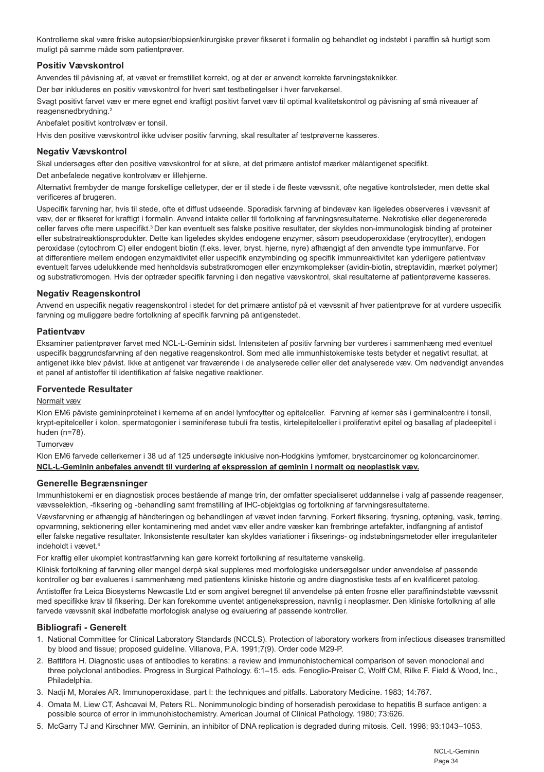Kontrollerne skal være friske autopsier/biopsier/kirurgiske prøver fikseret i formalin og behandlet og indstøbt i paraffin så hurtigt som muligt på samme måde som patientprøver.

#### **Positiv Vævskontrol**

Anvendes til påvisning af, at vævet er fremstillet korrekt, og at der er anvendt korrekte farvningsteknikker.

Der bør inkluderes en positiv vævskontrol for hvert sæt testbetingelser i hver farvekørsel.

Svagt positivt farvet væv er mere egnet end kraftigt positivt farvet væv til optimal kvalitetskontrol og påvisning af små niveauer af reagensnedbrydning.<sup>2</sup>

Anbefalet positivt kontrolvæv er tonsil.

Hvis den positive vævskontrol ikke udviser positiv farvning, skal resultater af testprøverne kasseres.

#### **Negativ Vævskontrol**

Skal undersøges efter den positive vævskontrol for at sikre, at det primære antistof mærker målantigenet specifikt.

Det anbefalede negative kontrolvæv er lillehjerne.

Alternativt frembyder de mange forskellige celletyper, der er til stede i de fleste vævssnit, ofte negative kontrolsteder, men dette skal verificeres af brugeren.

Uspecifik farvning har, hvis til stede, ofte et diffust udseende. Sporadisk farvning af bindevæv kan ligeledes observeres i vævssnit af væv, der er fikseret for kraftigt i formalin. Anvend intakte celler til fortolkning af farvningsresultaterne. Nekrotiske eller degenererede celler farves ofte mere uspecifikt.<sup>3</sup> Der kan eventuelt ses falske positive resultater, der skyldes non-immunologisk binding af proteiner eller substratreaktionsprodukter. Dette kan ligeledes skyldes endogene enzymer, såsom pseudoperoxidase (erytrocytter), endogen peroxidase (cytochrom C) eller endogent biotin (f.eks. lever, bryst, hjerne, nyre) afhængigt af den anvendte type immunfarve. For at differentiere mellem endogen enzymaktivitet eller uspecifik enzymbinding og specifik immunreaktivitet kan yderligere patientvæv eventuelt farves udelukkende med henholdsvis substratkromogen eller enzymkomplekser (avidin-biotin, streptavidin, mærket polymer) og substratkromogen. Hvis der optræder specifik farvning i den negative vævskontrol, skal resultaterne af patientprøverne kasseres.

#### **Negativ Reagenskontrol**

Anvend en uspecifik negativ reagenskontrol i stedet for det primære antistof på et vævssnit af hver patientprøve for at vurdere uspecifik farvning og muliggøre bedre fortolkning af specifik farvning på antigenstedet.

#### **Patientvæv**

Eksaminer patientprøver farvet med NCL-L-Geminin sidst. Intensiteten af positiv farvning bør vurderes i sammenhæng med eventuel uspecifik baggrundsfarvning af den negative reagenskontrol. Som med alle immunhistokemiske tests betyder et negativt resultat, at antigenet ikke blev påvist. Ikke at antigenet var fraværende i de analyserede celler eller det analyserede væv. Om nødvendigt anvendes et panel af antistoffer til identifikation af falske negative reaktioner.

#### **Forventede Resultater**

#### Normalt væv

Klon EM6 påviste gemininproteinet i kernerne af en andel lymfocytter og epitelceller. Farvning af kerner sås i germinalcentre i tonsil, krypt-epitelceller i kolon, spermatogonier i seminiferøse tubuli fra testis, kirtelepitelceller i proliferativt epitel og basallag af pladeepitel i huden (n=78).

#### Tumorvæv

Klon EM6 farvede cellerkerner i 38 ud af 125 undersøgte inklusive non-Hodgkins lymfomer, brystcarcinomer og koloncarcinomer. **NCL-L-Geminin anbefales anvendt til vurdering af ekspression af geminin i normalt og neoplastisk væv.**

#### **Generelle Begrænsninger**

Immunhistokemi er en diagnostisk proces bestående af mange trin, der omfatter specialiseret uddannelse i valg af passende reagenser, vævsselektion, -fiksering og -behandling samt fremstilling af IHC-objektglas og fortolkning af farvningsresultaterne.

Vævsfarvning er afhængig af håndteringen og behandlingen af vævet inden farvning. Forkert fiksering, frysning, optøning, vask, tørring, opvarmning, sektionering eller kontaminering med andet væv eller andre væsker kan frembringe artefakter, indfangning af antistof eller falske negative resultater. Inkonsistente resultater kan skyldes variationer i fikserings- og indstøbningsmetoder eller irregulariteter indeholdt i vævet.4

For kraftig eller ukomplet kontrastfarvning kan gøre korrekt fortolkning af resultaterne vanskelig.

Klinisk fortolkning af farvning eller mangel derpå skal suppleres med morfologiske undersøgelser under anvendelse af passende kontroller og bør evalueres i sammenhæng med patientens kliniske historie og andre diagnostiske tests af en kvalificeret patolog.

Antistoffer fra Leica Biosystems Newcastle Ltd er som angivet beregnet til anvendelse på enten frosne eller paraffinindstøbte vævssnit med specifikke krav til fiksering. Der kan forekomme uventet antigenekspression, navnlig i neoplasmer. Den kliniske fortolkning af alle farvede vævssnit skal indbefatte morfologisk analyse og evaluering af passende kontroller.

#### **Bibliografi - Generelt**

- 1. National Committee for Clinical Laboratory Standards (NCCLS). Protection of laboratory workers from infectious diseases transmitted by blood and tissue; proposed guideline. Villanova, P.A. 1991;7(9). Order code M29-P.
- 2. Battifora H. Diagnostic uses of antibodies to keratins: a review and immunohistochemical comparison of seven monoclonal and three polyclonal antibodies. Progress in Surgical Pathology. 6:1–15. eds. Fenoglio-Preiser C, Wolff CM, Rilke F. Field & Wood, Inc., Philadelphia.
- 3. Nadji M, Morales AR. Immunoperoxidase, part I: the techniques and pitfalls. Laboratory Medicine. 1983; 14:767.
- 4. Omata M, Liew CT, Ashcavai M, Peters RL. Nonimmunologic binding of horseradish peroxidase to hepatitis B surface antigen: a possible source of error in immunohistochemistry. American Journal of Clinical Pathology. 1980; 73:626.
- 5. McGarry TJ and Kirschner MW. Geminin, an inhibitor of DNA replication is degraded during mitosis. Cell. 1998; 93:1043–1053.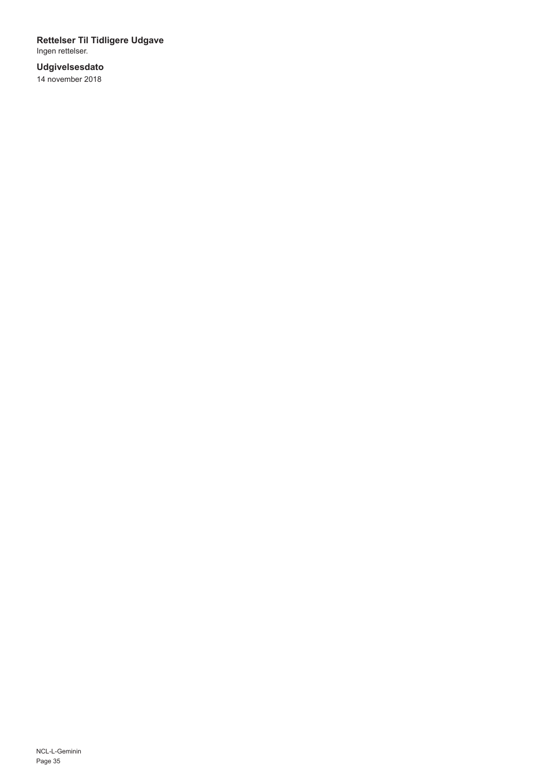# **Rettelser Til Tidligere Udgave** Ingen rettelser.

### **Udgivelsesdato** 14 november 2018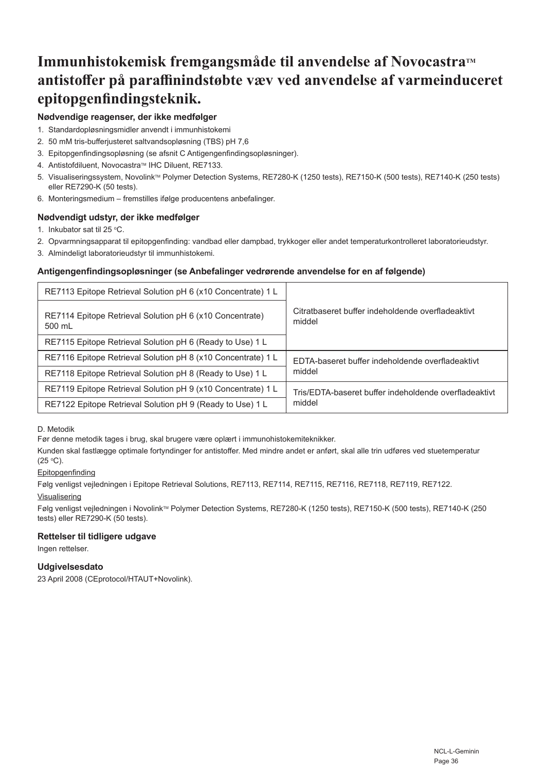# **Immunhistokemisk fremgangsmåde til anvendelse af NovocastraTM antistoffer på paraffinindstøbte væv ved anvendelse af varmeinduceret epitopgenfindingsteknik.**

# **Nødvendige reagenser, der ikke medfølger**

- 1. Standardopløsningsmidler anvendt i immunhistokemi
- 2. 50 mM tris-bufferjusteret saltvandsopløsning (TBS) pH 7,6
- 3. Epitopgenfindingsopløsning (se afsnit C Antigengenfindingsopløsninger).
- 4. Antistofdiluent, Novocastra™ IHC Diluent, RE7133.
- 5. Visualiseringssystem, Novolink™ Polymer Detection Systems, RE7280-K (1250 tests), RE7150-K (500 tests), RE7140-K (250 tests) eller RE7290-K (50 tests).
- 6. Monteringsmedium fremstilles ifølge producentens anbefalinger.

# **Nødvendigt udstyr, der ikke medfølger**

- 1. Inkubator sat til 25  $^{\circ}$ C.
- 2. Opvarmningsapparat til epitopgenfinding: vandbad eller dampbad, trykkoger eller andet temperaturkontrolleret laboratorieudstyr.
- 3. Almindeligt laboratorieudstyr til immunhistokemi.

# **Antigengenfindingsopløsninger (se Anbefalinger vedrørende anvendelse for en af følgende)**

| RE7113 Epitope Retrieval Solution pH 6 (x10 Concentrate) 1 L       |                                                             |
|--------------------------------------------------------------------|-------------------------------------------------------------|
| RE7114 Epitope Retrieval Solution pH 6 (x10 Concentrate)<br>500 mL | Citratbaseret buffer indeholdende overfladeaktivt<br>middel |
| RE7115 Epitope Retrieval Solution pH 6 (Ready to Use) 1 L          |                                                             |
| RE7116 Epitope Retrieval Solution pH 8 (x10 Concentrate) 1 L       | FDTA-baseret buffer indeholdende overfladeaktivt            |
| RE7118 Epitope Retrieval Solution pH 8 (Ready to Use) 1 L          | middel                                                      |
| RE7119 Epitope Retrieval Solution pH 9 (x10 Concentrate) 1 L       | Tris/EDTA-baseret buffer indeholdende overfladeaktivt       |
| RE7122 Epitope Retrieval Solution pH 9 (Ready to Use) 1 L          | middel                                                      |

D. Metodik

Før denne metodik tages i brug, skal brugere være oplært i immunohistokemiteknikker.

Kunden skal fastlægge optimale fortyndinger for antistoffer. Med mindre andet er anført, skal alle trin udføres ved stuetemperatur (25 <sup>o</sup> C).

#### **Epitopgenfinding**

Følg venligst vejledningen i Epitope Retrieval Solutions, RE7113, RE7114, RE7115, RE7116, RE7118, RE7119, RE7122. Visualisering

Følg venligst vejledningen i Novolink™ Polymer Detection Systems, RE7280-K (1250 tests), RE7150-K (500 tests), RE7140-K (250 tests) eller RE7290-K (50 tests).

# **Rettelser til tidligere udgave**

Ingen rettelser.

# **Udgivelsesdato**

23 April 2008 (CEprotocol/HTAUT+Novolink).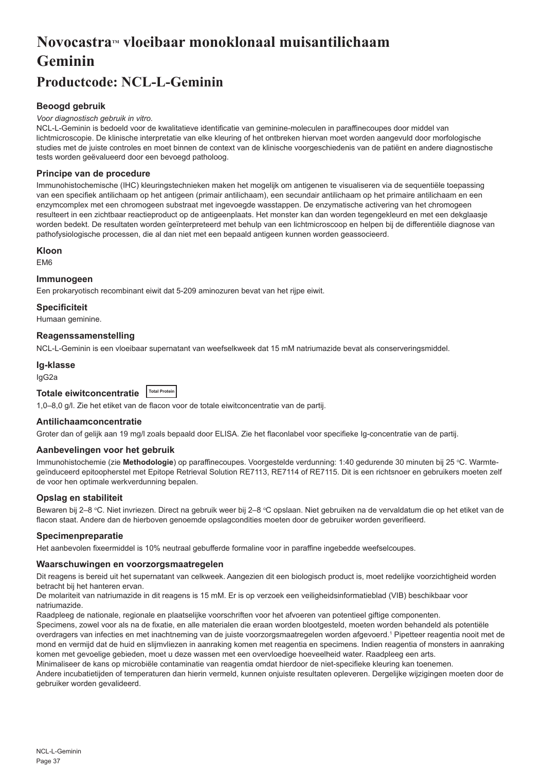# **NovocastraTM vloeibaar monoklonaal muisantilichaam Geminin**

# **Productcode: NCL-L-Geminin**

# **Beoogd gebruik**

#### *Voor diagnostisch gebruik in vitro.*

NCL-L-Geminin is bedoeld voor de kwalitatieve identificatie van geminine-moleculen in paraffinecoupes door middel van lichtmicroscopie. De klinische interpretatie van elke kleuring of het ontbreken hiervan moet worden aangevuld door morfologische studies met de juiste controles en moet binnen de context van de klinische voorgeschiedenis van de patiënt en andere diagnostische tests worden geëvalueerd door een bevoegd patholoog.

#### **Principe van de procedure**

Immunohistochemische (IHC) kleuringstechnieken maken het mogelijk om antigenen te visualiseren via de sequentiële toepassing van een specifiek antilichaam op het antigeen (primair antilichaam), een secundair antilichaam op het primaire antilichaam en een enzymcomplex met een chromogeen substraat met ingevoegde wasstappen. De enzymatische activering van het chromogeen resulteert in een zichtbaar reactieproduct op de antigeenplaats. Het monster kan dan worden tegengekleurd en met een dekglaasje worden bedekt. De resultaten worden geïnterpreteerd met behulp van een lichtmicroscoop en helpen bij de differentiële diagnose van pathofysiologische processen, die al dan niet met een bepaald antigeen kunnen worden geassocieerd.

#### **Kloon**

EM6

### **Immunogeen**

Een prokaryotisch recombinant eiwit dat 5-209 aminozuren bevat van het rijpe eiwit.

#### **Specificiteit**

Humaan geminine.

# **Reagenssamenstelling**

NCL-L-Geminin is een vloeibaar supernatant van weefselkweek dat 15 mM natriumazide bevat als conserveringsmiddel.

#### **Ig-klasse**

IgG2a

| Totale eiwitconcentratie Total Protein |  |  |
|----------------------------------------|--|--|
|----------------------------------------|--|--|

1,0–8,0 g/l. Zie het etiket van de flacon voor de totale eiwitconcentratie van de partij.

#### **Antilichaamconcentratie**

Groter dan of gelijk aan 19 mg/l zoals bepaald door ELISA. Zie het flaconlabel voor specifieke Ig-concentratie van de partij.

#### **Aanbevelingen voor het gebruik**

lmmunohistochemie (zie **Methodologie**) op paraffinecoupes. Voorgestelde verdunning: 1:40 gedurende 30 minuten bij 25 °C. Warmtegeïnduceerd epitoopherstel met Epitope Retrieval Solution RE7113, RE7114 of RE7115. Dit is een richtsnoer en gebruikers moeten zelf de voor hen optimale werkverdunning bepalen.

#### **Opslag en stabiliteit**

Bewaren bij 2–8 °C. Niet invriezen. Direct na gebruik weer bij 2–8 °C opslaan. Niet gebruiken na de vervaldatum die op het etiket van de flacon staat. Andere dan de hierboven genoemde opslagcondities moeten door de gebruiker worden geverifieerd.

#### **Specimenpreparatie**

Het aanbevolen fixeermiddel is 10% neutraal gebufferde formaline voor in paraffine ingebedde weefselcoupes.

#### **Waarschuwingen en voorzorgsmaatregelen**

Dit reagens is bereid uit het supernatant van celkweek. Aangezien dit een biologisch product is, moet redelijke voorzichtigheid worden betracht bij het hanteren ervan.

De molariteit van natriumazide in dit reagens is 15 mM. Er is op verzoek een veiligheidsinformatieblad (VIB) beschikbaar voor natriumazide.

Raadpleeg de nationale, regionale en plaatselijke voorschriften voor het afvoeren van potentieel giftige componenten.

Specimens, zowel voor als na de fixatie, en alle materialen die eraan worden blootgesteld, moeten worden behandeld als potentiële overdragers van infecties en met inachtneming van de juiste voorzorgsmaatregelen worden afgevoerd.1 Pipetteer reagentia nooit met de mond en vermijd dat de huid en slijmvliezen in aanraking komen met reagentia en specimens. Indien reagentia of monsters in aanraking komen met gevoelige gebieden, moet u deze wassen met een overvloedige hoeveelheid water. Raadpleeg een arts.

Minimaliseer de kans op microbiële contaminatie van reagentia omdat hierdoor de niet-specifieke kleuring kan toenemen.

Andere incubatietijden of temperaturen dan hierin vermeld, kunnen onjuiste resultaten opleveren. Dergelijke wijzigingen moeten door de gebruiker worden gevalideerd.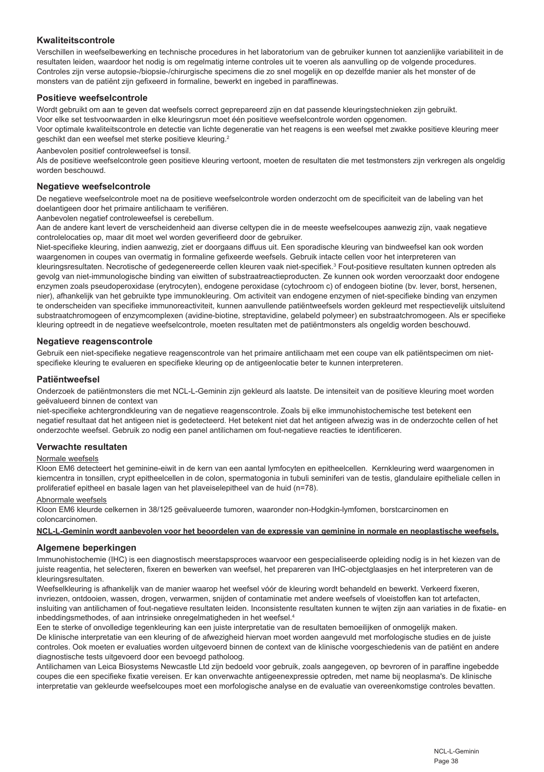# **Kwaliteitscontrole**

Verschillen in weefselbewerking en technische procedures in het laboratorium van de gebruiker kunnen tot aanzienlijke variabiliteit in de resultaten leiden, waardoor het nodig is om regelmatig interne controles uit te voeren als aanvulling op de volgende procedures. Controles zijn verse autopsie-/biopsie-/chirurgische specimens die zo snel mogelijk en op dezelfde manier als het monster of de monsters van de patiënt zijn gefixeerd in formaline, bewerkt en ingebed in paraffinewas.

#### **Positieve weefselcontrole**

Wordt gebruikt om aan te geven dat weefsels correct geprepareerd zijn en dat passende kleuringstechnieken zijn gebruikt. Voor elke set testvoorwaarden in elke kleuringsrun moet één positieve weefselcontrole worden opgenomen. Voor optimale kwaliteitscontrole en detectie van lichte degeneratie van het reagens is een weefsel met zwakke positieve kleuring meer geschikt dan een weefsel met sterke positieve kleuring.<sup>2</sup>

Aanbevolen positief controleweefsel is tonsil.

Als de positieve weefselcontrole geen positieve kleuring vertoont, moeten de resultaten die met testmonsters zijn verkregen als ongeldig worden beschouwd.

#### **Negatieve weefselcontrole**

De negatieve weefselcontrole moet na de positieve weefselcontrole worden onderzocht om de specificiteit van de labeling van het doelantigeen door het primaire antilichaam te verifiëren.

Aanbevolen negatief controleweefsel is cerebellum.

Aan de andere kant levert de verscheidenheid aan diverse celtypen die in de meeste weefselcoupes aanwezig zijn, vaak negatieve controlelocaties op, maar dit moet wel worden geverifieerd door de gebruiker.

Niet-specifieke kleuring, indien aanwezig, ziet er doorgaans diffuus uit. Een sporadische kleuring van bindweefsel kan ook worden waargenomen in coupes van overmatig in formaline gefixeerde weefsels. Gebruik intacte cellen voor het interpreteren van kleuringsresultaten. Necrotische of gedegenereerde cellen kleuren vaak niet-specifiek.<sup>3</sup> Fout-positieve resultaten kunnen optreden als gevolg van niet-immunologische binding van eiwitten of substraatreactieproducten. Ze kunnen ook worden veroorzaakt door endogene enzymen zoals pseudoperoxidase (erytrocyten), endogene peroxidase (cytochroom c) of endogeen biotine (bv. lever, borst, hersenen, nier), afhankelijk van het gebruikte type immunokleuring. Om activiteit van endogene enzymen of niet-specifieke binding van enzymen te onderscheiden van specifieke immunoreactiviteit, kunnen aanvullende patiëntweefsels worden gekleurd met respectievelijk uitsluitend substraatchromogeen of enzymcomplexen (avidine-biotine, streptavidine, gelabeld polymeer) en substraatchromogeen. Als er specifieke kleuring optreedt in de negatieve weefselcontrole, moeten resultaten met de patiëntmonsters als ongeldig worden beschouwd.

#### **Negatieve reagenscontrole**

Gebruik een niet-specifieke negatieve reagenscontrole van het primaire antilichaam met een coupe van elk patiëntspecimen om nietspecifieke kleuring te evalueren en specifieke kleuring op de antigeenlocatie beter te kunnen interpreteren.

#### **Patiëntweefsel**

Onderzoek de patiëntmonsters die met NCL-L-Geminin zijn gekleurd als laatste. De intensiteit van de positieve kleuring moet worden geëvalueerd binnen de context van

niet-specifieke achtergrondkleuring van de negatieve reagenscontrole. Zoals bij elke immunohistochemische test betekent een negatief resultaat dat het antigeen niet is gedetecteerd. Het betekent niet dat het antigeen afwezig was in de onderzochte cellen of het onderzochte weefsel. Gebruik zo nodig een panel antilichamen om fout-negatieve reacties te identificeren.

#### **Verwachte resultaten**

# Normale weefsels

Kloon EM6 detecteert het geminine-eiwit in de kern van een aantal lymfocyten en epitheelcellen. Kernkleuring werd waargenomen in kiemcentra in tonsillen, crypt epitheelcellen in de colon, spermatogonia in tubuli seminiferi van de testis, glandulaire epitheliale cellen in proliferatief epitheel en basale lagen van het plaveiselepitheel van de huid (n=78).

#### Abnormale weefsels

Kloon EM6 kleurde celkernen in 38/125 geëvalueerde tumoren, waaronder non-Hodgkin-lymfomen, borstcarcinomen en coloncarcinomen.

#### **NCL-L-Geminin wordt aanbevolen voor het beoordelen van de expressie van geminine in normale en neoplastische weefsels.**

#### **Algemene beperkingen**

Immunohistochemie (IHC) is een diagnostisch meerstapsproces waarvoor een gespecialiseerde opleiding nodig is in het kiezen van de juiste reagentia, het selecteren, fixeren en bewerken van weefsel, het prepareren van IHC-objectglaasjes en het interpreteren van de kleuringsresultaten.

Weefselkleuring is afhankelijk van de manier waarop het weefsel vóór de kleuring wordt behandeld en bewerkt. Verkeerd fixeren, invriezen, ontdooien, wassen, drogen, verwarmen, snijden of contaminatie met andere weefsels of vloeistoffen kan tot artefacten, insluiting van antilichamen of fout-negatieve resultaten leiden. Inconsistente resultaten kunnen te wijten zijn aan variaties in de fixatie- en inbeddingsmethodes, of aan intrinsieke onregelmatigheden in het weefsel.<sup>4</sup>

Een te sterke of onvolledige tegenkleuring kan een juiste interpretatie van de resultaten bemoeilijken of onmogelijk maken. De klinische interpretatie van een kleuring of de afwezigheid hiervan moet worden aangevuld met morfologische studies en de juiste controles. Ook moeten er evaluaties worden uitgevoerd binnen de context van de klinische voorgeschiedenis van de patiënt en andere diagnostische tests uitgevoerd door een bevoegd patholoog.

Antilichamen van Leica Biosystems Newcastle Ltd zijn bedoeld voor gebruik, zoals aangegeven, op bevroren of in paraffine ingebedde coupes die een specifieke fixatie vereisen. Er kan onverwachte antigeenexpressie optreden, met name bij neoplasma's. De klinische interpretatie van gekleurde weefselcoupes moet een morfologische analyse en de evaluatie van overeenkomstige controles bevatten.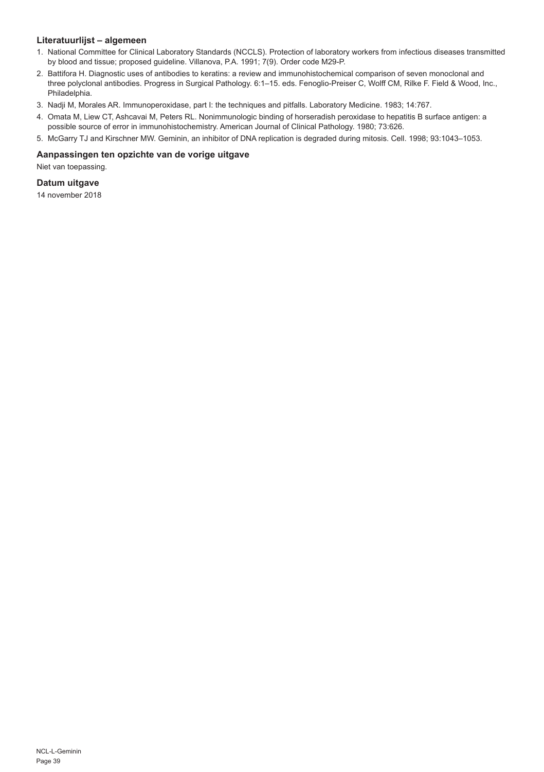# **Literatuurlijst – algemeen**

- 1. National Committee for Clinical Laboratory Standards (NCCLS). Protection of laboratory workers from infectious diseases transmitted by blood and tissue; proposed guideline. Villanova, P.A. 1991; 7(9). Order code M29-P.
- 2. Battifora H. Diagnostic uses of antibodies to keratins: a review and immunohistochemical comparison of seven monoclonal and three polyclonal antibodies. Progress in Surgical Pathology. 6:1–15. eds. Fenoglio-Preiser C, Wolff CM, Rilke F. Field & Wood, Inc., Philadelphia.
- 3. Nadji M, Morales AR. Immunoperoxidase, part I: the techniques and pitfalls. Laboratory Medicine. 1983; 14:767.
- 4. Omata M, Liew CT, Ashcavai M, Peters RL. Nonimmunologic binding of horseradish peroxidase to hepatitis B surface antigen: a possible source of error in immunohistochemistry. American Journal of Clinical Pathology. 1980; 73:626.
- 5. McGarry TJ and Kirschner MW. Geminin, an inhibitor of DNA replication is degraded during mitosis. Cell. 1998; 93:1043–1053.

#### **Aanpassingen ten opzichte van de vorige uitgave**

Niet van toepassing.

# **Datum uitgave**

14 november 2018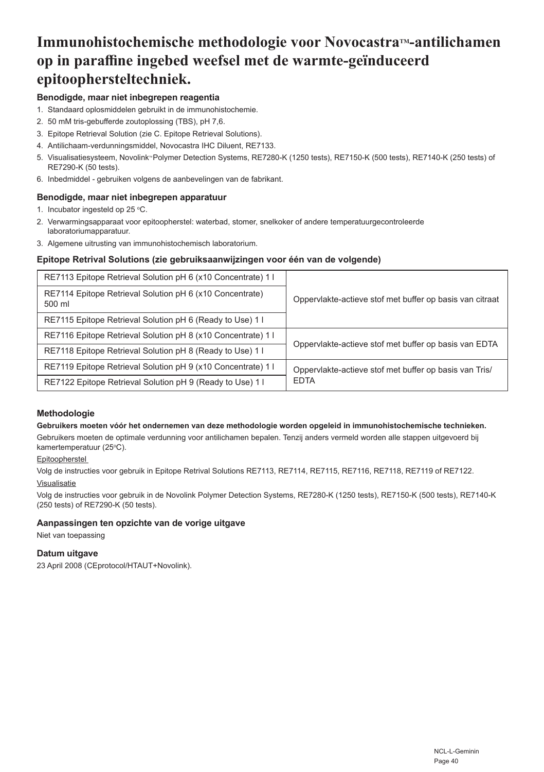# **Immunohistochemische methodologie voor NovocastraTM-antilichamen op in paraffine ingebed weefsel met de warmte-geïnduceerd epitoophersteltechniek.**

# **Benodigde, maar niet inbegrepen reagentia**

- 1. Standaard oplosmiddelen gebruikt in de immunohistochemie.
- 2. 50 mM tris-gebufferde zoutoplossing (TBS), pH 7,6.
- 3. Epitope Retrieval Solution (zie C. Epitope Retrieval Solutions).
- 4. Antilichaam-verdunningsmiddel, Novocastra IHC Diluent, RE7133.
- 5. Visualisatiesysteem, Novolink<sup>a</sup>Polymer Detection Systems, RE7280-K (1250 tests), RE7150-K (500 tests), RE7140-K (250 tests) of RE7290-K (50 tests).
- 6. Inbedmiddel gebruiken volgens de aanbevelingen van de fabrikant.

# **Benodigde, maar niet inbegrepen apparatuur**

- 1. Incubator ingesteld op 25 °C.
- 2. Verwarmingsapparaat voor epitoopherstel: waterbad, stomer, snelkoker of andere temperatuurgecontroleerde laboratoriumapparatuur.
- 3. Algemene uitrusting van immunohistochemisch laboratorium.

# **Epitope Retrival Solutions (zie gebruiksaanwijzingen voor één van de volgende)**

| RE7113 Epitope Retrieval Solution pH 6 (x10 Concentrate) 1         |                                                          |
|--------------------------------------------------------------------|----------------------------------------------------------|
| RE7114 Epitope Retrieval Solution pH 6 (x10 Concentrate)<br>500 ml | Oppervlakte-actieve stof met buffer op basis van citraat |
| RE7115 Epitope Retrieval Solution pH 6 (Ready to Use) 1 I          |                                                          |
| RE7116 Epitope Retrieval Solution pH 8 (x10 Concentrate) 1         | Oppervlakte-actieve stof met buffer op basis van EDTA    |
| RE7118 Epitope Retrieval Solution pH 8 (Ready to Use) 1 I          |                                                          |
| RE7119 Epitope Retrieval Solution pH 9 (x10 Concentrate) 1         | Oppervlakte-actieve stof met buffer op basis van Tris/   |
| RE7122 Epitope Retrieval Solution pH 9 (Ready to Use) 1 I          | <b>EDTA</b>                                              |

#### **Methodologie**

#### **Gebruikers moeten vóór het ondernemen van deze methodologie worden opgeleid in immunohistochemische technieken.**

Gebruikers moeten de optimale verdunning voor antilichamen bepalen. Tenzij anders vermeld worden alle stappen uitgevoerd bij kamertemperatuur (25°C).

#### **Epitoopherstel**

Volg de instructies voor gebruik in Epitope Retrival Solutions RE7113, RE7114, RE7115, RE7116, RE7118, RE7119 of RE7122. Visualisatie

Volg de instructies voor gebruik in de Novolink Polymer Detection Systems, RE7280-K (1250 tests), RE7150-K (500 tests), RE7140-K (250 tests) of RE7290-K (50 tests).

# **Aanpassingen ten opzichte van de vorige uitgave**

Niet van toepassing

# **Datum uitgave**

23 April 2008 (CEprotocol/HTAUT+Novolink).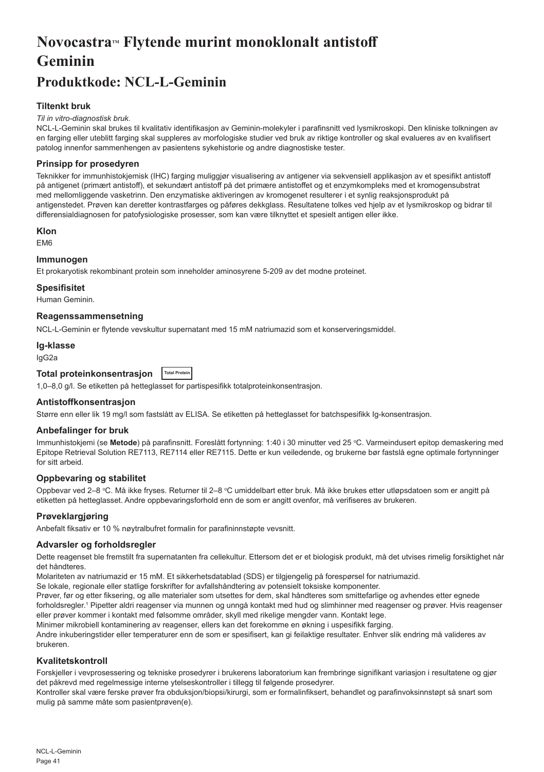# **NovocastraTM Flytende murint monoklonalt antistoff Geminin**

# **Produktkode: NCL-L-Geminin**

# **Tiltenkt bruk**

#### *Til in vitro-diagnostisk bruk.*

NCL-L-Geminin skal brukes til kvalitativ identifikasjon av Geminin-molekyler i parafinsnitt ved lysmikroskopi. Den kliniske tolkningen av en farging eller uteblitt farging skal suppleres av morfologiske studier ved bruk av riktige kontroller og skal evalueres av en kvalifisert patolog innenfor sammenhengen av pasientens sykehistorie og andre diagnostiske tester.

### **Prinsipp for prosedyren**

Teknikker for immunhistokjemisk (IHC) farging muliggjør visualisering av antigener via sekvensiell applikasjon av et spesifikt antistoff på antigenet (primært antistoff), et sekundært antistoff på det primære antistoffet og et enzymkompleks med et kromogensubstrat med mellomliggende vasketrinn. Den enzymatiske aktiveringen av kromogenet resulterer i et synlig reaksjonsprodukt på antigenstedet. Prøven kan deretter kontrastfarges og påføres dekkglass. Resultatene tolkes ved hjelp av et lysmikroskop og bidrar til differensialdiagnosen for patofysiologiske prosesser, som kan være tilknyttet et spesielt antigen eller ikke.

#### **Klon**

EM6

# **Immunogen**

Et prokaryotisk rekombinant protein som inneholder aminosyrene 5-209 av det modne proteinet.

### **Spesifisitet**

Human Geminin.

#### **Reagenssammensetning**

NCL-L-Geminin er flytende vevskultur supernatant med 15 mM natriumazid som et konserveringsmiddel.

#### **Ig-klasse**

IgG2a

# **Total proteinkonsentrasjon Total Protein**

1,0–8,0 g/l. Se etiketten på hetteglasset for partispesifikk totalproteinkonsentrasjon.

#### **Antistoffkonsentrasjon**

Større enn eller lik 19 mg/l som fastslått av ELISA. Se etiketten på hetteglasset for batchspesifikk Ig-konsentrasjon.

#### **Anbefalinger for bruk**

lmmunhistokjemi (se **Metode**) på parafinsnitt. Foreslått fortynning: 1:40 i 30 minutter ved 25 °C. Varmeindusert epitop demaskering med Epitope Retrieval Solution RE7113, RE7114 eller RE7115. Dette er kun veiledende, og brukerne bør fastslå egne optimale fortynninger for sitt arbeid.

#### **Oppbevaring og stabilitet**

Oppbevar ved 2–8 °C. Må ikke fryses. Returner til 2–8 °C umiddelbart etter bruk. Må ikke brukes etter utløpsdatoen som er angitt på etiketten på hetteglasset. Andre oppbevaringsforhold enn de som er angitt ovenfor, må verifiseres av brukeren.

#### **Prøveklargjøring**

Anbefalt fiksativ er 10 % nøytralbufret formalin for parafininnstøpte vevsnitt.

#### **Advarsler og forholdsregler**

Dette reagenset ble fremstilt fra supernatanten fra cellekultur. Ettersom det er et biologisk produkt, må det utvises rimelig forsiktighet når det håndteres.

Molariteten av natriumazid er 15 mM. Et sikkerhetsdatablad (SDS) er tilgjengelig på forespørsel for natriumazid.

Se lokale, regionale eller statlige forskrifter for avfallshåndtering av potensielt toksiske komponenter.

Prøver, før og etter fiksering, og alle materialer som utsettes for dem, skal håndteres som smittefarlige og avhendes etter egnede forholdsregler.<sup>1</sup> Pipetter aldri reagenser via munnen og unngå kontakt med hud og slimhinner med reagenser og prøver. Hvis reagenser eller prøver kommer i kontakt med følsomme områder, skyll med rikelige mengder vann. Kontakt lege. Minimer mikrobiell kontaminering av reagenser, ellers kan det forekomme en økning i uspesifikk farging.

Andre inkuberingstider eller temperaturer enn de som er spesifisert, kan gi feilaktige resultater. Enhver slik endring må valideres av brukeren.

#### **Kvalitetskontroll**

Forskjeller i vevprosessering og tekniske prosedyrer i brukerens laboratorium kan frembringe signifikant variasjon i resultatene og gjør det påkrevd med regelmessige interne ytelseskontroller i tillegg til følgende prosedyrer.

Kontroller skal være ferske prøver fra obduksjon/biopsi/kirurgi, som er formalinfiksert, behandlet og parafinvoksinnstøpt så snart som mulig på samme måte som pasientprøven(e).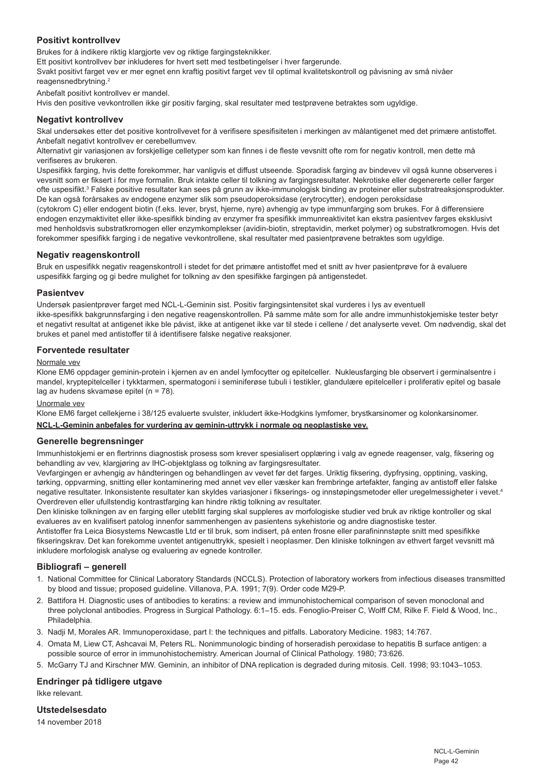### **Positivt kontrollvev**

Brukes for å indikere riktig klargjorte vev og riktige fargingsteknikker.

Ett positivt kontrollvev bør inkluderes for hvert sett med testbetingelser i hver fargerunde.

Svakt positivt farget vev er mer egnet enn kraftig positivt farget vev til optimal kvalitetskontroll og påvisning av små nivåer reagensnedbrytning.<sup>2</sup>

Anbefalt positivt kontrollvev er mandel.

Hvis den positive vevkontrollen ikke gir positiv farging, skal resultater med testprøvene betraktes som ugyldige.

#### **Negativt kontrollvev**

Skal undersøkes etter det positive kontrollvevet for å verifisere spesifisiteten i merkingen av målantigenet med det primære antistoffet. Anbefalt negativt kontrollvev er cerebellumvev.

Alternativt gir variasjonen av forskjellige celletyper som kan finnes i de fleste vevsnitt ofte rom for negativ kontroll, men dette må verifiseres av brukeren.

Uspesifikk farging, hvis dette forekommer, har vanligvis et diffust utseende. Sporadisk farging av bindevev vil også kunne observeres i vevsnitt som er fiksert i for mye formalin. Bruk intakte celler til tolkning av fargingsresultater. Nekrotiske eller degenererte celler farger ofte uspesifikt.3 Falske positive resultater kan sees på grunn av ikke-immunologisk binding av proteiner eller substratreaksjonsprodukter. De kan også forårsakes av endogene enzymer slik som pseudoperoksidase (erytrocytter), endogen peroksidase

(cytokrom C) eller endogent biotin (f.eks. lever, bryst, hjerne, nyre) avhengig av type immunfarging som brukes. For å differensiere endogen enzymaktivitet eller ikke-spesifikk binding av enzymer fra spesifikk immunreaktivitet kan ekstra pasientvev farges eksklusivt med henholdsvis substratkromogen eller enzymkomplekser (avidin-biotin, streptavidin, merket polymer) og substratkromogen. Hvis det forekommer spesifikk farging i de negative vevkontrollene, skal resultater med pasientprøvene betraktes som ugyldige.

#### **Negativ reagenskontroll**

Bruk en uspesifikk negativ reagenskontroll i stedet for det primære antistoffet med et snitt av hver pasientprøve for å evaluere uspesifikk farging og gi bedre mulighet for tolkning av den spesifikke fargingen på antigenstedet.

#### **Pasientvev**

Undersøk pasientprøver farget med NCL-L-Geminin sist. Positiv fargingsintensitet skal vurderes i lys av eventuell ikke-spesifikk bakgrunnsfarging i den negative reagenskontrollen. På samme måte som for alle andre immunhistokjemiske tester betyr et negativt resultat at antigenet ikke ble påvist, ikke at antigenet ikke var til stede i cellene / det analyserte vevet. Om nødvendig, skal det brukes et panel med antistoffer til å identifisere falske negative reaksjoner.

#### **Forventede resultater**

#### Normale vev

Klone EM6 oppdager geminin-protein i kjernen av en andel lymfocytter og epitelceller. Nukleusfarging ble observert i germinalsentre i mandel, kryptepitelceller i tykktarmen, spermatogoni i seminiferøse tubuli i testikler, glandulære epitelceller i proliferativ epitel og basale lag av hudens skvamøse epitel (n = 78).

#### Unormale vev

Klone EM6 farget cellekjerne i 38/125 evaluerte svulster, inkludert ikke-Hodgkins lymfomer, brystkarsinomer og kolonkarsinomer.

#### **NCL-L-Geminin anbefales for vurdering av geminin-uttrykk i normale og neoplastiske vev.**

#### **Generelle begrensninger**

Immunhistokjemi er en flertrinns diagnostisk prosess som krever spesialisert opplæring i valg av egnede reagenser, valg, fiksering og behandling av vev, klargjøring av IHC-objektglass og tolkning av fargingsresultater.

Vevfargingen er avhengig av håndteringen og behandlingen av vevet før det farges. Uriktig fiksering, dypfrysing, opptining, vasking, tørking, oppvarming, snitting eller kontaminering med annet vev eller væsker kan frembringe artefakter, fanging av antistoff eller falske negative resultater. Inkonsistente resultater kan skyldes variasjoner i fikserings- og innstøpingsmetoder eller uregelmessigheter i vevet.4 Overdreven eller ufullstendig kontrastfarging kan hindre riktig tolkning av resultater.

Den kliniske tolkningen av en farging eller uteblitt farging skal suppleres av morfologiske studier ved bruk av riktige kontroller og skal evalueres av en kvalifisert patolog innenfor sammenhengen av pasientens sykehistorie og andre diagnostiske tester.

Antistoffer fra Leica Biosystems Newcastle Ltd er til bruk, som indisert, på enten frosne eller parafininnstøpte snitt med spesifikke fikseringskrav. Det kan forekomme uventet antigenuttrykk, spesielt i neoplasmer. Den kliniske tolkningen av ethvert farget vevsnitt må inkludere morfologisk analyse og evaluering av egnede kontroller.

# **Bibliografi – generell**

- 1. National Committee for Clinical Laboratory Standards (NCCLS). Protection of laboratory workers from infectious diseases transmitted by blood and tissue; proposed guideline. Villanova, P.A. 1991; 7(9). Order code M29-P.
- 2. Battifora H. Diagnostic uses of antibodies to keratins: a review and immunohistochemical comparison of seven monoclonal and three polyclonal antibodies. Progress in Surgical Pathology. 6:1–15. eds. Fenoglio-Preiser C, Wolff CM, Rilke F. Field & Wood, Inc., Philadelphia.
- 3. Nadji M, Morales AR. Immunoperoxidase, part I: the techniques and pitfalls. Laboratory Medicine. 1983; 14:767.
- 4. Omata M, Liew CT, Ashcavai M, Peters RL. Nonimmunologic binding of horseradish peroxidase to hepatitis B surface antigen: a possible source of error in immunohistochemistry. American Journal of Clinical Pathology. 1980; 73:626.
- 5. McGarry TJ and Kirschner MW. Geminin, an inhibitor of DNA replication is degraded during mitosis. Cell. 1998; 93:1043–1053.

#### **Endringer på tidligere utgave**

Ikke relevant.

### **Utstedelsesdato**

14 november 2018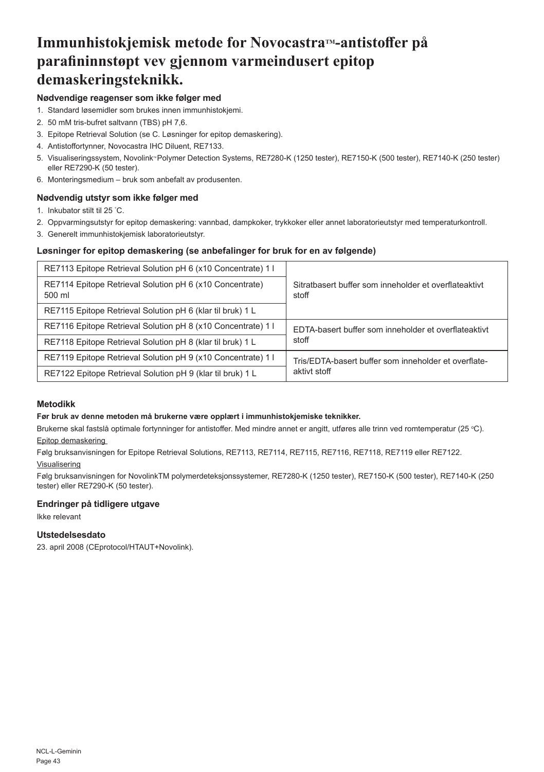# **Immunhistokjemisk metode for NovocastraTM-antistoffer på parafininnstøpt vev gjennom varmeindusert epitop demaskeringsteknikk.**

# **Nødvendige reagenser som ikke følger med**

- 1. Standard løsemidler som brukes innen immunhistokjemi.
- 2. 50 mM tris-bufret saltvann (TBS) pH 7,6.
- 3. Epitope Retrieval Solution (se C. Løsninger for epitop demaskering).
- 4. Antistoffortynner, Novocastra IHC Diluent, RE7133.
- 5. Visualiseringssystem, Novolink<sup>w</sup> Polymer Detection Systems, RE7280-K (1250 tester), RE7150-K (500 tester), RE7140-K (250 tester) eller RE7290-K (50 tester).
- 6. Monteringsmedium bruk som anbefalt av produsenten.

# **Nødvendig utstyr som ikke følger med**

- 1. Inkubator stilt til 25 ° C.
- 2. Oppvarmingsutstyr for epitop demaskering: vannbad, dampkoker, trykkoker eller annet laboratorieutstyr med temperaturkontroll.
- 3. Generelt immunhistokjemisk laboratorieutstyr.

# **Løsninger for epitop demaskering (se anbefalinger for bruk for en av følgende)**

| RE7113 Epitope Retrieval Solution pH 6 (x10 Concentrate) 1 I       |                                                                |
|--------------------------------------------------------------------|----------------------------------------------------------------|
| RE7114 Epitope Retrieval Solution pH 6 (x10 Concentrate)<br>500 ml | Sitratbasert buffer som inneholder et overflateaktivt<br>stoff |
| RE7115 Epitope Retrieval Solution pH 6 (klar til bruk) 1 L         |                                                                |
| RE7116 Epitope Retrieval Solution pH 8 (x10 Concentrate) 1         | EDTA-basert buffer som inneholder et overflateaktivt           |
| RE7118 Epitope Retrieval Solution pH 8 (klar til bruk) 1 L         | stoff                                                          |
| RE7119 Epitope Retrieval Solution pH 9 (x10 Concentrate) 1         | Tris/EDTA-basert buffer som inneholder et overflate-           |
| RE7122 Epitope Retrieval Solution pH 9 (klar til bruk) 1 L         | aktivt stoff                                                   |

### **Metodikk**

#### **Før bruk av denne metoden må brukerne være opplært i immunhistokjemiske teknikker.**

Brukerne skal fastslå optimale fortynninger for antistoffer. Med mindre annet er angitt, utføres alle trinn ved romtemperatur (25 °C). Epitop demaskering

Følg bruksanvisningen for Epitope Retrieval Solutions, RE7113, RE7114, RE7115, RE7116, RE7118, RE7119 eller RE7122. Visualisering

Følg bruksanvisningen for NovolinkTM polymerdeteksjonssystemer, RE7280-K (1250 tester), RE7150-K (500 tester), RE7140-K (250 tester) eller RE7290-K (50 tester).

# **Endringer på tidligere utgave**

Ikke relevant

# **Utstedelsesdato**

23. april 2008 (CEprotocol/HTAUT+Novolink).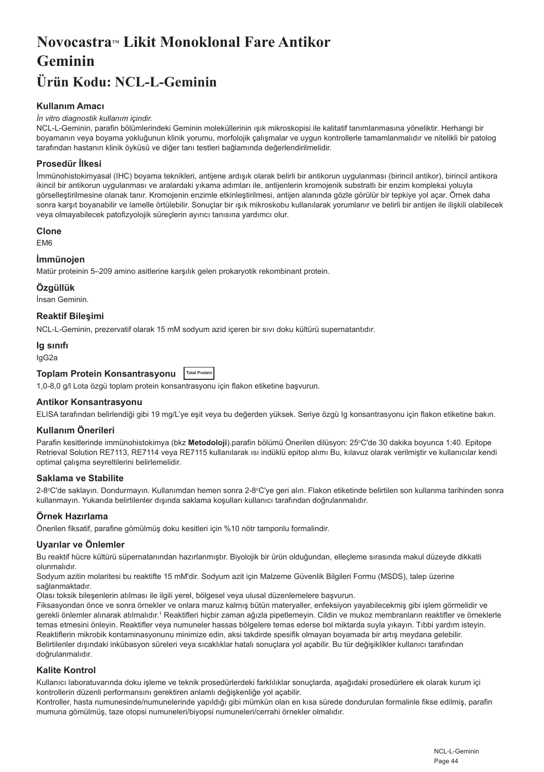# **Novocastra™ Likit Monoklonal Fare Antikor Geminin**

# **Ürün Kodu: NCL-L-Geminin**

# **Kullanım Amacı**

#### *İn vitro diagnostik kullanım içindir.*

NCL-L-Geminin, parafin bölümlerindeki Geminin moleküllerinin ışık mikroskopisi ile kalitatif tanımlanmasına yöneliktir. Herhangi bir boyamanın veya boyama yokluğunun klinik yorumu, morfolojik çalışmalar ve uygun kontrollerle tamamlanmalıdır ve nitelikli bir patolog tarafından hastanın klinik öyküsü ve diğer tanı testleri bağlamında değerlendirilmelidir.

# **Prosedür İlkesi**

İmmünohistokimyasal (IHC) boyama teknikleri, antijene ardışık olarak belirli bir antikorun uygulanması (birincil antikor), birincil antikora ikincil bir antikorun uygulanması ve aralardaki yıkama adımları ile, antijenlerin kromojenik substratlı bir enzim kompleksi yoluyla görselleştirilmesine olanak tanır. Kromojenin enzimle etkinleştirilmesi, antijen alanında gözle görülür bir tepkiye yol açar. Örnek daha sonra karşıt boyanabilir ve lamelle örtülebilir. Sonuçlar bir ışık mikroskobu kullanılarak yorumlanır ve belirli bir antijen ile ilişkili olabilecek veya olmayabilecek patofizyolojik süreçlerin ayırıcı tanısına yardımcı olur.

#### **Clone**

EM6

# **İmmünojen**

Matür proteinin 5–209 amino asitlerine karşılık gelen prokaryotik rekombinant protein.

#### **Özgüllük**

İnsan Geminin.

**Reaktif Bileşimi**

NCL-L-Geminin, prezervatif olarak 15 mM sodyum azid içeren bir sıvı doku kültürü supernatantıdır.

#### **Ig sınıfı**

IgG2a

# **Toplam Protein Konsantrasyonu Total Protein**

1,0-8,0 g/l Lota özgü toplam protein konsantrasyonu için flakon etiketine başvurun.

#### **Antikor Konsantrasyonu**

ELISA tarafından belirlendiği gibi 19 mg/L'ye eşit veya bu değerden yüksek. Seriye özgü Ig konsantrasyonu için flakon etiketine bakın.

#### **Kullanım Önerileri**

Parafin kesitlerinde immünohistokimya (bkz **Metodoloji**).parafin bölümü Önerilen dilüsyon: 25°C'de 30 dakika boyunca 1:40. Epitope Retrieval Solution RE7113, RE7114 veya RE7115 kullanılarak ısı indüklü epitop alımı Bu, kılavuz olarak verilmiştir ve kullanıcılar kendi optimal çalışma seyreltilerini belirlemelidir.

#### **Saklama ve Stabilite**

2-8°C'de saklayın. Dondurmayın. Kullanımdan hemen sonra 2-8°C'ye geri alın. Flakon etiketinde belirtilen son kullanma tarihinden sonra kullanmayın. Yukarıda belirtilenler dışında saklama koşulları kullanıcı tarafından doğrulanmalıdır.

# **Örnek Hazırlama**

Önerilen fiksatif, parafine gömülmüş doku kesitleri için %10 nötr tamponlu formalindir.

#### **Uyarılar ve Önlemler**

Bu reaktif hücre kültürü süpernatanından hazırlanmıştır. Biyolojik bir ürün olduğundan, elleçleme sırasında makul düzeyde dikkatli olunmalıdır.

Sodyum azitin molaritesi bu reaktifte 15 mM'dir. Sodyum azit için Malzeme Güvenlik Bilgileri Formu (MSDS), talep üzerine sağlanmaktadır.

Olası toksik bileşenlerin atılması ile ilgili yerel, bölgesel veya ulusal düzenlemelere başvurun.

Fiksasyondan önce ve sonra örnekler ve onlara maruz kalmış bütün materyaller, enfeksiyon yayabilecekmiş gibi işlem görmelidir ve gerekli önlemler alınarak atılmalıdır.1 Reaktifleri hiçbir zaman ağızla pipetlemeyin. Cildin ve mukoz membranların reaktifler ve örneklerle temas etmesini önleyin. Reaktifler veya numuneler hassas bölgelere temas ederse bol miktarda suyla yıkayın. Tıbbi yardım isteyin. Reaktiflerin mikrobik kontaminasyonunu minimize edin, aksi takdirde spesifik olmayan boyamada bir artış meydana gelebilir. Belirtilenler dışındaki inkübasyon süreleri veya sıcaklıklar hatalı sonuçlara yol açabilir. Bu tür değişiklikler kullanıcı tarafından doğrulanmalıdır.

# **Kalite Kontrol**

Kullanıcı laboratuvarında doku işleme ve teknik prosedürlerdeki farklılıklar sonuçlarda, aşağıdaki prosedürlere ek olarak kurum içi kontrollerin düzenli performansını gerektiren anlamlı değişkenliğe yol açabilir.

Kontroller, hasta numunesinde/numunelerinde yapıldığı gibi mümkün olan en kısa sürede dondurulan formalinle fikse edilmiş, parafin mumuna gömülmüş, taze otopsi numuneleri/biyopsi numuneleri/cerrahi örnekler olmalıdır.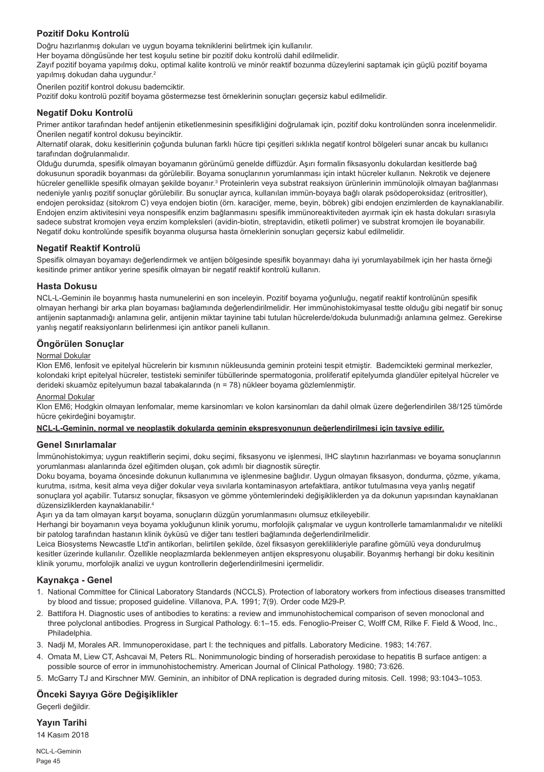# **Pozitif Doku Kontrolü**

Doğru hazırlanmış dokuları ve uygun boyama tekniklerini belirtmek için kullanılır.

Her boyama döngüsünde her test koşulu setine bir pozitif doku kontrolü dahil edilmelidir.

Zayıf pozitif boyama yapılmış doku, optimal kalite kontrolü ve minör reaktif bozunma düzeylerini saptamak için güçlü pozitif boyama yapılmış dokudan daha uygundur.<sup>2</sup>

Önerilen pozitif kontrol dokusu bademciktir.

Pozitif doku kontrolü pozitif boyama göstermezse test örneklerinin sonuçları geçersiz kabul edilmelidir.

#### **Negatif Doku Kontrolü**

Primer antikor tarafından hedef antijenin etiketlenmesinin spesifikliğini doğrulamak için, pozitif doku kontrolünden sonra incelenmelidir. Önerilen negatif kontrol dokusu beyinciktir.

Alternatif olarak, doku kesitlerinin çoğunda bulunan farklı hücre tipi çeşitleri sıklıkla negatif kontrol bölgeleri sunar ancak bu kullanıcı tarafından doğrulanmalıdır.

Olduğu durumda, spesifik olmayan boyamanın görünümü genelde diffüzdür. Aşırı formalin fiksasyonlu dokulardan kesitlerde bağ dokusunun sporadik boyanması da görülebilir. Boyama sonuçlarının yorumlanması için intakt hücreler kullanın. Nekrotik ve dejenere hücreler genellikle spesifik olmayan şekilde boyanır.<sup>3</sup> Proteinlerin veya substrat reaksiyon ürünlerinin immünolojik olmayan bağlanması nedeniyle yanlış pozitif sonuçlar görülebilir. Bu sonuçlar ayrıca, kullanılan immün-boyaya bağlı olarak psödoperoksidaz (eritrositler), endojen peroksidaz (sitokrom C) veya endojen biotin (örn. karaciğer, meme, beyin, böbrek) gibi endojen enzimlerden de kaynaklanabilir. Endojen enzim aktivitesini veya nonspesifik enzim bağlanmasını spesifik immünoreaktiviteden ayırmak için ek hasta dokuları sırasıyla sadece substrat kromojen veya enzim kompleksleri (avidin-biotin, streptavidin, etiketli polimer) ve substrat kromojen ile boyanabilir. Negatif doku kontrolünde spesifik boyanma oluşursa hasta örneklerinin sonuçları geçersiz kabul edilmelidir.

#### **Negatif Reaktif Kontrolü**

Spesifik olmayan boyamayı değerlendirmek ve antijen bölgesinde spesifik boyanmayı daha iyi yorumlayabilmek için her hasta örneği kesitinde primer antikor yerine spesifik olmayan bir negatif reaktif kontrolü kullanın.

#### **Hasta Dokusu**

NCL-L-Geminin ile boyanmış hasta numunelerini en son inceleyin. Pozitif boyama yoğunluğu, negatif reaktif kontrolünün spesifik olmayan herhangi bir arka plan boyaması bağlamında değerlendirilmelidir. Her immünohistokimyasal testte olduğu gibi negatif bir sonuç antijenin saptanmadığı anlamına gelir, antijenin miktar tayinine tabi tutulan hücrelerde/dokuda bulunmadığı anlamına gelmez. Gerekirse yanlış negatif reaksiyonların belirlenmesi için antikor paneli kullanın.

# **Öngörülen Sonuçlar**

# Normal Dokular

Klon EM6, lenfosit ve epitelyal hücrelerin bir kısmının nükleusunda geminin proteini tespit etmiştir. Bademcikteki germinal merkezler, kolondaki kript epitelyal hücreler, testisteki seminifer tübüllerinde spermatogonia, proliferatif epitelyumda glandüler epitelyal hücreler ve derideki skuamöz epitelyumun bazal tabakalarında (n = 78) nükleer boyama gözlemlenmiştir.

#### Anormal Dokular

Klon EM6; Hodgkin olmayan lenfomalar, meme karsinomları ve kolon karsinomları da dahil olmak üzere değerlendirilen 38/125 tümörde hücre çekirdeğini boyamıştır.

#### **NCL-L-Geminin, normal ve neoplastik dokularda geminin ekspresyonunun değerlendirilmesi için tavsiye edilir.**

#### **Genel Sınırlamalar**

İmmünohistokimya; uygun reaktiflerin seçimi, doku seçimi, fiksasyonu ve işlenmesi, IHC slaytının hazırlanması ve boyama sonuçlarının yorumlanması alanlarında özel eğitimden oluşan, çok adımlı bir diagnostik süreçtir.

Doku boyama, boyama öncesinde dokunun kullanımına ve işlenmesine bağlıdır. Uygun olmayan fiksasyon, dondurma, çözme, yıkama, kurutma, ısıtma, kesit alma veya diğer dokular veya sıvılarla kontaminasyon artefaktlara, antikor tutulmasına veya yanlış negatif sonuçlara yol açabilir. Tutarsız sonuçlar, fiksasyon ve gömme yöntemlerindeki değişikliklerden ya da dokunun yapısından kaynaklanan düzensizliklerden kaynaklanabilir.4

Aşırı ya da tam olmayan karşıt boyama, sonuçların düzgün yorumlanmasını olumsuz etkileyebilir.

Herhangi bir boyamanın veya boyama yokluğunun klinik yorumu, morfolojik çalışmalar ve uygun kontrollerle tamamlanmalıdır ve nitelikli bir patolog tarafından hastanın klinik öyküsü ve diğer tanı testleri bağlamında değerlendirilmelidir.

Leica Biosystems Newcastle Ltd'in antikorları, belirtilen şekilde, özel fiksasyon gereklilikleriyle parafine gömülü veya dondurulmuş kesitler üzerinde kullanılır. Özellikle neoplazmlarda beklenmeyen antijen ekspresyonu oluşabilir. Boyanmış herhangi bir doku kesitinin klinik yorumu, morfolojik analizi ve uygun kontrollerin değerlendirilmesini içermelidir.

#### **Kaynakça - Genel**

- 1. National Committee for Clinical Laboratory Standards (NCCLS). Protection of laboratory workers from infectious diseases transmitted by blood and tissue; proposed guideline. Villanova, P.A. 1991; 7(9). Order code M29-P.
- 2. Battifora H. Diagnostic uses of antibodies to keratins: a review and immunohistochemical comparison of seven monoclonal and three polyclonal antibodies. Progress in Surgical Pathology. 6:1–15. eds. Fenoglio-Preiser C, Wolff CM, Rilke F. Field & Wood, Inc., Philadelphia.
- 3. Nadji M, Morales AR. Immunoperoxidase, part I: the techniques and pitfalls. Laboratory Medicine. 1983; 14:767.
- 4. Omata M, Liew CT, Ashcavai M, Peters RL. Nonimmunologic binding of horseradish peroxidase to hepatitis B surface antigen: a possible source of error in immunohistochemistry. American Journal of Clinical Pathology. 1980; 73:626.
- 5. McGarry TJ and Kirschner MW. Geminin, an inhibitor of DNA replication is degraded during mitosis. Cell. 1998; 93:1043–1053.

# **Önceki Sayıya Göre Değişiklikler**

Geçerli değildir.

**Yayın Tarihi** 14 Kasım 2018

NCL-L-Geminin

Page 45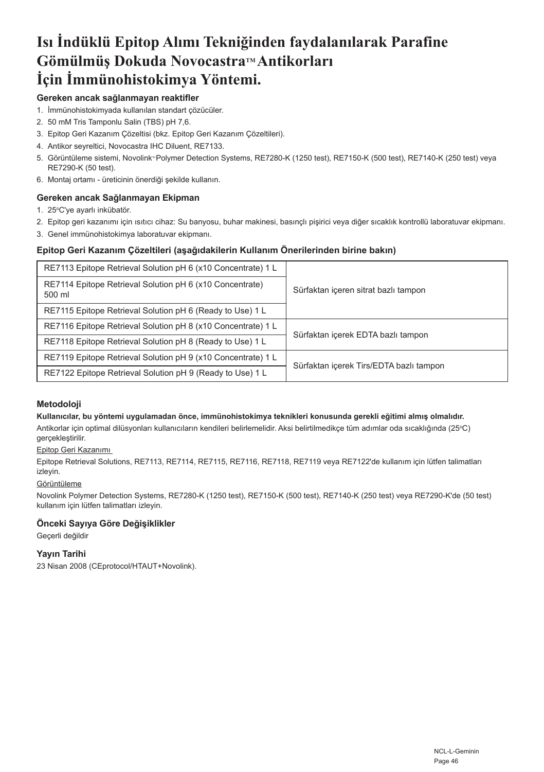# **Isı İndüklü Epitop Alımı Tekniğinden faydalanılarak Parafine Gömülmüş Dokuda NovocastraTM Antikorları İçin İmmünohistokimya Yöntemi.**

# **Gereken ancak sağlanmayan reaktifler**

- 1. İmmünohistokimyada kullanılan standart çözücüler.
- 2. 50 mM Tris Tamponlu Salin (TBS) pH 7,6.
- 3. Epitop Geri Kazanım Çözeltisi (bkz. Epitop Geri Kazanım Çözeltileri).
- 4. Antikor seyreltici, Novocastra IHC Diluent, RE7133.
- 5. Görüntüleme sistemi, Novolink" Polymer Detection Systems, RE7280-K (1250 test), RE7150-K (500 test), RE7140-K (250 test) veya RE7290-K (50 test).
- 6. Montaj ortamı üreticinin önerdiği şekilde kullanın.

# **Gereken ancak Sağlanmayan Ekipman**

- 1. 25°C'ye ayarlı inkübatör.
- 2. Epitop geri kazanımı için ısıtıcı cihaz: Su banyosu, buhar makinesi, basınçlı pişirici veya diğer sıcaklık kontrollü laboratuvar ekipmanı.
- 3. Genel immünohistokimya laboratuvar ekipmanı.

# **Epitop Geri Kazanım Çözeltileri (aşağıdakilerin Kullanım Önerilerinden birine bakın)**

| RE7113 Epitope Retrieval Solution pH 6 (x10 Concentrate) 1 L       |                                         |
|--------------------------------------------------------------------|-----------------------------------------|
| RE7114 Epitope Retrieval Solution pH 6 (x10 Concentrate)<br>500 ml | Sürfaktan içeren sitrat bazlı tampon    |
| RE7115 Epitope Retrieval Solution pH 6 (Ready to Use) 1 L          |                                         |
| RE7116 Epitope Retrieval Solution pH 8 (x10 Concentrate) 1 L       |                                         |
| RE7118 Epitope Retrieval Solution pH 8 (Ready to Use) 1 L          | Sürfaktan içerek EDTA bazlı tampon      |
| RE7119 Epitope Retrieval Solution pH 9 (x10 Concentrate) 1 L       | Sürfaktan içerek Tirs/EDTA bazlı tampon |
| RE7122 Epitope Retrieval Solution pH 9 (Ready to Use) 1 L          |                                         |

# **Metodoloji**

#### **Kullanıcılar, bu yöntemi uygulamadan önce, immünohistokimya teknikleri konusunda gerekli eğitimi almış olmalıdır.**

Antikorlar için optimal dilüsyonları kullanıcıların kendileri belirlemelidir. Aksi belirtilmedikçe tüm adımlar oda sıcaklığında (25°C) gerçekleştirilir.

### Epitop Geri Kazanımı

Epitope Retrieval Solutions, RE7113, RE7114, RE7115, RE7116, RE7118, RE7119 veya RE7122'de kullanım için lütfen talimatları izleyin.

#### Görüntüleme

Novolink Polymer Detection Systems, RE7280-K (1250 test), RE7150-K (500 test), RE7140-K (250 test) veya RE7290-K'de (50 test) kullanım için lütfen talimatları izleyin.

# **Önceki Sayıya Göre Değişiklikler**

Geçerli değildir

# **Yayın Tarihi**

23 Nisan 2008 (CEprotocol/HTAUT+Novolink).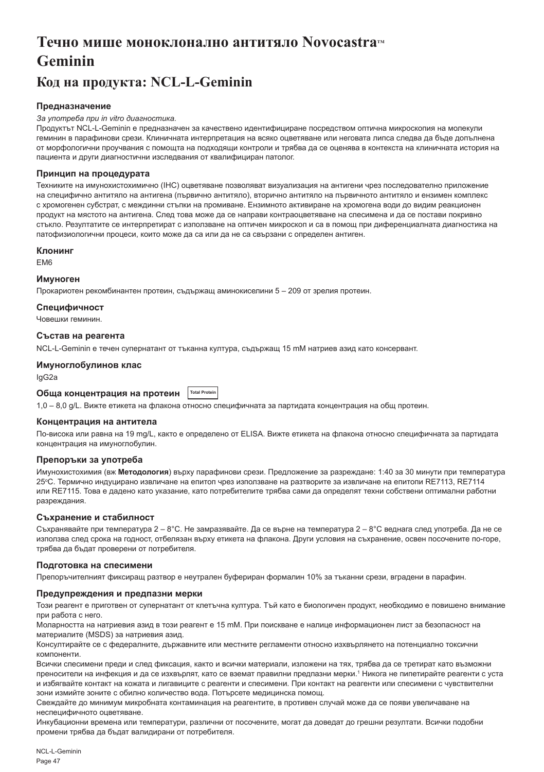# **Течно мише моноклонално антитяло Novocastra™ Geminin**

# **Код на продукта: NCL-L-Geminin**

### **Предназначение**

#### *За употреба при in vitro диагностика.*

Продуктът NCL-L-Geminin е предназначен за качествено идентифициране посредством оптична микроскопия на молекули геминин в парафинови срези. Клиничната интерпретация на всяко оцветяване или неговата липса следва да бъде допълнена от морфологични проучвания с помощта на подходящи контроли и трябва да се оценява в контекста на клиничната история на пациента и други диагностични изследвания от квалифициран патолог.

#### **Принцип на процедурата**

Техниките на имунохистохимично (IHC) оцветяване позволяват визуализация на антигени чрез последователно приложение на специфично антитяло на антигена (първично антитяло), вторично антитяло на първичното антитяло и ензимен комплекс с хромогенен субстрат, с междинни стъпки на промиване. Ензимното активиране на хромогена води до видим реакционен продукт на мястото на антигена. След това може да се направи контраоцветяване на спесимена и да се постави покривно стъкло. Резултатите се интерпретират с използване на оптичен микроскоп и са в помощ при диференциалната диагностика на патофизиологични процеси, които може да са или да не са свързани с определен антиген.

#### **Клонинг**

EM6

#### **Имуноген**

Прокариотен рекомбинантен протеин, съдържащ аминокиселини 5 – 209 от зрелия протеин.

#### **Специфичност**

Човешки геминин.

#### **Състав на реагента**

NCL-L-Geminin е течен супернатант от тъканна култура, съдържащ 15 mM натриев азид като консервант.

#### **Имуноглобулинов клас**

IgG2a

#### **Обща концентрация на протеин Total Protein**

1,0 – 8,0 g/L. Вижте етикета на флакона относно специфичната за партидата концентрация на общ протеин.

#### **Концентрация на антитела**

По-висока или равна на 19 mg/L, както е определено от ELISA. Вижте етикета на флакона относно специфичната за партидата концентрация на имуноглобулин.

#### **Препоръки за употреба**

Имунохистохимия (вж **Методология**) върху парафинови срези. Предложение за разреждане: 1:40 за 30 минути при температура 25ºС. Термично индуцирано извличане на епитоп чрез използване на разтворите за извличане на епитопи RE7113, RE7114 или RE7115. Това е дадено като указание, като потребителите трябва сами да определят техни собствени оптимални работни разреждания.

#### **Съхранение и стабилност**

Съхранявайте при температура 2 – 8°C. Не замразявайте. Да се върне на температура 2 – 8°C веднага след употреба. Да не се използва след срока на годност, отбелязан върху етикета на флакона. Други условия на съхранение, освен посочените по-горе, трябва да бъдат проверени от потребителя.

#### **Подготовка на спесимени**

Препоръчителният фиксиращ разтвор е неутрален буфериран формалин 10% за тъканни срези, вградени в парафин.

#### **Предупреждения и предпазни мерки**

Този реагент е приготвен от супернатант от клетъчна култура. Тъй като е биологичен продукт, необходимо е повишено внимание при работа с него.

Моларността на натриевия азид в този реагент е 15 mM. При поискване е налице информационен лист за безопасност на материалите (MSDS) за натриевия азид.

Консултирайте се с федералните, държавните или местните регламенти относно изхвърлянето на потенциално токсични компоненти.

Всички спесимени преди и след фиксация, както и всички материали, изложени на тях, трябва да се третират като възможни преносители на инфекция и да се изхвърлят, като се вземат правилни предпазни мерки.1 Никога не пипетирайте реагенти с уста и избягвайте контакт на кожата и лигавиците с реагенти и спесимени. При контакт на реагенти или спесимени с чувствителни зони измийте зоните с обилно количество вода. Потърсете медицинска помощ.

Свеждайте до минимум микробната контаминация на реагентите, в противен случай може да се появи увеличаване на неспецифичното оцветяване.

Инкубационни времена или температури, различни от посочените, могат да доведат до грешни резултати. Всички подобни промени трябва да бъдат валидирани от потребителя.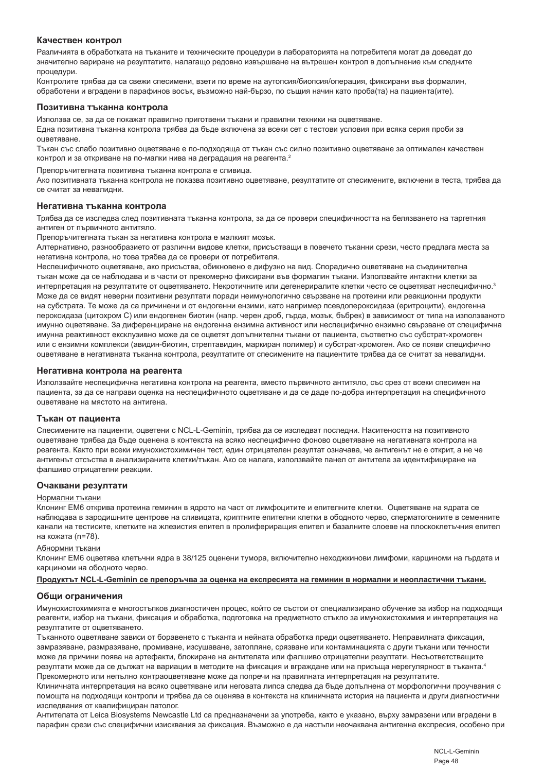#### **Качествен контрол**

Различията в обработката на тъканите и техническите процедури в лабораторията на потребителя могат да доведат до значително вариране на резултатите, налагащо редовно извършване на вътрешен контрол в допълнение към следните процедури.

Контролите трябва да са свежи спесимени, взети по време на аутопсия/биопсия/операция, фиксирани във формалин, обработени и вградени в парафинов восък, възможно най-бързо, по същия начин като проба(та) на пациента(ите).

#### **Позитивна тъканна контрола**

Използва се, за да се покажат правилно приготвени тъкани и правилни техники на оцветяване.

Една позитивна тъканна контрола трябва да бъде включена за всеки сет с тестови условия при всяка серия проби за оцветяване.

Тъкан със слабо позитивно оцветяване е по-подходяща от тъкан със силно позитивно оцветяване за оптимален качествен контрол и за откриване на по-малки нива на деградация на реагента.<sup>2</sup>

Препоръчителната позитивна тъканна контрола е сливица.

Ако позитивната тъканна контрола не показва позитивно оцветяване, резултатите от спесимените, включени в теста, трябва да се считат за невалидни.

#### **Негативна тъканна контрола**

Трябва да се изследва след позитивната тъканна контрола, за да се провери специфичността на белязването на таргетния антиген от първичното антитяло.

Препоръчителната тъкан за негативна контрола е малкият мозък.

Алтернативно, разнообразието от различни видове клетки, присъстващи в повечето тъканни срези, често предлага места за негативна контрола, но това трябва да се провери от потребителя.

Неспецифичното оцветяване, ако присъства, обикновено е дифузно на вид. Спорадично оцветяване на съединителна тъкан може да се наблюдава и в части от прекомерно фиксирани във формалин тъкани. Използвайте интактни клетки за интерпретация на резултатите от оцветяването. Некротичните или дегенериралите клетки често се оцветяват неспецифично.3 Може да се видят неверни позитивни резултати поради неимунологично свързване на протеини или реакционни продукти на субстрата. Те може да са причинени и от ендогенни ензими, като например псевдопероксидаза (еритроцити), ендогенна пероксидаза (цитохром C) или ендогенен биотин (напр. черен дроб, гърда, мозък, бъбрек) в зависимост от типа на използваното имунно оцветяване. За диференциране на ендогенна ензимна активност или неспецифично ензимно свързване от специфична имунна реактивност ексклузивно може да се оцветят допълнителни тъкани от пациента, съответно със субстрат-хромоген или с ензимни комплекси (авидин-биотин, стрептавидин, маркиран полимер) и субстрат-хромоген. Ако се появи специфично оцветяване в негативната тъканна контрола, резултатите от спесимените на пациентите трябва да се считат за невалидни.

#### **Негативна контрола на реагента**

Използвайте неспецифична негативна контрола на реагента, вместо първичното антитяло, със срез от всеки спесимен на пациента, за да се направи оценка на неспецифичното оцветяване и да се даде по-добра интерпретация на специфичното оцветяване на мястото на антигена.

#### **Тъкан от пациента**

Спесимените на пациенти, оцветени с NCL-L-Geminin, трябва да се изследват последни. Наситеността на позитивното оцветяване трябва да бъде оценена в контекста на всяко неспецифично фоново оцветяване на негативната контрола на реагента. Както при всеки имунохистохимичен тест, един отрицателен резултат означава, че антигенът не е открит, а не че антигенът отсъства в анализираните клетки/тъкан. Ако се налага, използвайте панел от антитела за идентифициране на фалшиво отрицателни реакции.

#### **Очаквани резултати**

#### Нормални тъкани

Клонинг EM6 открива протеина геминин в ядрото на част от лимфоцитите и епителните клетки. Оцветяване на ядрата се наблюдава в зародишните центрове на сливицата, криптните епителни клетки в ободното черво, сперматогониите в семенните канали на тестисите, клетките на жлезистия епител в пролифериращия епител и базалните слоеве на плоскоклетъчния епител на кожата (n=78).

#### Абнормни тъкани

Клонинг EM6 оцветява клетъчни ядра в 38/125 оценени тумора, включително неходжкинови лимфоми, карциноми на гърдата и карциноми на ободното черво.

**Продуктът NCL-L-Geminin се препоръчва за оценка на експресията на геминин в нормални и неопластични тъкани.**

#### **Общи ограничения**

Имунохистохимията е многостъпков диагностичен процес, който се състои от специализирано обучение за избор на подходящи реагенти, избор на тъкани, фиксация и обработка, подготовка на предметното стъкло за имунохистохимия и интерпретация на резултатите от оцветяването.

Тъканното оцветяване зависи от боравенето с тъканта и нейната обработка преди оцветяването. Неправилната фиксация, замразяване, размразяване, промиване, изсушаване, затопляне, срязване или контаминацията с други тъкани или течности може да причини поява на артефакти, блокиране на антителата или фалшиво отрицателни резултати. Несъответстващите резултати може да се дължат на вариации в методите на фиксация и вграждане или на присъща нерегулярност в тъканта.4 Прекомерното или непълно контраоцветяване може да попречи на правилната интерпретация на резултатите.

Клиничната интерпретация на всяко оцветяване или неговата липса следва да бъде допълнена от морфологични проучвания с помощта на подходящи контроли и трябва да се оценява в контекста на клиничната история на пациента и други диагностични изследвания от квалифициран патолог.

Антителата от Leica Biosystems Newcastle Ltd са предназначени за употреба, както е указано, върху замразени или вградени в парафин срези със специфични изисквания за фиксация. Възможно е да настъпи неочаквана антигенна експресия, особено при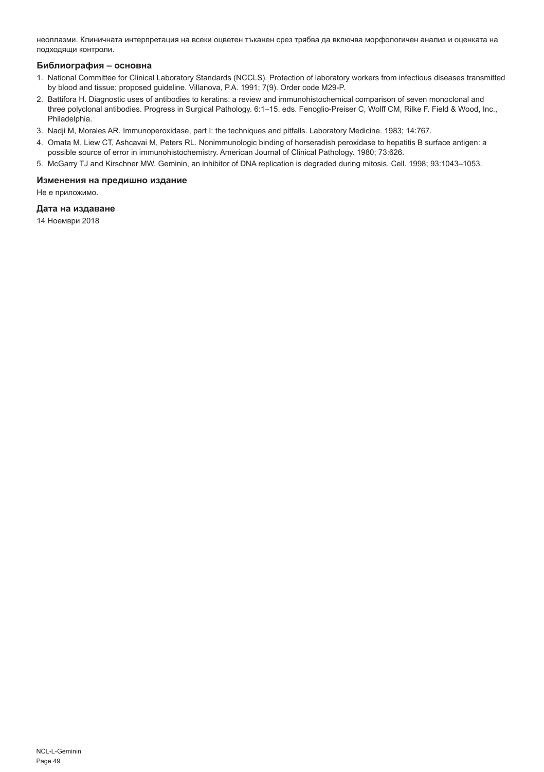неоплазми. Клиничната интерпретация на всеки оцветен тъканен срез трябва да включва морфологичен анализ и оценката на подходящи контроли.

#### **Библиография – основна**

- 1. National Committee for Clinical Laboratory Standards (NCCLS). Protection of laboratory workers from infectious diseases transmitted by blood and tissue; proposed guideline. Villanova, P.A. 1991; 7(9). Order code M29-P.
- 2. Battifora H. Diagnostic uses of antibodies to keratins: a review and immunohistochemical comparison of seven monoclonal and three polyclonal antibodies. Progress in Surgical Pathology. 6:1–15. eds. Fenoglio-Preiser C, Wolff CM, Rilke F. Field & Wood, Inc., Philadelphia.
- 3. Nadji M, Morales AR. Immunoperoxidase, part I: the techniques and pitfalls. Laboratory Medicine. 1983; 14:767.
- 4. Omata M, Liew CT, Ashcavai M, Peters RL. Nonimmunologic binding of horseradish peroxidase to hepatitis B surface antigen: a possible source of error in immunohistochemistry. American Journal of Clinical Pathology. 1980; 73:626.
- 5. McGarry TJ and Kirschner MW. Geminin, an inhibitor of DNA replication is degraded during mitosis. Cell. 1998; 93:1043–1053.

### **Изменения на предишно издание**

Не е приложимо.

#### **Дата на издаване**

14 Ноември 2018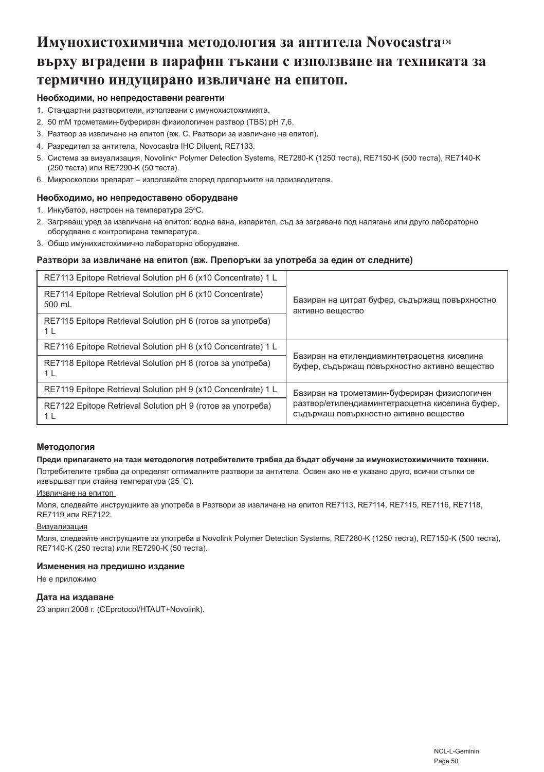# **Имунохистохимична методология за антитела NovocastraTM върху вградени в парафин тъкани с използване на техниката за термично индуцирано извличане на епитоп.**

### **Необходими, но непредоставени реагенти**

- 1. Стандартни разтворители, използвани с имунохистохимията.
- 2. 50 mM трометамин-буфериран физиологичен разтвор (TBS) pH 7,6.
- 3. Разтвор за извличане на епитоп (вж. C. Разтвори за извличане на епитоп).
- 4. Разредител за антитела, Novocastra IHC Diluent, RE7133.
- 5. Система за визуализация, Novolink® Polymer Detection Systems, RE7280-K (1250 теста), RE7150-K (500 теста), RE7140-K (250 теста) или RE7290-K (50 теста).
- 6. Микроскопски препарат използвайте според препоръките на производителя.

# **Необходимо, но непредоставено оборудване**

- 1. Инкубатор, настроен на температура 25℃.
- 2. Загряващ уред за извличане на епитоп: водна вана, изпарител, съд за загряване под налягане или друго лабораторно оборудване с контролирана температура.
- 3. Общо имунихистохимично лабораторно оборудване.

# **Разтвори за извличане на епитоп (вж. Препоръки за употреба за един от следните)**

| RE7113 Epitope Retrieval Solution pH 6 (x10 Concentrate) 1 L                 |                                                                                              |
|------------------------------------------------------------------------------|----------------------------------------------------------------------------------------------|
| RE7114 Epitope Retrieval Solution pH 6 (x10 Concentrate)<br>500 mL           | Базиран на цитрат буфер, съдържащ повърхностно<br>активно вещество                           |
| RE7115 Epitope Retrieval Solution pH 6 (готов за употреба)<br>1 L            |                                                                                              |
| RE7116 Epitope Retrieval Solution pH 8 (x10 Concentrate) 1 L                 |                                                                                              |
| RE7118 Epitope Retrieval Solution pH 8 (готов за употреба)<br>1 L            | Базиран на етилендиаминтетраоцетна киселина<br>буфер, съдържащ повърхностно активно вещество |
| RE7119 Epitope Retrieval Solution pH 9 (x10 Concentrate) 1 L                 | Базиран на трометамин-буфериран физиологичен                                                 |
| RE7122 Epitope Retrieval Solution pH 9 (готов за употреба)<br>1 <sub>L</sub> | разтвор/етилендиаминтетраоцетна киселина буфер,<br>съдържащ повърхностно активно вещество    |

#### **Методология**

#### **Преди прилагането на тази методология потребителите трябва да бъдат обучени за имунохистохимичните техники.**

Потребителите трябва да определят оптималните разтвори за антитела. Освен ако не е указано друго, всички стъпки се извършват при стайна температура (25 ° C).

#### Извличане на епитоп

Моля, следвайте инструкциите за употреба в Разтвори за извличане на епитоп RE7113, RE7114, RE7115, RE7116, RE7118, RE7119 или RE7122.

# Визуализация

Моля, следвайте инструкциите за употреба в Novolink Polymer Detection Systems, RE7280-K (1250 теста), RE7150-K (500 теста), RE7140-K (250 теста) или RE7290-K (50 теста).

# **Изменения на предишно издание**

Не е приложимо

#### **Дата на издаване**

23 април 2008 г. (CEprotocol/HTAUT+Novolink).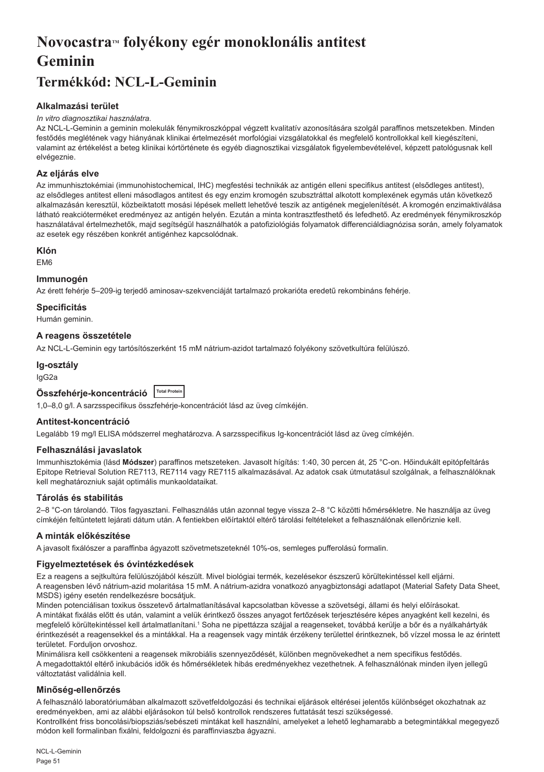# Novocastra™ folyékony egér monoklonális antitest **Geminin**

# **Termékkód: NCL-L-Geminin**

# **Alkalmazási terület**

#### *In vitro diagnosztikai használatra.*

Az NCL-L-Geminin a geminin molekulák fénymikroszkóppal végzett kvalitatív azonosítására szolgál paraffinos metszetekben. Minden festődés meglétének vagy hiányának klinikai értelmezését morfológiai vizsgálatokkal és megfelelő kontrollokkal kell kiegészíteni, valamint az értékelést a beteg klinikai kórtörténete és egyéb diagnosztikai vizsgálatok figyelembevételével, képzett patológusnak kell elvégeznie.

# **Az eljárás elve**

Az immunhisztokémiai (immunohistochemical, IHC) megfestési technikák az antigén elleni specifikus antitest (elsődleges antitest), az elsődleges antitest elleni másodlagos antitest és egy enzim kromogén szubsztráttal alkotott komplexének egymás után következő alkalmazásán keresztül, közbeiktatott mosási lépések mellett lehetővé teszik az antigének megjelenítését. A kromogén enzimaktiválása látható reakcióterméket eredményez az antigén helyén. Ezután a minta kontrasztfesthető és lefedhető. Az eredmények fénymikroszkóp használatával értelmezhetők, majd segítségül használhatók a patofiziológiás folyamatok differenciáldiagnózisa során, amely folyamatok az esetek egy részében konkrét antigénhez kapcsolódnak.

#### **Klón**

EM6

#### **Immunogén**

Az érett fehérje 5–209-ig terjedő aminosav-szekvenciáját tartalmazó prokarióta eredetű rekombináns fehérje.

#### **Specificitás**

Humán geminin.

# **A reagens összetétele**

Az NCL-L-Geminin egy tartósítószerként 15 mM nátrium-azidot tartalmazó folyékony szövetkultúra felülúszó.

#### **Ig-osztály**

IgG2a

| Összfehérje-koncentráció Total Protein |  |
|----------------------------------------|--|
|----------------------------------------|--|

1,0–8,0 g/l. A sarzsspecifikus összfehérje-koncentrációt lásd az üveg címkéjén.

#### **Antitest-koncentráció**

Legalább 19 mg/l ELISA módszerrel meghatározva. A sarzsspecifikus Ig-koncentrációt lásd az üveg címkéjén.

#### **Felhasználási javaslatok**

Immunhisztokémia (lásd **Módszer**) paraffinos metszeteken. Javasolt hígítás: 1:40, 30 percen át, 25 °C-on. Hőindukált epitópfeltárás Epitope Retrieval Solution RE7113, RE7114 vagy RE7115 alkalmazásával. Az adatok csak útmutatásul szolgálnak, a felhasználóknak kell meghatározniuk saját optimális munkaoldataikat.

#### **Tárolás és stabilitás**

2–8 °C-on tárolandó. Tilos fagyasztani. Felhasználás után azonnal tegye vissza 2–8 °C közötti hőmérsékletre. Ne használja az üveg címkéjén feltüntetett lejárati dátum után. A fentiekben előírtaktól eltérő tárolási feltételeket a felhasználónak ellenőriznie kell.

#### **A minták előkészítése**

A javasolt fixálószer a paraffinba ágyazott szövetmetszeteknél 10%-os, semleges pufferolású formalin.

# **Figyelmeztetések és óvintézkedések**

Ez a reagens a sejtkultúra felülúszójából készült. Mivel biológiai termék, kezelésekor észszerű körültekintéssel kell eljárni. A reagensben lévő nátrium-azid molaritása 15 mM. A nátrium-azidra vonatkozó anyagbiztonsági adatlapot (Material Safety Data Sheet, MSDS) igény esetén rendelkezésre bocsátjuk.

Minden potenciálisan toxikus összetevő ártalmatlanításával kapcsolatban kövesse a szövetségi, állami és helyi előírásokat. A mintákat fixálás előtt és után, valamint a velük érintkező összes anyagot fertőzések terjesztésére képes anyagként kell kezelni, és megfelelő körültekintéssel kell ártalmatlanítani.1 Soha ne pipettázza szájjal a reagenseket, továbbá kerülje a bőr és a nyálkahártyák érintkezését a reagensekkel és a mintákkal. Ha a reagensek vagy minták érzékeny területtel érintkeznek, bő vízzel mossa le az érintett területet. Forduljon orvoshoz.

Minimálisra kell csökkenteni a reagensek mikrobiális szennyeződését, különben megnövekedhet a nem specifikus festődés. A megadottaktól eltérő inkubációs idők és hőmérsékletek hibás eredményekhez vezethetnek. A felhasználónak minden ilyen jellegű változtatást validálnia kell.

# **Minőség-ellenőrzés**

A felhasználó laboratóriumában alkalmazott szövetfeldolgozási és technikai eljárások eltérései jelentős különbséget okozhatnak az eredményekben, ami az alábbi eljárásokon túl belső kontrollok rendszeres futtatását teszi szükségessé. Kontrollként friss boncolási/biopsziás/sebészeti mintákat kell használni, amelyeket a lehető leghamarabb a betegmintákkal megegyező módon kell formalinban fixálni, feldolgozni és paraffinviaszba ágyazni.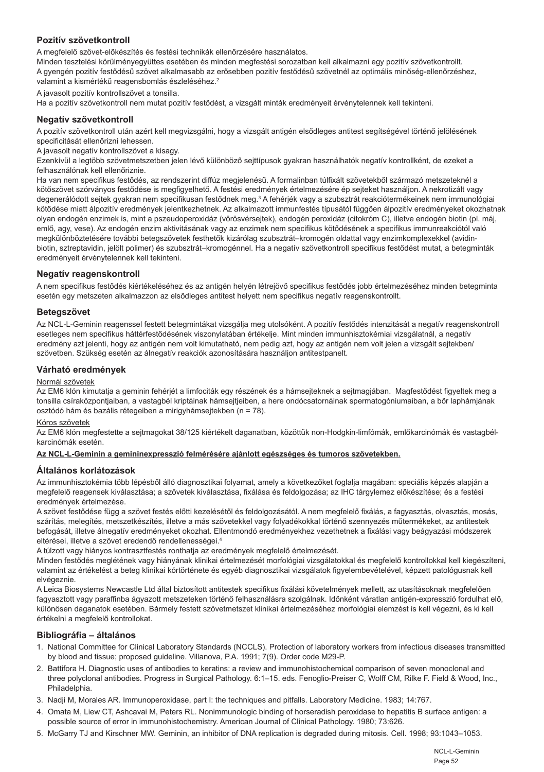# **Pozitív szövetkontroll**

A megfelelő szövet-előkészítés és festési technikák ellenőrzésére használatos.

Minden tesztelési körülményegyüttes esetében és minden megfestési sorozatban kell alkalmazni egy pozitív szövetkontrollt. A gyengén pozitív festődésű szövet alkalmasabb az erősebben pozitív festődésű szövetnél az optimális minőség-ellenőrzéshez, valamint a kismértékű reagensbomlás észleléséhez.<sup>2</sup>

A javasolt pozitív kontrollszövet a tonsilla.

Ha a pozitív szövetkontroll nem mutat pozitív festődést, a vizsgált minták eredményeit érvénytelennek kell tekinteni.

#### **Negatív szövetkontroll**

A pozitív szövetkontroll után azért kell megvizsgálni, hogy a vizsgált antigén elsődleges antitest segítségével történő jelölésének specificitását ellenőrizni lehessen.

A javasolt negatív kontrollszövet a kisagy.

Ezenkívül a legtöbb szövetmetszetben jelen lévő különböző sejttípusok gyakran használhatók negatív kontrollként, de ezeket a felhasználónak kell ellenőriznie.

Ha van nem specifikus festődés, az rendszerint diffúz megjelenésű. A formalinban túlfixált szövetekből származó metszeteknél a kötőszövet szórványos festődése is megfigyelhető. A festési eredmények értelmezésére ép sejteket használjon. A nekrotizált vagy degenerálódott sejtek gyakran nem specifikusan festődnek meg.<sup>3</sup> A fehérjék vagy a szubsztrát reakciótermékeinek nem immunológiai kötődése miatt álpozitív eredmények jelentkezhetnek. Az alkalmazott immunfestés típusától függően álpozitív eredményeket okozhatnak olyan endogén enzimek is, mint a pszeudoperoxidáz (vörösvérsejtek), endogén peroxidáz (citokróm C), illetve endogén biotin (pl. máj, emlő, agy, vese). Az endogén enzim aktivitásának vagy az enzimek nem specifikus kötődésének a specifikus immunreakciótól való megkülönböztetésére további betegszövetek festhetők kizárólag szubsztrát–kromogén oldattal vagy enzimkomplexekkel (avidinbiotin, sztreptavidin, jelölt polimer) és szubsztrát–kromogénnel. Ha a negatív szövetkontroll specifikus festődést mutat, a betegminták eredményeit érvénytelennek kell tekinteni.

#### **Negatív reagenskontroll**

A nem specifikus festődés kiértékeléséhez és az antigén helyén létrejövő specifikus festődés jobb értelmezéséhez minden betegminta esetén egy metszeten alkalmazzon az elsődleges antitest helyett nem specifikus negatív reagenskontrollt.

#### **Betegszövet**

Az NCL-L-Geminin reagenssel festett betegmintákat vizsgálja meg utolsóként. A pozitív festődés intenzitását a negatív reagenskontroll esetleges nem specifikus háttérfestődésének viszonylatában értékelje. Mint minden immunhisztokémiai vizsgálatnál, a negatív eredmény azt jelenti, hogy az antigén nem volt kimutatható, nem pedig azt, hogy az antigén nem volt jelen a vizsgált sejtekben/ szövetben. Szükség esetén az álnegatív reakciók azonosítására használjon antitestpanelt.

#### **Várható eredmények**

#### Normál szövetek

Az EM6 klón kimutatia a geminin fehériét a limfociták egy részének és a hámseiteknek a seitmagjában. Magfestődést figyeltek meg a tonsilla csíraközpontjaiban, a vastagbél kriptáinak hámsejtjeiben, a here ondócsatornáinak spermatogóniumaiban, a bőr laphámjának osztódó hám és bazális rétegeiben a mirigyhámsejtekben (n = 78).

#### Kóros szövetek

Az EM6 klón megfestette a sejtmagokat 38/125 kiértékelt daganatban, közöttük non-Hodgkin-limfómák, emlőkarcinómák és vastagbélkarcinómák esetén.

#### **Az NCL-L-Geminin a gemininexpresszió felmérésére ajánlott egészséges és tumoros szövetekben.**

#### **Általános korlátozások**

Az immunhisztokémia több lépésből álló diagnosztikai folyamat, amely a következőket foglalja magában: speciális képzés alapján a megfelelő reagensek kiválasztása; a szövetek kiválasztása, fixálása és feldolgozása; az IHC tárgylemez előkészítése; és a festési eredmények értelmezése.

A szövet festődése függ a szövet festés előtti kezelésétől és feldolgozásától. A nem megfelelő fixálás, a fagyasztás, olvasztás, mosás, szárítás, melegítés, metszetkészítés, illetve a más szövetekkel vagy folyadékokkal történő szennyezés műtermékeket, az antitestek befogását, illetve álnegatív eredményeket okozhat. Ellentmondó eredményekhez vezethetnek a fixálási vagy beágyazási módszerek eltérései, illetve a szövet eredendő rendellenességei.4

A túlzott vagy hiányos kontrasztfestés ronthatja az eredmények megfelelő értelmezését.

Minden festődés meglétének vagy hiányának klinikai értelmezését morfológiai vizsgálatokkal és megfelelő kontrollokkal kell kiegészíteni, valamint az értékelést a beteg klinikai kórtörténete és egyéb diagnosztikai vizsgálatok figyelembevételével, képzett patológusnak kell elvégeznie.

A Leica Biosystems Newcastle Ltd által biztosított antitestek specifikus fixálási követelmények mellett, az utasításoknak megfelelően fagyasztott vagy paraffinba ágyazott metszeteken történő felhasználásra szolgálnak. Időnként váratlan antigén-expresszió fordulhat elő, különösen daganatok esetében. Bármely festett szövetmetszet klinikai értelmezéséhez morfológiai elemzést is kell végezni, és ki kell értékelni a megfelelő kontrollokat.

#### **Bibliográfia – általános**

- 1. National Committee for Clinical Laboratory Standards (NCCLS). Protection of laboratory workers from infectious diseases transmitted by blood and tissue; proposed guideline. Villanova, P.A. 1991; 7(9). Order code M29-P.
- 2. Battifora H. Diagnostic uses of antibodies to keratins: a review and immunohistochemical comparison of seven monoclonal and three polyclonal antibodies. Progress in Surgical Pathology. 6:1–15. eds. Fenoglio-Preiser C, Wolff CM, Rilke F. Field & Wood, Inc., Philadelphia.
- 3. Nadji M, Morales AR. Immunoperoxidase, part I: the techniques and pitfalls. Laboratory Medicine. 1983; 14:767.
- 4. Omata M, Liew CT, Ashcavai M, Peters RL. Nonimmunologic binding of horseradish peroxidase to hepatitis B surface antigen: a possible source of error in immunohistochemistry. American Journal of Clinical Pathology. 1980; 73:626.
- 5. McGarry TJ and Kirschner MW. Geminin, an inhibitor of DNA replication is degraded during mitosis. Cell. 1998; 93:1043–1053.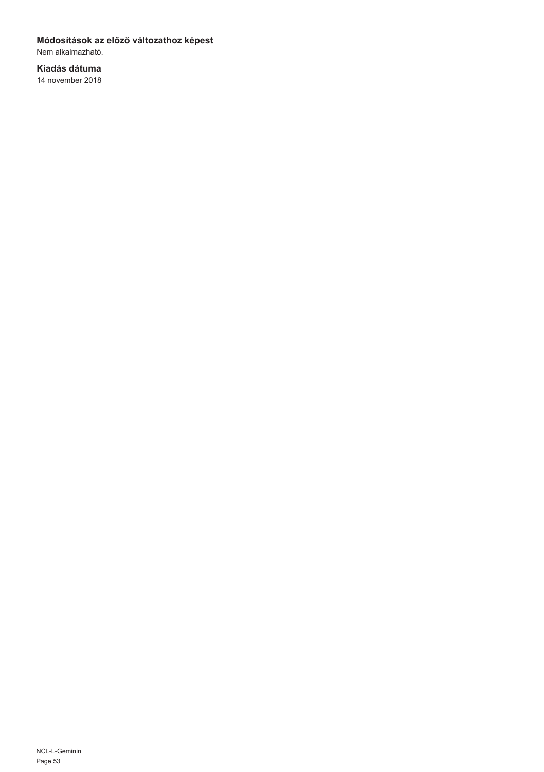# **Módosítások az előző változathoz képest**

Nem alkalmazható.

# **Kiadás dátuma**

14 november 2018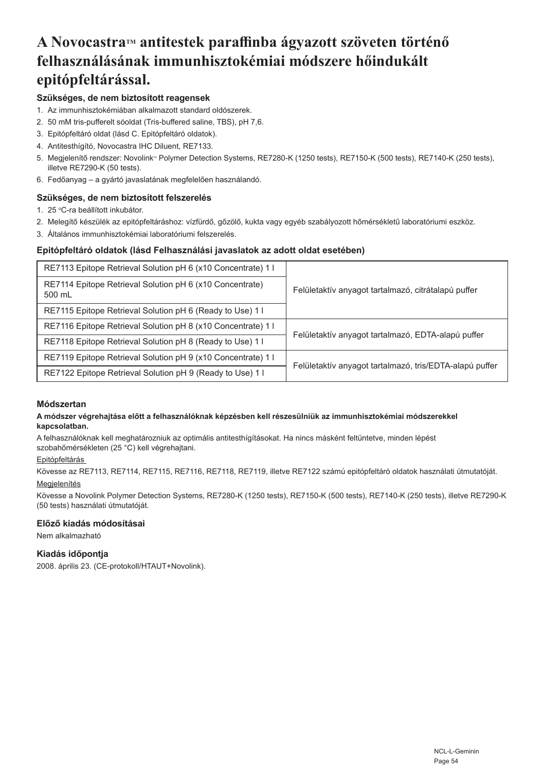# **A NovocastraTM antitestek paraffinba ágyazott szöveten történő felhasználásának immunhisztokémiai módszere hőindukált epitópfeltárással.**

# **Szükséges, de nem biztosított reagensek**

- 1. Az immunhisztokémiában alkalmazott standard oldószerek.
- 2. 50 mM tris-pufferelt sóoldat (Tris-buffered saline, TBS), pH 7,6.
- 3. Epitópfeltáró oldat (lásd C. Epitópfeltáró oldatok).
- 4. Antitesthígító, Novocastra IHC Diluent, RE7133.
- 5. Megjelenítő rendszer: Novolink® Polymer Detection Systems, RE7280-K (1250 tests), RE7150-K (500 tests), RE7140-K (250 tests), illetve RE7290-K (50 tests).
- 6. Fedőanyag a gyártó javaslatának megfelelően használandó.

# **Szükséges, de nem biztosított felszerelés**

- 1. 25 °C-ra beállított inkubátor.
- 2. Melegítő készülék az epitópfeltáráshoz: vízfürdő, gőzölő, kukta vagy egyéb szabályozott hőmérsékletű laboratóriumi eszköz.
- 3. Általános immunhisztokémiai laboratóriumi felszerelés.

# **Epitópfeltáró oldatok (lásd Felhasználási javaslatok az adott oldat esetében)**

| RE7113 Epitope Retrieval Solution pH 6 (x10 Concentrate) 1 I       |                                                         |
|--------------------------------------------------------------------|---------------------------------------------------------|
| RE7114 Epitope Retrieval Solution pH 6 (x10 Concentrate)<br>500 mL | Felületaktív anyagot tartalmazó, citrátalapú puffer     |
| RE7115 Epitope Retrieval Solution pH 6 (Ready to Use) 1            |                                                         |
| RE7116 Epitope Retrieval Solution pH 8 (x10 Concentrate) 1 I       |                                                         |
| RE7118 Epitope Retrieval Solution pH 8 (Ready to Use) 1            | Felületaktív anyagot tartalmazó, EDTA-alapú puffer      |
| RE7119 Epitope Retrieval Solution pH 9 (x10 Concentrate) 1         | Felületaktív anyagot tartalmazó, tris/EDTA-alapú puffer |
| RE7122 Epitope Retrieval Solution pH 9 (Ready to Use) 1 I          |                                                         |

#### **Módszertan**

#### **A módszer végrehajtása előtt a felhasználóknak képzésben kell részesülniük az immunhisztokémiai módszerekkel kapcsolatban.**

A felhasználóknak kell meghatározniuk az optimális antitesthígításokat. Ha nincs másként feltüntetve, minden lépést szobahőmérsékleten (25 °C) kell végrehajtani.

#### Epitópfeltárás

Kövesse az RE7113, RE7114, RE7115, RE7116, RE7118, RE7119, illetve RE7122 számú epitópfeltáró oldatok használati útmutatóját. Megjelenítés

#### Kövesse a Novolink Polymer Detection Systems, RE7280-K (1250 tests), RE7150-K (500 tests), RE7140-K (250 tests), illetve RE7290-K (50 tests) használati útmutatóját.

#### **Előző kiadás módosításai**

Nem alkalmazható

# **Kiadás időpontja**

2008. április 23. (CE-protokoll/HTAUT+Novolink).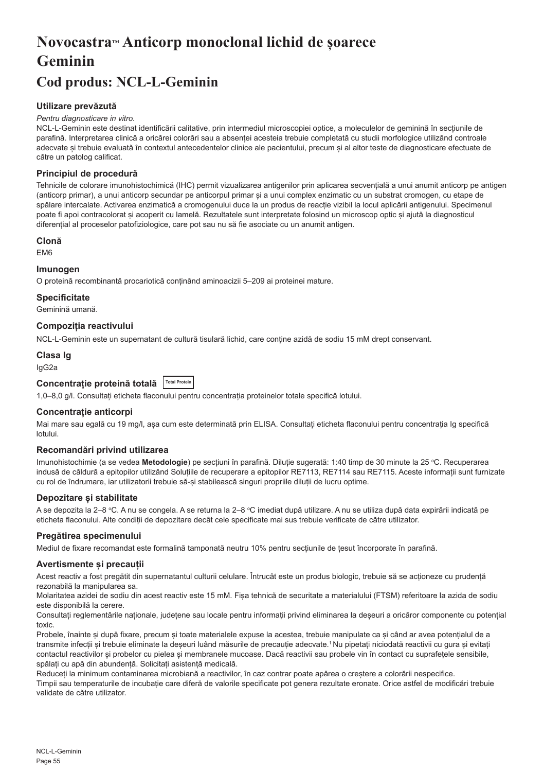# **NovocastraTM Anticorp monoclonal lichid de șoarece Geminin**

# **Cod produs: NCL-L-Geminin**

# **Utilizare prevăzută**

#### *Pentru diagnosticare in vitro.*

NCL-L-Geminin este destinat identificării calitative, prin intermediul microscopiei optice, a moleculelor de geminină în secțiunile de parafină. Interpretarea clinică a oricărei colorări sau a absenței acesteia trebuie completată cu studii morfologice utilizând controale adecvate și trebuie evaluată în contextul antecedentelor clinice ale pacientului, precum și al altor teste de diagnosticare efectuate de către un patolog calificat.

# **Principiul de procedură**

Tehnicile de colorare imunohistochimică (IHC) permit vizualizarea antigenilor prin aplicarea secvențială a unui anumit anticorp pe antigen (anticorp primar), a unui anticorp secundar pe anticorpul primar și a unui complex enzimatic cu un substrat cromogen, cu etape de spălare intercalate. Activarea enzimatică a cromogenului duce la un produs de reacție vizibil la locul aplicării antigenului. Specimenul poate fi apoi contracolorat și acoperit cu lamelă. Rezultatele sunt interpretate folosind un microscop optic și ajută la diagnosticul diferențial al proceselor patofiziologice, care pot sau nu să fie asociate cu un anumit antigen.

# **Clonă**

EM6

#### **Imunogen**

O proteină recombinantă procariotică conținând aminoacizii 5–209 ai proteinei mature.

#### **Specificitate**

Geminină umană.

# **Compoziția reactivului**

NCL-L-Geminin este un supernatant de cultură tisulară lichid, care conține azidă de sodiu 15 mM drept conservant.

# **Clasa Ig**

IgG2a

# **Concentrație proteină totală Total Protein**

1,0–8,0 g/l. Consultați eticheta flaconului pentru concentrația proteinelor totale specifică lotului.

#### **Concentrație anticorpi**

Mai mare sau egală cu 19 mg/l, asa cum este determinată prin ELISA. Consultati eticheta flaconului pentru concentratia Ig specifică lotului.

#### **Recomandări privind utilizarea**

lmunohistochimie (a se vedea **Metodologie**) pe secțiuni în parafină. Diluție sugerată: 1:40 timp de 30 minute la 25 °C. Recuperarea indusă de căldură a epitopilor utilizând Soluțiile de recuperare a epitopilor RE7113, RE7114 sau RE7115. Aceste informații sunt furnizate cu rol de îndrumare, iar utilizatorii trebuie să-și stabilească singuri propriile diluții de lucru optime.

#### **Depozitare și stabilitate**

A se depozita la 2–8 °C. A nu se congela. A se returna la 2–8 °C imediat după utilizare. A nu se utiliza după data expirării indicată pe eticheta flaconului. Alte condiții de depozitare decât cele specificate mai sus trebuie verificate de către utilizator.

#### **Pregătirea specimenului**

Mediul de fixare recomandat este formalină tamponată neutru 10% pentru secțiunile de țesut încorporate în parafină.

#### **Avertismente și precauții**

Acest reactiv a fost pregătit din supernatantul culturii celulare. Întrucât este un produs biologic, trebuie să se acționeze cu prudență rezonabilă la manipularea sa.

Molaritatea azidei de sodiu din acest reactiv este 15 mM. Fișa tehnică de securitate a materialului (FTSM) referitoare la azida de sodiu este disponibilă la cerere.

Consultați reglementările naționale, județene sau locale pentru informații privind eliminarea la deșeuri a oricăror componente cu potențial toxic.

Probele, înainte și după fixare, precum și toate materialele expuse la acestea, trebuie manipulate ca și când ar avea potențialul de a transmite infecții și trebuie eliminate la deșeuri luând măsurile de precauție adecvate.<sup>1</sup>Nu pipetați niciodată reactivii cu gura și evitați contactul reactivilor și probelor cu pielea și membranele mucoase. Dacă reactivii sau probele vin în contact cu suprafețele sensibile, spălați cu apă din abundență. Solicitați asistență medicală.

Reduceți la minimum contaminarea microbiană a reactivilor, în caz contrar poate apărea o creștere a colorării nespecifice. Timpii sau temperaturile de incubație care diferă de valorile specificate pot genera rezultate eronate. Orice astfel de modificări trebuie validate de către utilizator.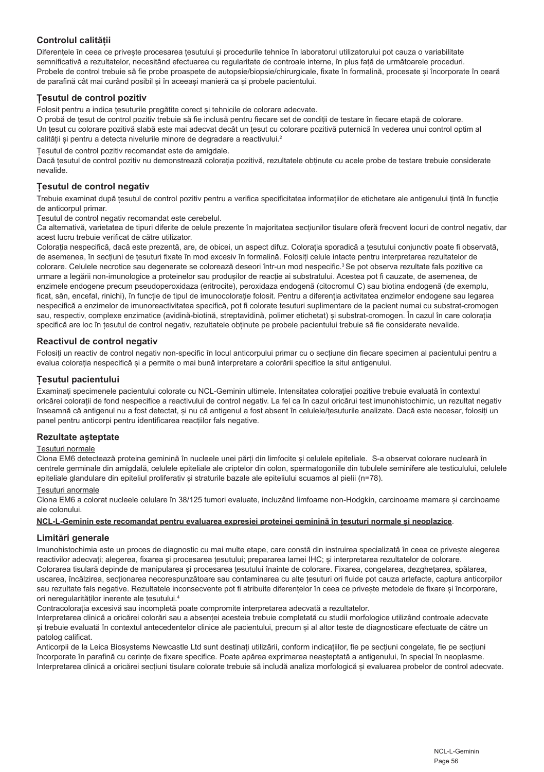# **Controlul calității**

Diferențele în ceea ce privește procesarea țesutului și procedurile tehnice în laboratorul utilizatorului pot cauza o variabilitate semnificativă a rezultatelor, necesitând efectuarea cu regularitate de controale interne, în plus față de următoarele proceduri. Probele de control trebuie să fie probe proaspete de autopsie/biopsie/chirurgicale, fixate în formalină, procesate și încorporate în ceară de parafină cât mai curând posibil și în aceeași manieră ca și probele pacientului.

# **Țesutul de control pozitiv**

Folosit pentru a indica țesuturile pregătite corect și tehnicile de colorare adecvate.

O probă de țesut de control pozitiv trebuie să fie inclusă pentru fiecare set de condiții de testare în fiecare etapă de colorare. Un țesut cu colorare pozitivă slabă este mai adecvat decât un țesut cu colorare pozitivă puternică în vederea unui control optim al calității și pentru a detecta nivelurile minore de degradare a reactivului.<sup>2</sup>

Țesutul de control pozitiv recomandat este de amigdale.

Dacă țesutul de control pozitiv nu demonstrează colorația pozitivă, rezultatele obținute cu acele probe de testare trebuie considerate nevalide.

# **Țesutul de control negativ**

Trebuie examinat după țesutul de control pozitiv pentru a verifica specificitatea informațiilor de etichetare ale antigenului țintă în funcție de anticorpul primar.

Țesutul de control negativ recomandat este cerebelul.

Ca alternativă, varietatea de tipuri diferite de celule prezente în majoritatea secțiunilor tisulare oferă frecvent locuri de control negativ, dar acest lucru trebuie verificat de către utilizator.

Colorația nespecifică, dacă este prezentă, are, de obicei, un aspect difuz. Colorația sporadică a țesutului conjunctiv poate fi observată, de asemenea, în secțiuni de țesuturi fixate în mod excesiv în formalină. Folosiți celule intacte pentru interpretarea rezultatelor de colorare. Celulele necrotice sau degenerate se colorează deseori într-un mod nespecific.<sup>3</sup> Se pot observa rezultate fals pozitive ca urmare a legării non-imunologice a proteinelor sau produșilor de reacție ai substratului. Acestea pot fi cauzate, de asemenea, de enzimele endogene precum pseudoperoxidaza (eritrocite), peroxidaza endogenă (citocromul C) sau biotina endogenă (de exemplu, ficat, sân, encefal, rinichi), în funcție de tipul de imunocolorație folosit. Pentru a diferenția activitatea enzimelor endogene sau legarea nespecifică a enzimelor de imunoreactivitatea specifică, pot fi colorate tesuturi suplimentare de la pacient numai cu substrat-cromogen sau, respectiv, complexe enzimatice (avidină-biotină, streptavidină, polimer etichetat) și substrat-cromogen. În cazul în care colorația specifică are loc în țesutul de control negativ, rezultatele obținute pe probele pacientului trebuie să fie considerate nevalide.

#### **Reactivul de control negativ**

Folosiți un reactiv de control negativ non-specific în locul anticorpului primar cu o secțiune din fiecare specimen al pacientului pentru a evalua colorația nespecifică și a permite o mai bună interpretare a colorării specifice la situl antigenului.

# **Țesutul pacientului**

Examinați specimenele pacientului colorate cu NCL-Geminin ultimele. Intensitatea colorației pozitive trebuie evaluată în contextul oricărei colorații de fond nespecifice a reactivului de control negativ. La fel ca în cazul oricărui test imunohistochimic, un rezultat negativ înseamnă că antigenul nu a fost detectat, și nu că antigenul a fost absent în celulele/țesuturile analizate. Dacă este necesar, folosiți un panel pentru anticorpi pentru identificarea reacțiilor fals negative.

#### **Rezultate așteptate**

#### Țesuturi normale

Clona EM6 detectează proteina geminină în nucleele unei părți din limfocite și celulele epiteliale. S-a observat colorare nucleară în centrele germinale din amigdală, celulele epiteliale ale criptelor din colon, spermatogoniile din tubulele seminifere ale testiculului, celulele epiteliale glandulare din epiteliul proliferativ și straturile bazale ale epiteliului scuamos al pielii (n=78).

#### Țesuturi anormale

Clona EM6 a colorat nucleele celulare în 38/125 tumori evaluate, incluzând limfoame non-Hodgkin, carcinoame mamare și carcinoame ale colonului.

#### **NCL-L-Geminin este recomandat pentru evaluarea expresiei proteinei geminină în țesuturi normale și neoplazice**.

#### **Limitări generale**

Imunohistochimia este un proces de diagnostic cu mai multe etape, care constă din instruirea specializată în ceea ce priveste alegerea reactivilor adecvați; alegerea, fixarea și procesarea țesutului; prepararea lamei IHC; și interpretarea rezultatelor de colorare. Colorarea tisulară depinde de manipularea și procesarea țesutului înainte de colorare. Fixarea, congelarea, dezghețarea, spălarea, uscarea, încălzirea, secționarea necorespunzătoare sau contaminarea cu alte țesuturi ori fluide pot cauza artefacte, captura anticorpilor sau rezultate fals negative. Rezultatele inconsecvente pot fi atribuite diferentelor în ceea ce priveste metodele de fixare și încorporare, ori neregularităților inerente ale tesutului.<sup>4</sup>

Contracolorația excesivă sau incompletă poate compromite interpretarea adecvată a rezultatelor.

Interpretarea clinică a oricărei colorări sau a absenței acesteia trebuie completată cu studii morfologice utilizând controale adecvate și trebuie evaluată în contextul antecedentelor clinice ale pacientului, precum și al altor teste de diagnosticare efectuate de către un patolog calificat.

Anticorpii de la Leica Biosystems Newcastle Ltd sunt destinați utilizării, conform indicațiilor, fie pe secțiuni congelate, fie pe secțiuni încorporate în parafină cu cerințe de fixare specifice. Poate apărea exprimarea neașteptată a antigenului, în special în neoplasme. Interpretarea clinică a oricărei secțiuni tisulare colorate trebuie să includă analiza morfologică și evaluarea probelor de control adecvate.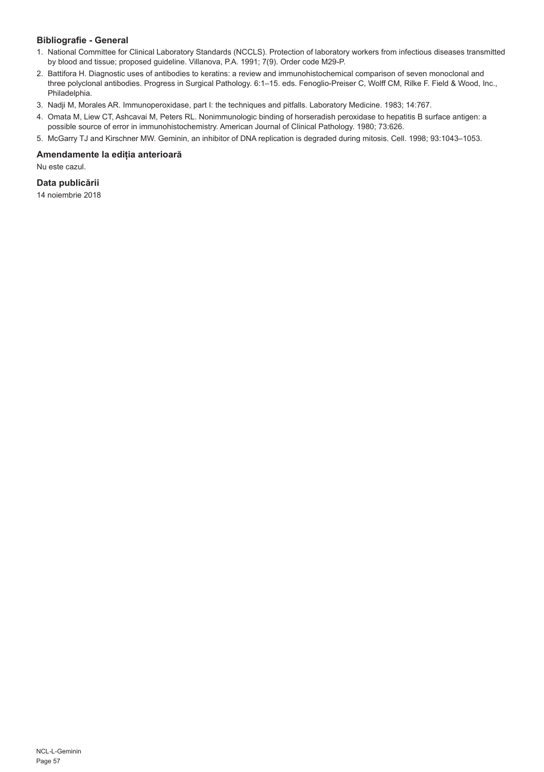# **Bibliografie - General**

- 1. National Committee for Clinical Laboratory Standards (NCCLS). Protection of laboratory workers from infectious diseases transmitted by blood and tissue; proposed guideline. Villanova, P.A. 1991; 7(9). Order code M29-P.
- 2. Battifora H. Diagnostic uses of antibodies to keratins: a review and immunohistochemical comparison of seven monoclonal and three polyclonal antibodies. Progress in Surgical Pathology. 6:1–15. eds. Fenoglio-Preiser C, Wolff CM, Rilke F. Field & Wood, Inc., Philadelphia.
- 3. Nadji M, Morales AR. Immunoperoxidase, part I: the techniques and pitfalls. Laboratory Medicine. 1983; 14:767.
- 4. Omata M, Liew CT, Ashcavai M, Peters RL. Nonimmunologic binding of horseradish peroxidase to hepatitis B surface antigen: a possible source of error in immunohistochemistry. American Journal of Clinical Pathology. 1980; 73:626.
- 5. McGarry TJ and Kirschner MW. Geminin, an inhibitor of DNA replication is degraded during mitosis. Cell. 1998; 93:1043–1053.

#### **Amendamente la ediția anterioară**

Nu este cazul.

# **Data publicării**

14 noiembrie 2018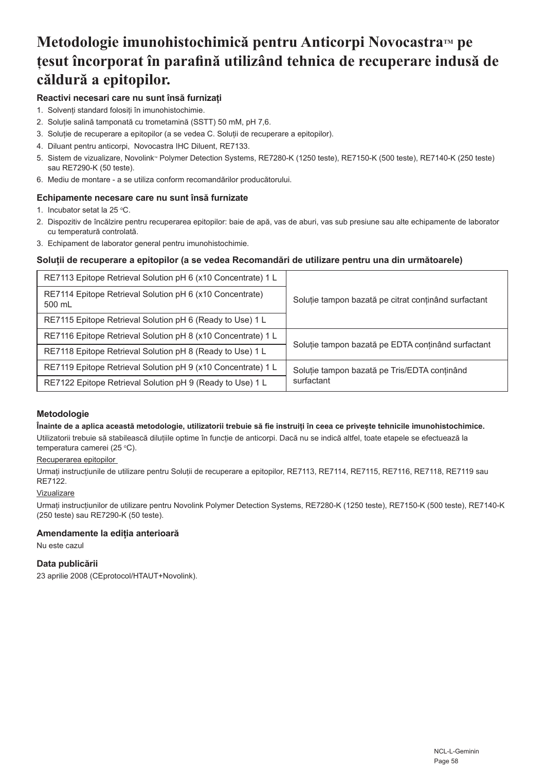# **Metodologie imunohistochimică pentru Anticorpi NovocastraTM pe țesut încorporat în parafină utilizând tehnica de recuperare indusă de căldură a epitopilor.**

# **Reactivi necesari care nu sunt însă furnizați**

- 1. Solvenți standard folosiți în imunohistochimie.
- 2. Soluție salină tamponată cu trometamină (SSTT) 50 mM, pH 7,6.
- 3. Soluție de recuperare a epitopilor (a se vedea C. Soluții de recuperare a epitopilor).
- 4. Diluant pentru anticorpi, Novocastra IHC Diluent, RE7133.
- 5. Sistem de vizualizare, Novolink" Polymer Detection Systems, RE7280-K (1250 teste), RE7150-K (500 teste), RE7140-K (250 teste) sau RE7290-K (50 teste).
- 6. Mediu de montare a se utiliza conform recomandărilor producătorului.

# **Echipamente necesare care nu sunt însă furnizate**

- 1. Incubator setat la 25 °C.
- 2. Dispozitiv de încălzire pentru recuperarea epitopilor: baie de apă, vas de aburi, vas sub presiune sau alte echipamente de laborator cu temperatură controlată.
- 3. Echipament de laborator general pentru imunohistochimie.

# **Soluții de recuperare a epitopilor (a se vedea Recomandări de utilizare pentru una din următoarele)**

| RE7113 Epitope Retrieval Solution pH 6 (x10 Concentrate) 1 L       |                                                      |
|--------------------------------------------------------------------|------------------------------------------------------|
| RE7114 Epitope Retrieval Solution pH 6 (x10 Concentrate)<br>500 mL | Solutie tampon bazată pe citrat continând surfactant |
| RE7115 Epitope Retrieval Solution pH 6 (Ready to Use) 1 L          |                                                      |
| RE7116 Epitope Retrieval Solution pH 8 (x10 Concentrate) 1 L       | Solutie tampon bazată pe EDTA continând surfactant   |
| RE7118 Epitope Retrieval Solution pH 8 (Ready to Use) 1 L          |                                                      |
| RE7119 Epitope Retrieval Solution pH 9 (x10 Concentrate) 1 L       | Solutie tampon bazată pe Tris/EDTA continând         |
| RE7122 Epitope Retrieval Solution pH 9 (Ready to Use) 1 L          | surfactant                                           |

#### **Metodologie**

#### **Înainte de a aplica această metodologie, utilizatorii trebuie să fie instruiți în ceea ce privește tehnicile imunohistochimice.**

Utilizatorii trebuie să stabilească diluțiile optime în funcție de anticorpi. Dacă nu se indică altfel, toate etapele se efectuează la temperatura camerei (25 °C).

# Recuperarea epitopilor

Urmați instrucțiunile de utilizare pentru Soluții de recuperare a epitopilor, RE7113, RE7114, RE7115, RE7116, RE7118, RE7119 sau RE7122.

#### Vizualizare

Urmați instrucțiunilor de utilizare pentru Novolink Polymer Detection Systems, RE7280-K (1250 teste), RE7150-K (500 teste), RE7140-K (250 teste) sau RE7290-K (50 teste).

# **Amendamente la ediția anterioară**

Nu este cazul

### **Data publicării**

23 aprilie 2008 (CEprotocol/HTAUT+Novolink).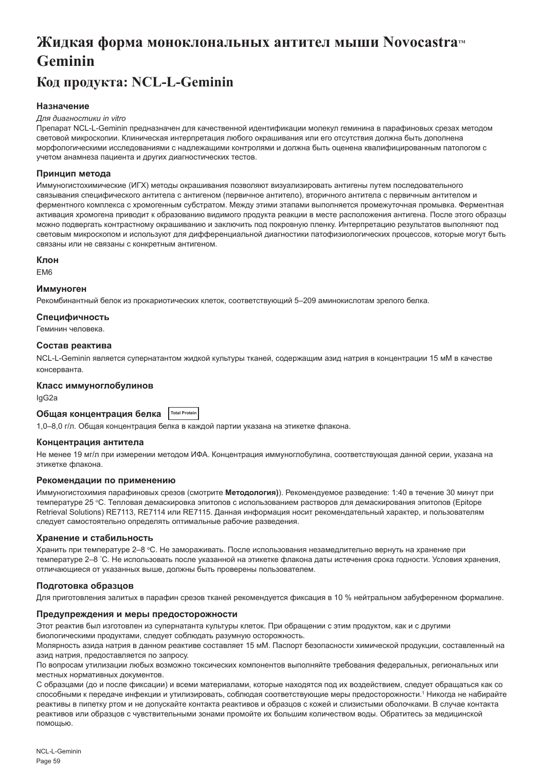# **Жидкая форма моноклональных антител мыши Novocastra Geminin**

# **Код продукта: NCL-L-Geminin**

### **Назначение**

#### *Для диагностики in vitro*

Препарат NCL-L-Geminin предназначен для качественной идентификации молекул геминина в парафиновых срезах методом световой микроскопии. Клиническая интерпретация любого окрашивания или его отсутствия должна быть дополнена морфологическими исследованиями с надлежащими контролями и должна быть оценена квалифицированным патологом с учетом анамнеза пациента и других диагностических тестов.

#### **Принцип метода**

Иммуногистохимические (ИГХ) методы окрашивания позволяют визуализировать антигены путем последовательного связывания специфического антитела с антигеном (первичное антитело), вторичного антитела с первичным антителом и ферментного комплекса с хромогенным субстратом. Между этими этапами выполняется промежуточная промывка. Ферментная активация хромогена приводит к образованию видимого продукта реакции в месте расположения антигена. После этого образцы можно подвергать контрастному окрашиванию и заключить под покровную пленку. Интерпретацию результатов выполняют под световым микроскопом и используют для дифференциальной диагностики патофизиологических процессов, которые могут быть связаны или не связаны с конкретным антигеном.

#### **Клон**

EM6

#### **Иммуноген**

Рекомбинантный белок из прокариотических клеток, соответствующий 5–209 аминокислотам зрелого белка.

#### **Специфичность**

Геминин человека.

#### **Состав реактива**

NCL-L-Geminin является супернатантом жидкой культуры тканей, содержащим азид натрия в концентрации 15 мМ в качестве консерванта.

#### **Класс иммуноглобулинов**

IgG2a

# **Общая концентрация белка Total Protein**

1,0–8,0 г/л. Общая концентрация белка в каждой партии указана на этикетке флакона.

#### **Концентрация антитела**

Не менее 19 мг/л при измерении методом ИФА. Концентрация иммуноглобулина, соответствующая данной серии, указана на этикетке флакона.

#### **Рекомендации по применению**

Иммуногистохимия парафиновых срезов (смотрите **Методология)**). Рекомендуемое разведение: 1:40 в течение 30 минут при температуре 25 °C. Тепловая демаскировка эпитопов с использованием растворов для демаскирования эпитопов (Epitope Retrieval Solutions) RE7113, RE7114 или RE7115. Данная информация носит рекомендательный характер, и пользователям следует самостоятельно определять оптимальные рабочие разведения.

#### **Хранение и стабильность**

Хранить при температуре 2–8 °C. Не замораживать. После использования незамедлительно вернуть на хранение при температуре 2–8 ° C. Не использовать после указанной на этикетке флакона даты истечения срока годности. Условия хранения, отличающиеся от указанных выше, должны быть проверены пользователем.

#### **Подготовка образцов**

Для приготовления залитых в парафин срезов тканей рекомендуется фиксация в 10 % нейтральном забуференном формалине.

#### **Предупреждения и меры предосторожности**

Этот реактив был изготовлен из супернатанта культуры клеток. При обращении с этим продуктом, как и с другими биологическими продуктами, следует соблюдать разумную осторожность.

Молярность азида натрия в данном реактиве составляет 15 мМ. Паспорт безопасности химической продукции, составленный на азид натрия, предоставляется по запросу.

По вопросам утилизации любых возможно токсических компонентов выполняйте требования федеральных, региональных или местных нормативных документов.

С образцами (до и после фиксации) и всеми материалами, которые находятся под их воздействием, следует обращаться как со способными к передаче инфекции и утилизировать, соблюдая соответствующие меры предосторожности.<sup>1</sup> Никогда не набирайте реактивы в пипетку ртом и не допускайте контакта реактивов и образцов с кожей и слизистыми оболочками. В случае контакта реактивов или образцов с чувствительными зонами промойте их большим количеством воды. Обратитесь за медицинской помощью.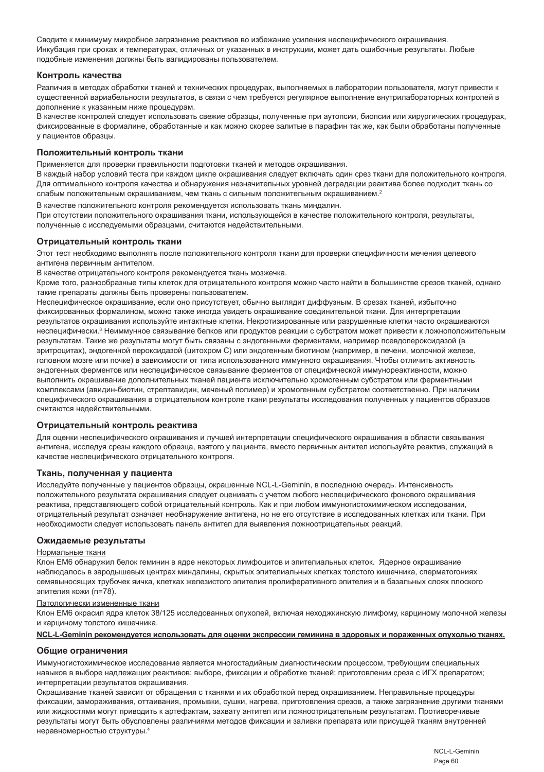Сводите к минимуму микробное загрязнение реактивов во избежание усиления неспецифического окрашивания. Инкубация при сроках и температурах, отличных от указанных в инструкции, может дать ошибочные результаты. Любые подобные изменения должны быть валидированы пользователем.

#### **Контроль качества**

Различия в методах обработки тканей и технических процедурах, выполняемых в лаборатории пользователя, могут привести к существенной вариабельности результатов, в связи с чем требуется регулярное выполнение внутрилабораторных контролей в дополнение к указанным ниже процедурам.

В качестве контролей следует использовать свежие образцы, полученные при аутопсии, биопсии или хирургических процедурах, фиксированные в формалине, обработанные и как можно скорее залитые в парафин так же, как были обработаны полученные у пациентов образцы.

# **Положительный контроль ткани**

Применяется для проверки правильности подготовки тканей и методов окрашивания.

В каждый набор условий теста при каждом цикле окрашивания следует включать один срез ткани для положительного контроля. Для оптимального контроля качества и обнаружения незначительных уровней деградации реактива более подходит ткань со слабым положительным окрашиванием, чем ткань с сильным положительным окрашиванием.<sup>2</sup>

В качестве положительного контроля рекомендуется использовать ткань миндалин.

При отсутствии положительного окрашивания ткани, использующейся в качестве положительного контроля, результаты, полученные с исследуемыми образцами, считаются недействительными.

#### **Отрицательный контроль ткани**

Этот тест необходимо выполнять после положительного контроля ткани для проверки специфичности мечения целевого антигена первичным антителом.

В качестве отрицательного контроля рекомендуется ткань мозжечка.

Кроме того, разнообразные типы клеток для отрицательного контроля можно часто найти в большинстве срезов тканей, однако такие препараты должны быть проверены пользователем.

Неспецифическое окрашивание, если оно присутствует, обычно выглядит диффузным. В срезах тканей, избыточно фиксированных формалином, можно также иногда увидеть окрашивание соединительной ткани. Для интерпретации результатов окрашивания используйте интактные клетки. Некротизированные или разрушенные клетки часто окрашиваются неспецифически.<sup>з</sup> Неиммунное связывание белков или продуктов реакции с субстратом может привести к ложноположительным результатам. Такие же результаты могут быть связаны с эндогенными ферментами, например псевдопероксидазой (в эритроцитах), эндогенной пероксидазой (цитохром C) или эндогенным биотином (например, в печени, молочной железе, головном мозге или почке) в зависимости от типа использованного иммунного окрашивания. Чтобы отличить активность эндогенных ферментов или неспецифическое связывание ферментов от специфической иммунореактивности, можно выполнить окрашивание дополнительных тканей пациента исключительно хромогенным субстратом или ферментными комплексами (авидин-биотин, стрептавидин, меченый полимер) и хромогенным субстратом соответственно. При наличии специфического окрашивания в отрицательном контроле ткани результаты исследования полученных у пациентов образцов считаются недействительными.

#### **Отрицательный контроль реактива**

Для оценки неспецифического окрашивания и лучшей интерпретации специфического окрашивания в области связывания антигена, исследуя срезы каждого образца, взятого у пациента, вместо первичных антител используйте реактив, служащий в качестве неспецифического отрицательного контроля.

#### **Ткань, полученная у пациента**

Исследуйте полученные у пациентов образцы, окрашенные NCL-L-Geminin, в последнюю очередь. Интенсивность положительного результата окрашивания следует оценивать с учетом любого неспецифического фонового окрашивания реактива, представляющего собой отрицательный контроль. Как и при любом иммуногистохимическом исследовании, отрицательный результат означает необнаружение антигена, но не его отсутствие в исследованных клетках или ткани. При необходимости следует использовать панель антител для выявления ложноотрицательных реакций.

#### **Ожидаемые результаты**

#### Нормальные ткани

Клон EM6 обнаружил белок геминин в ядре некоторых лимфоцитов и эпителиальных клеток. Ядерное окрашивание наблюдалось в зародышевых центрах миндалины, скрытых эпителиальных клетках толстого кишечника, сперматогониях семявыносящих трубочек яичка, клетках железистого эпителия пролиферативного эпителия и в базальных слоях плоского эпителия кожи (n=78).

#### Патологически измененные ткани

Клон EM6 окрасил ядра клеток 38/125 исследованных опухолей, включая неходжкинскую лимфому, карциному молочной железы и карциному толстого кишечника.

#### **NCL-L-Geminin рекомендуется использовать для оценки экспрессии геминина в здоровых и пораженных опухолью тканях.**

#### **Общие ограничения**

Иммуногистохимическое исследование является многостадийным диагностическим процессом, требующим специальных навыков в выборе надлежащих реактивов; выборе, фиксации и обработке тканей; приготовлении среза с ИГХ препаратом; интерпретации результатов окрашивания.

Окрашивание тканей зависит от обращения с тканями и их обработкой перед окрашиванием. Неправильные процедуры фиксации, замораживания, оттаивания, промывки, сушки, нагрева, приготовления срезов, а также загрязнение другими тканями или жидкостями могут приводить к артефактам, захвату антител или ложноотрицательным результатам. Противоречивые результаты могут быть обусловлены различиями методов фиксации и заливки препарата или присущей тканям внутренней неравномерностью структуры.4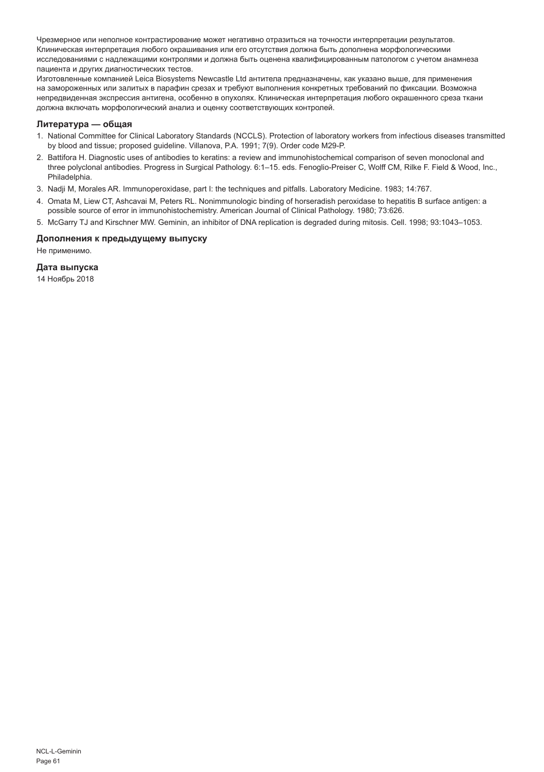Чрезмерное или неполное контрастирование может негативно отразиться на точности интерпретации результатов. Клиническая интерпретация любого окрашивания или его отсутствия должна быть дополнена морфологическими исследованиями с надлежащими контролями и должна быть оценена квалифицированным патологом с учетом анамнеза пациента и других диагностических тестов.

Изготовленные компанией Leica Biosystems Newcastle Ltd антитела предназначены, как указано выше, для применения на замороженных или залитых в парафин срезах и требуют выполнения конкретных требований по фиксации. Возможна непредвиденная экспрессия антигена, особенно в опухолях. Клиническая интерпретация любого окрашенного среза ткани должна включать морфологический анализ и оценку соответствующих контролей.

#### **Литература — общая**

- 1. National Committee for Clinical Laboratory Standards (NCCLS). Protection of laboratory workers from infectious diseases transmitted by blood and tissue; proposed guideline. Villanova, P.A. 1991; 7(9). Order code M29-P.
- 2. Battifora H. Diagnostic uses of antibodies to keratins: a review and immunohistochemical comparison of seven monoclonal and three polyclonal antibodies. Progress in Surgical Pathology. 6:1–15. eds. Fenoglio-Preiser C, Wolff CM, Rilke F. Field & Wood, Inc., Philadelphia.
- 3. Nadji M, Morales AR. Immunoperoxidase, part I: the techniques and pitfalls. Laboratory Medicine. 1983; 14:767.
- 4. Omata M, Liew CT, Ashcavai M, Peters RL. Nonimmunologic binding of horseradish peroxidase to hepatitis B surface antigen: a possible source of error in immunohistochemistry. American Journal of Clinical Pathology. 1980; 73:626.
- 5. McGarry TJ and Kirschner MW. Geminin, an inhibitor of DNA replication is degraded during mitosis. Cell. 1998; 93:1043–1053.

#### **Дополнения к предыдущему выпуску**

Не применимо.

#### **Дата выпуска**

14 Ноябрь 2018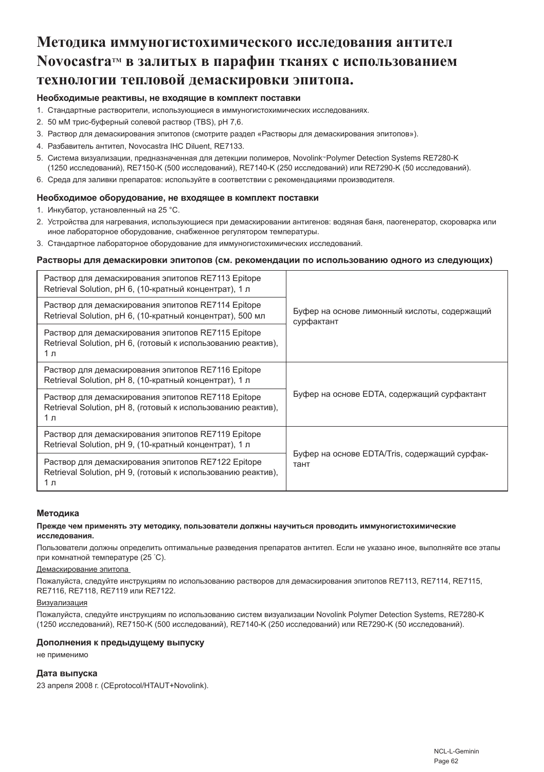# **Методика иммуногистохимического исследования антител NovocastraTM в залитых в парафин тканях с использованием технологии тепловой демаскировки эпитопа.**

# **Необходимые реактивы, не входящие в комплект поставки**

- 1. Стандартные растворители, использующиеся в иммуногистохимических исследованиях.
- 2. 50 мМ трис-буферный солевой раствор (TBS), pH 7,6.
- 3. Раствор для демаскирования эпитопов (смотрите раздел «Растворы для демаскирования эпитопов»).
- 4. Разбавитель антител, Novocastra IHC Diluent, RE7133.
- 5. Система визуализации, предназначенная для детекции полимеров, Novolink® Polymer Detection Systems RE7280-K (1250 исследований), RE7150-K (500 исследований), RE7140-K (250 исследований) или RE7290-K (50 исследований).
- 6. Среда для заливки препаратов: используйте в соответствии с рекомендациями производителя.

#### **Необходимое оборудование, не входящее в комплект поставки**

- 1. Инкубатор, установленный на 25 °C.
- 2. Устройства для нагревания, использующиеся при демаскировании антигенов: водяная баня, паогенератор, скороварка или иное лабораторное оборудование, снабженное регулятором температуры.
- 3. Стандартное лабораторное оборудование для иммуногистохимических исследований.

#### **Растворы для демаскировки эпитопов (см. рекомендации по использованию одного из следующих)**

| Раствор для демаскирования эпитопов RE7113 Epitope<br>Retrieval Solution, pH 6, (10-кратный концентрат), 1 л              |                                                            |
|---------------------------------------------------------------------------------------------------------------------------|------------------------------------------------------------|
| Раствор для демаскирования эпитопов RE7114 Epitope<br>Retrieval Solution, pH 6, (10-кратный концентрат), 500 мл           | Буфер на основе лимонный кислоты, содержащий<br>сурфактант |
| Раствор для демаскирования эпитопов RE7115 Epitope<br>Retrieval Solution, pH 6, (готовый к использованию реактив),<br>1 л |                                                            |
| Раствор для демаскирования эпитопов RE7116 Epitope<br>Retrieval Solution, pH 8, (10-кратный концентрат), 1 л              |                                                            |
| Раствор для демаскирования эпитопов RE7118 Epitope<br>Retrieval Solution, pH 8, (готовый к использованию реактив),<br>1 л | Буфер на основе EDTA, содержащий сурфактант                |
| Раствор для демаскирования эпитопов RE7119 Epitope<br>Retrieval Solution, pH 9, (10-кратный концентрат), 1 л              |                                                            |
| Раствор для демаскирования эпитопов RE7122 Epitope<br>Retrieval Solution, pH 9, (готовый к использованию реактив),<br>1 л | Буфер на основе EDTA/Tris, содержащий сурфак-<br>тант      |

#### **Методика**

#### **Прежде чем применять эту методику, пользователи должны научиться проводить иммуногистохимические исследования.**

Пользователи должны определить оптимальные разведения препаратов антител. Если не указано иное, выполняйте все этапы при комнатной температуре (25 ° C).

#### Демаскирование эпитопа

Пожалуйста, следуйте инструкциям по использованию растворов для демаскирования эпитопов RE7113, RE7114, RE7115, RE7116, RE7118, RE7119 или RE7122.

#### Визуализация

Пожалуйста, следуйте инструкциям по использованию систем визуализации Novolink Polymer Detection Systems, RE7280-K (1250 исследований), RE7150-K (500 исследований), RE7140-K (250 исследований) или RE7290-K (50 исследований).

#### **Дополнения к предыдущему выпуску**

не применимо

#### **Дата выпуска**

23 апреля 2008 г. (CEprotocol/HTAUT+Novolink).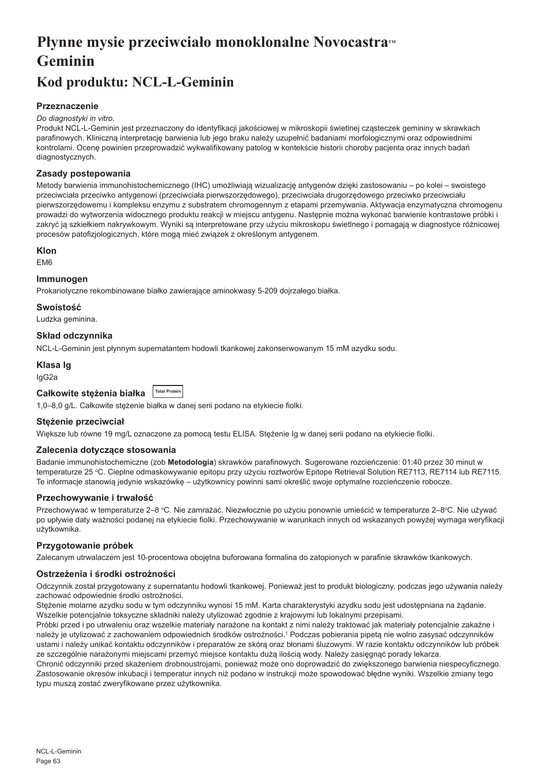# **Płynne mysie przeciwciało monoklonalne Novocastra<sup>***M***</sup> Geminin**

# **Kod produktu: NCL-L-Geminin**

# **Przeznaczenie**

#### *Do diagnostyki in vitro.*

Produkt NCL-L-Geminin jest przeznaczony do identyfikacji jakościowej w mikroskopii świetlnej cząsteczek gemininy w skrawkach parafinowych. Kliniczną interpretację barwienia lub jego braku należy uzupełnić badaniami morfologicznymi oraz odpowiednimi kontrolami. Ocenę powinien przeprowadzić wykwalifikowany patolog w kontekście historii choroby pacjenta oraz innych badań diagnostycznych.

### **Zasady postepowania**

Metody barwienia immunohistochemicznego (IHC) umożliwiają wizualizację antygenów dzięki zastosowaniu – po kolei – swoistego przeciwciała przeciwko antygenowi (przeciwciała pierwszorzędowego), przeciwciała drugorzędowego przeciwko przeciwciału pierwszorzędowemu i kompleksu enzymu z substratem chromogennym z etapami przemywania. Aktywacja enzymatyczna chromogenu prowadzi do wytworzenia widocznego produktu reakcji w miejscu antygenu. Następnie można wykonać barwienie kontrastowe próbki i zakryć ją szkiełkiem nakrywkowym. Wyniki są interpretowane przy użyciu mikroskopu świetlnego i pomagają w diagnostyce różnicowej procesów patofizjologicznych, które mogą mieć związek z określonym antygenem.

#### **Klon**

EM6

### **Immunogen**

Prokariotyczne rekombinowane białko zawierające aminokwasy 5-209 dojrzałego białka.

# **Swoistość**

Ludzka geminina.

# **Skład odczynnika**

NCL-L-Geminin jest płynnym supernatantem hodowli tkankowej zakonserwowanym 15 mM azydku sodu.

#### **Klasa Ig**

IgG2a

| Całkowite stężenia białka Total Protein |  |
|-----------------------------------------|--|
|-----------------------------------------|--|

1,0–8,0 g/L. Całkowite stężenie białka w danej serii podano na etykiecie fiolki.

#### **Stężenie przeciwciał**

Większe lub równe 19 mg/L oznaczone za pomocą testu ELISA. Stężenie Ig w danej serii podano na etykiecie fiolki.

#### **Zalecenia dotyczące stosowania**

Badanie immunohistochemiczne (zob **Metodologia**) skrawków parafinowych. Sugerowane rozcieńczenie: 01:40 przez 30 minut w temperaturze 25 °C. Cieplne odmaskowywanie epitopu przy użyciu roztworów Epitope Retrieval Solution RE7113, RE7114 lub RE7115. Te informacje stanowią jedynie wskazówkę – użytkownicy powinni sami określić swoje optymalne rozcieńczenie robocze.

#### **Przechowywanie i trwałość**

Przechowywać w temperaturze 2–8 °C. Nie zamrażać. Niezwłocznie po użyciu ponownie umieścić w temperaturze 2–8°C. Nie używać po upływie daty ważności podanej na etykiecie fiolki. Przechowywanie w warunkach innych od wskazanych powyżej wymaga weryfikacji użytkownika.

# **Przygotowanie próbek**

Zalecanym utrwalaczem jest 10-procentowa obojętna buforowana formalina do zatopionych w parafinie skrawków tkankowych.

# **Ostrzeżenia i środki ostrożności**

Odczynnik został przygotowany z supernatantu hodowli tkankowej. Ponieważ jest to produkt biologiczny, podczas jego używania należy zachować odpowiednie środki ostrożności.

Stężenie molarne azydku sodu w tym odczynniku wynosi 15 mM. Karta charakterystyki azydku sodu jest udostępniana na żądanie. Wszelkie potencjalnie toksyczne składniki należy utylizować zgodnie z krajowymi lub lokalnymi przepisami.

Próbki przed i po utrwaleniu oraz wszelkie materiały narażone na kontakt z nimi należy traktować jak materiały potencjalnie zakaźne i należy je utylizować z zachowaniem odpowiednich środków ostrożności.<sup>1</sup> Podczas pobierania pipetą nie wolno zasysać odczynników ustami i należy unikać kontaktu odczynników i preparatów ze skórą oraz błonami śluzowymi. W razie kontaktu odczynników lub próbek ze szczególnie narażonymi miejscami przemyć miejsce kontaktu dużą ilością wody. Należy zasięgnąć porady lekarza.

Chronić odczynniki przed skażeniem drobnoustrojami, ponieważ może ono doprowadzić do zwiększonego barwienia niespecyficznego. Zastosowanie okresów inkubacji i temperatur innych niż podano w instrukcji może spowodować błędne wyniki. Wszelkie zmiany tego typu muszą zostać zweryfikowane przez użytkownika.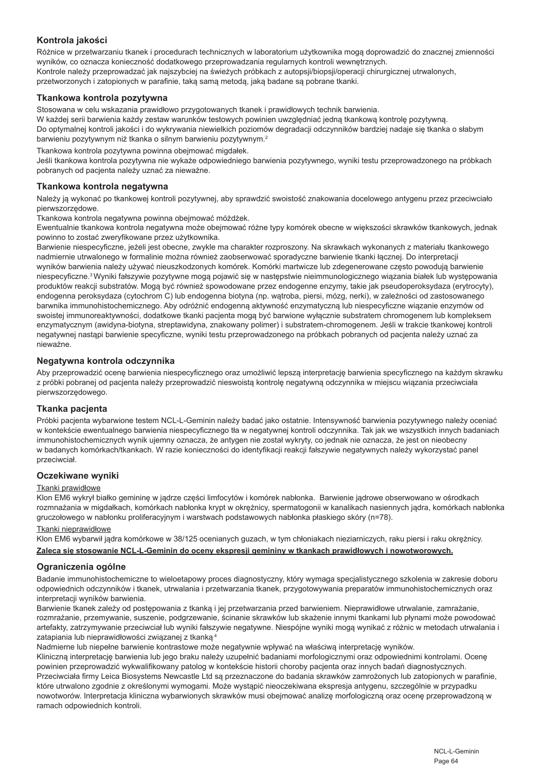# **Kontrola jakości**

Różnice w przetwarzaniu tkanek i procedurach technicznych w laboratorium użytkownika mogą doprowadzić do znacznej zmienności wyników, co oznacza konieczność dodatkowego przeprowadzania regularnych kontroli wewnętrznych. Kontrole należy przeprowadzać jak najszybciej na świeżych próbkach z autopsji/biopsji/operacji chirurgicznej utrwalonych, przetworzonych i zatopionych w parafinie, taką samą metodą, jaką badane są pobrane tkanki.

#### **Tkankowa kontrola pozytywna**

Stosowana w celu wskazania prawidłowo przygotowanych tkanek i prawidłowych technik barwienia.

W każdej serii barwienia każdy zestaw warunków testowych powinien uwzględniać jedną tkankową kontrolę pozytywną.

Do optymalnej kontroli jakości i do wykrywania niewielkich poziomów degradacji odczynników bardziej nadaje się tkanka o słabym barwieniu pozytywnym niż tkanka o silnym barwieniu pozytywnym.<sup>2</sup>

Tkankowa kontrola pozytywna powinna obejmować migdałek.

Jeśli tkankowa kontrola pozytywna nie wykaże odpowiedniego barwienia pozytywnego, wyniki testu przeprowadzonego na próbkach pobranych od pacjenta należy uznać za nieważne.

#### **Tkankowa kontrola negatywna**

Należy ja wykonać po tkankowej kontroli pozytywnej, aby sprawdzić swoistość znakowania docelowego antygenu przez przeciwciało pierwszorzędowe.

Tkankowa kontrola negatywna powinna obejmować móżdżek.

Ewentualnie tkankowa kontrola negatywna może obejmować różne typy komórek obecne w większości skrawków tkankowych, jednak powinno to zostać zweryfikowane przez użytkownika.

Barwienie niespecyficzne, jeżeli jest obecne, zwykle ma charakter rozproszony. Na skrawkach wykonanych z materiału tkankowego nadmiernie utrwalonego w formalinie można również zaobserwować sporadyczne barwienie tkanki łącznej. Do interpretacji wyników barwienia należy używać nieuszkodzonych komórek. Komórki martwicze lub zdegenerowane często powodują barwienie niespecyficzne.3 Wyniki fałszywie pozytywne mogą pojawić się w następstwie nieimmunologicznego wiązania białek lub występowania produktów reakcji substratów. Mogą być również spowodowane przez endogenne enzymy, takie jak pseudoperoksydaza (erytrocyty), endogenna peroksydaza (cytochrom C) lub endogenna biotyna (np. wątroba, piersi, mózg, nerki), w zależności od zastosowanego barwnika immunohistochemicznego. Aby odróżnić endogenną aktywność enzymatyczną lub niespecyficzne wiązanie enzymów od swoistej immunoreaktywności, dodatkowe tkanki pacjenta mogą być barwione wyłącznie substratem chromogenem lub kompleksem enzymatycznym (awidyna-biotyna, streptawidyna, znakowany polimer) i substratem-chromogenem. Jeśli w trakcie tkankowej kontroli negatywnej nastąpi barwienie specyficzne, wyniki testu przeprowadzonego na próbkach pobranych od pacjenta należy uznać za nieważne.

#### **Negatywna kontrola odczynnika**

Aby przeprowadzić ocenę barwienia niespecyficznego oraz umożliwić lepszą interpretację barwienia specyficznego na każdym skrawku z próbki pobranej od pacjenta należy przeprowadzić nieswoistą kontrolę negatywną odczynnika w miejscu wiązania przeciwciała pierwszorzędowego.

#### **Tkanka pacjenta**

Próbki pacjenta wybarwione testem NCL-L-Geminin należy badać jako ostatnie. Intensywność barwienia pozytywnego należy oceniać w kontekście ewentualnego barwienia niespecyficznego tła w negatywnej kontroli odczynnika. Tak jak we wszystkich innych badaniach immunohistochemicznych wynik ujemny oznacza, że antygen nie został wykryty, co jednak nie oznacza, że jest on nieobecny w badanych komórkach/tkankach. W razie konieczności do identyfikacji reakcji fałszywie negatywnych należy wykorzystać panel przeciwciał.

#### **Oczekiwane wyniki**

#### Tkanki prawidłowe

Klon EM6 wykrył białko gemininę w jądrze części limfocytów i komórek nabłonka. Barwienie jądrowe obserwowano w ośrodkach rozmnażania w migdałkach, komórkach nabłonka krypt w okrężnicy, spermatogonii w kanalikach nasiennych jądra, komórkach nabłonka gruczołowego w nabłonku proliferacyjnym i warstwach podstawowych nabłonka płaskiego skóry (n=78).

#### Tkanki nieprawidłowe

Klon EM6 wybarwił jądra komórkowe w 38/125 ocenianych guzach, w tym chłoniakach nieziarniczych, raku piersi i raku okrężnicy.

**Zaleca się stosowanie NCL-L-Geminin do oceny ekspresji gemininy w tkankach prawidłowych i nowotworowych.**

# **Ograniczenia ogólne**

Badanie immunohistochemiczne to wieloetapowy proces diagnostyczny, który wymaga specjalistycznego szkolenia w zakresie doboru odpowiednich odczynników i tkanek, utrwalania i przetwarzania tkanek, przygotowywania preparatów immunohistochemicznych oraz interpretacji wyników barwienia.

Barwienie tkanek zależy od postępowania z tkanką i jej przetwarzania przed barwieniem. Nieprawidłowe utrwalanie, zamrażanie, rozmrażanie, przemywanie, suszenie, podgrzewanie, ścinanie skrawków lub skażenie innymi tkankami lub płynami może powodować artefakty, zatrzymywanie przeciwciał lub wyniki fałszywie negatywne. Niespójne wyniki mogą wynikać z różnic w metodach utrwalania i zatapiania lub nieprawidłowości związanej z tkanką.4

Nadmierne lub niepełne barwienie kontrastowe może negatywnie wpływać na właściwą interpretację wyników.

Kliniczną interpretację barwienia lub jego braku należy uzupełnić badaniami morfologicznymi oraz odpowiednimi kontrolami. Ocenę powinien przeprowadzić wykwalifikowany patolog w kontekście historii choroby pacjenta oraz innych badań diagnostycznych. Przeciwciała firmy Leica Biosystems Newcastle Ltd są przeznaczone do badania skrawków zamrożonych lub zatopionych w parafinie, które utrwalono zgodnie z określonymi wymogami. Może wystąpić nieoczekiwana ekspresja antygenu, szczególnie w przypadku nowotworów. Interpretacja kliniczna wybarwionych skrawków musi obejmować analizę morfologiczną oraz ocenę przeprowadzoną w ramach odpowiednich kontroli.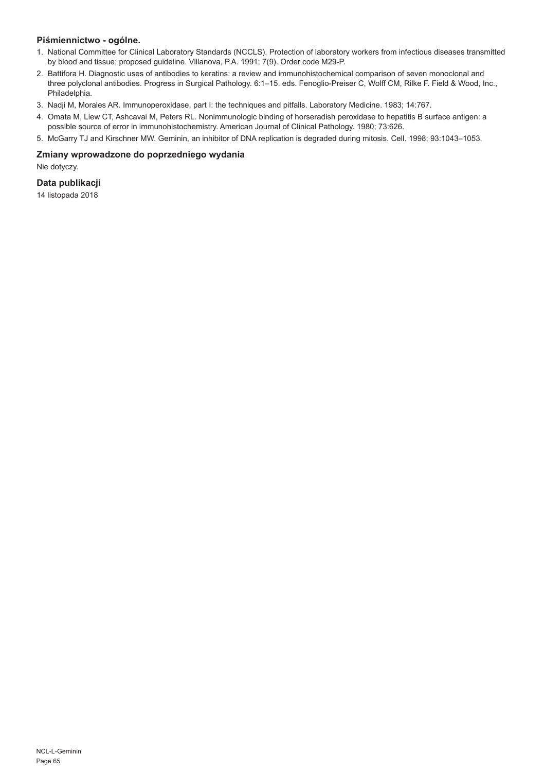# **Piśmiennictwo - ogólne.**

- 1. National Committee for Clinical Laboratory Standards (NCCLS). Protection of laboratory workers from infectious diseases transmitted by blood and tissue; proposed guideline. Villanova, P.A. 1991; 7(9). Order code M29-P.
- 2. Battifora H. Diagnostic uses of antibodies to keratins: a review and immunohistochemical comparison of seven monoclonal and three polyclonal antibodies. Progress in Surgical Pathology. 6:1–15. eds. Fenoglio-Preiser C, Wolff CM, Rilke F. Field & Wood, Inc., Philadelphia.
- 3. Nadji M, Morales AR. Immunoperoxidase, part I: the techniques and pitfalls. Laboratory Medicine. 1983; 14:767.
- 4. Omata M, Liew CT, Ashcavai M, Peters RL. Nonimmunologic binding of horseradish peroxidase to hepatitis B surface antigen: a possible source of error in immunohistochemistry. American Journal of Clinical Pathology. 1980; 73:626.
- 5. McGarry TJ and Kirschner MW. Geminin, an inhibitor of DNA replication is degraded during mitosis. Cell. 1998; 93:1043–1053.

#### **Zmiany wprowadzone do poprzedniego wydania**

Nie dotyczy.

# **Data publikacji**

14 listopada 2018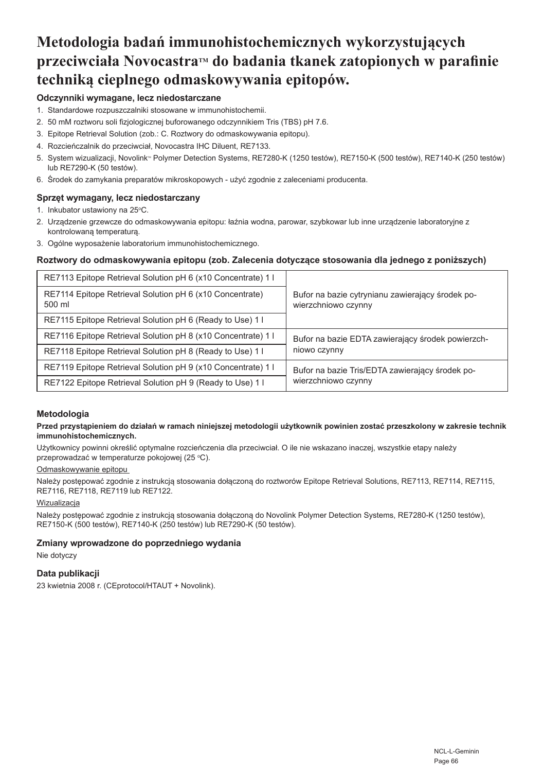# **Metodologia badań immunohistochemicznych wykorzystujących przeciwciała NovocastraTM do badania tkanek zatopionych w parafinie techniką cieplnego odmaskowywania epitopów.**

# **Odczynniki wymagane, lecz niedostarczane**

- 1. Standardowe rozpuszczalniki stosowane w immunohistochemii.
- 2. 50 mM roztworu soli fizjologicznej buforowanego odczynnikiem Tris (TBS) pH 7.6.
- 3. Epitope Retrieval Solution (zob.: C. Roztwory do odmaskowywania epitopu).
- 4. Rozcieńczalnik do przeciwciał, Novocastra IHC Diluent, RE7133.
- 5. System wizualizacji, Novolink™ Polymer Detection Systems, RE7280-K (1250 testów), RE7150-K (500 testów), RE7140-K (250 testów) lub RE7290-K (50 testów).
- 6. Środek do zamykania preparatów mikroskopowych użyć zgodnie z zaleceniami producenta.

# **Sprzęt wymagany, lecz niedostarczany**

- 1. Inkubator ustawiony na 25°C.
- 2. Urządzenie grzewcze do odmaskowywania epitopu: łaźnia wodna, parowar, szybkowar lub inne urządzenie laboratoryjne z kontrolowaną temperaturą.
- 3. Ogólne wyposażenie laboratorium immunohistochemicznego.

#### **Roztwory do odmaskowywania epitopu (zob. Zalecenia dotyczące stosowania dla jednego z poniższych)**

| RE7113 Epitope Retrieval Solution pH 6 (x10 Concentrate) 1         |                                                                         |
|--------------------------------------------------------------------|-------------------------------------------------------------------------|
| RE7114 Epitope Retrieval Solution pH 6 (x10 Concentrate)<br>500 ml | Bufor na bazie cytrynianu zawierający środek po-<br>wierzchniowo czynny |
| RE7115 Epitope Retrieval Solution pH 6 (Ready to Use) 1            |                                                                         |
| RE7116 Epitope Retrieval Solution pH 8 (x10 Concentrate) 1         | Bufor na bazie EDTA zawierający środek powierzch-                       |
| RE7118 Epitope Retrieval Solution pH 8 (Ready to Use) 1 I          | niowo czynny                                                            |
| RE7119 Epitope Retrieval Solution pH 9 (x10 Concentrate) 1         | Bufor na bazie Tris/EDTA zawierający środek po-                         |
| RE7122 Epitope Retrieval Solution pH 9 (Ready to Use) 1 l          | wierzchniowo czynny                                                     |

#### **Metodologia**

#### **Przed przystąpieniem do działań w ramach niniejszej metodologii użytkownik powinien zostać przeszkolony w zakresie technik immunohistochemicznych.**

Użytkownicy powinni określić optymalne rozcieńczenia dla przeciwciał. O ile nie wskazano inaczej, wszystkie etapy należy przeprowadzać w temperaturze pokojowej (25 °C).

#### Odmaskowywanie epitopu

Należy postępować zgodnie z instrukcja stosowania dołączoną do roztworów Epitope Retrieval Solutions, RE7113, RE7114, RE7115, RE7116, RE7118, RE7119 lub RE7122.

#### Wizualizacja

Należy postępować zgodnie z instrukcją stosowania dołączoną do Novolink Polymer Detection Systems, RE7280-K (1250 testów), RE7150-K (500 testów), RE7140-K (250 testów) lub RE7290-K (50 testów).

# **Zmiany wprowadzone do poprzedniego wydania**

Nie dotyczy

#### **Data publikacji**

23 kwietnia 2008 r. (CEprotocol/HTAUT + Novolink).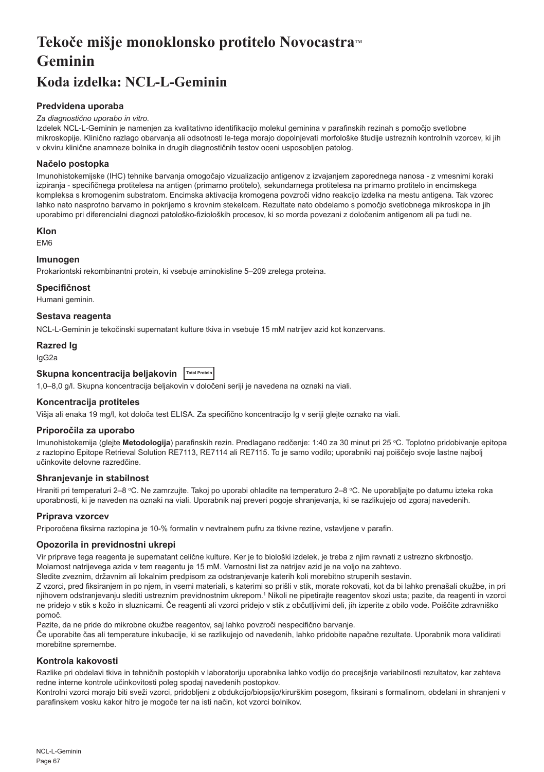# Tekoče mišje monoklonsko protitelo Novocastra™ **Geminin**

# **Koda izdelka: NCL-L-Geminin**

# **Predvidena uporaba**

#### *Za diagnostično uporabo in vitro.*

Izdelek NCL-L-Geminin je namenjen za kvalitativno identifikacijo molekul geminina v parafinskih rezinah s pomočjo svetlobne mikroskopije. Klinično razlago obarvanja ali odsotnosti le-tega morajo dopolnjevati morfološke študije ustreznih kontrolnih vzorcev, ki jih v okviru klinične anamneze bolnika in drugih diagnostičnih testov oceni usposobljen patolog.

# **Načelo postopka**

Imunohistokemijske (IHC) tehnike barvanja omogočajo vizualizacijo antigenov z izvajanjem zaporednega nanosa - z vmesnimi koraki izpiranja - specifičnega protitelesa na antigen (primarno protitelo), sekundarnega protitelesa na primarno protitelo in encimskega kompleksa s kromogenim substratom. Encimska aktivacija kromogena povzroči vidno reakcijo izdelka na mestu antigena. Tak vzorec lahko nato nasprotno barvamo in pokrijemo s krovnim stekelcem. Rezultate nato obdelamo s pomočjo svetlobnega mikroskopa in jih uporabimo pri diferencialni diagnozi patološko-fizioloških procesov, ki so morda povezani z določenim antigenom ali pa tudi ne.

#### **Klon**

EM6

# **Imunogen**

Prokariontski rekombinantni protein, ki vsebuje aminokisline 5–209 zrelega proteina.

#### **Specifičnost**

Humani geminin.

# **Sestava reagenta**

NCL-L-Geminin je tekočinski supernatant kulture tkiva in vsebuje 15 mM natrijev azid kot konzervans.

# **Razred Ig**

IgG2a

# **Skupna koncentracija beljakovin Total Protein**

1,0–8,0 g/l. Skupna koncentracija beljakovin v določeni seriji je navedena na oznaki na viali.

#### **Koncentracija protiteles**

Višja ali enaka 19 mg/l, kot določa test ELISA. Za specifično koncentracijo Ig v seriji glejte oznako na viali.

#### **Priporočila za uporabo**

lmunohistokemija (glejte **Metodologija**) parafinskih rezin. Predlagano redčenje: 1:40 za 30 minut pri 25 °C. Toplotno pridobivanje epitopa z raztopino Epitope Retrieval Solution RE7113, RE7114 ali RE7115. To je samo vodilo; uporabniki naj poiščejo svoje lastne najbolj učinkovite delovne razredčine.

#### **Shranjevanje in stabilnost**

Hraniti pri temperaturi 2–8 °C. Ne zamrzujte. Takoj po uporabi ohladite na temperaturo 2–8 °C. Ne uporabljajte po datumu izteka roka uporabnosti, ki je naveden na oznaki na viali. Uporabnik naj preveri pogoje shranjevanja, ki se razlikujejo od zgoraj navedenih.

#### **Priprava vzorcev**

Priporočena fiksirna raztopina je 10-% formalin v nevtralnem pufru za tkivne rezine, vstavljene v parafin.

#### **Opozorila in previdnostni ukrepi**

Vir priprave tega reagenta je supernatant celične kulture. Ker je to biološki izdelek, je treba z njim ravnati z ustrezno skrbnostjo. Molarnost natrijevega azida v tem reagentu je 15 mM. Varnostni list za natrijev azid je na voljo na zahtevo.

Sledite zveznim, državnim ali lokalnim predpisom za odstranjevanje katerih koli morebitno strupenih sestavin.

Z vzorci, pred fiksiranjem in po njem, in vsemi materiali, s katerimi so prišli v stik, morate rokovati, kot da bi lahko prenašali okužbe, in pri njihovem odstranjevanju slediti ustreznim previdnostnim ukrepom.<sup>1</sup> Nikoli ne pipetirajte reagentov skozi usta; pazite, da reagenti in vzorci ne pridejo v stik s kožo in sluznicami. Če reagenti ali vzorci pridejo v stik z občutljivimi deli, jih izperite z obilo vode. Poiščite zdravniško pomoč.

Pazite, da ne pride do mikrobne okužbe reagentov, saj lahko povzroči nespecifično barvanje.

Če uporabite čas ali temperature inkubacije, ki se razlikujejo od navedenih, lahko pridobite napačne rezultate. Uporabnik mora validirati morebitne spremembe.

#### **Kontrola kakovosti**

Razlike pri obdelavi tkiva in tehničnih postopkih v laboratoriju uporabnika lahko vodijo do precejšnje variabilnosti rezultatov, kar zahteva redne interne kontrole učinkovitosti poleg spodaj navedenih postopkov.

Kontrolni vzorci morajo biti sveži vzorci, pridobljeni z obdukcijo/biopsijo/kirurškim posegom, fiksirani s formalinom, obdelani in shranjeni v parafinskem vosku kakor hitro je mogoče ter na isti način, kot vzorci bolnikov.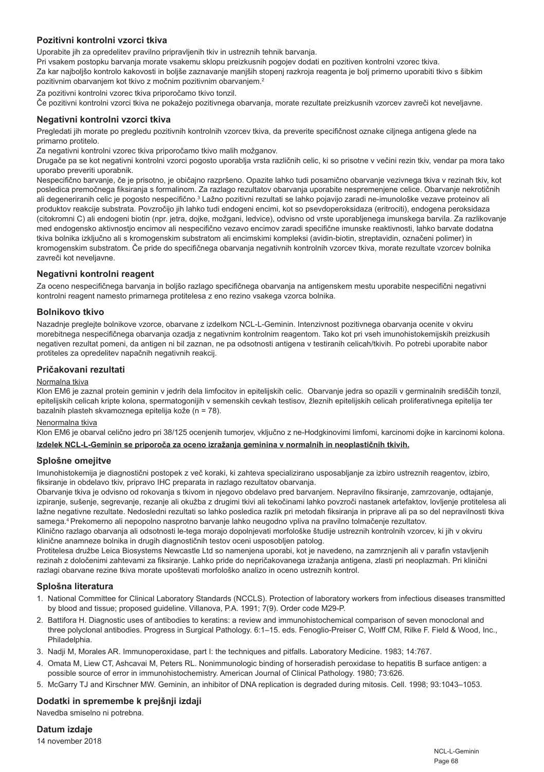# **Pozitivni kontrolni vzorci tkiva**

Uporabite jih za opredelitev pravilno pripravljenih tkiv in ustreznih tehnik barvanja.

Pri vsakem postopku barvanja morate vsakemu sklopu preizkusnih pogojev dodati en pozitiven kontrolni vzorec tkiva.

Za kar najboljšo kontrolo kakovosti in boljše zaznavanje manjših stopenj razkroja reagenta je bolj primerno uporabiti tkivo s šibkim pozitivnim obarvanjem kot tkivo z močnim pozitivnim obarvanjem.<sup>2</sup>

Za pozitivni kontrolni vzorec tkiva priporočamo tkivo tonzil.

Če pozitivni kontrolni vzorci tkiva ne pokažejo pozitivnega obarvanja, morate rezultate preizkusnih vzorcev zavreči kot neveljavne.

#### **Negativni kontrolni vzorci tkiva**

Pregledati jih morate po pregledu pozitivnih kontrolnih vzorcev tkiva, da preverite specifičnost oznake ciljnega antigena glede na primarno protitelo.

Za negativni kontrolni vzorec tkiva priporočamo tkivo malih možganov.

Drugače pa se kot negativni kontrolni vzorci pogosto uporablja vrsta različnih celic, ki so prisotne v večini rezin tkiv, vendar pa mora tako uporabo preveriti uporabnik.

Nespecifično barvanje, če je prisotno, je običajno razpršeno. Opazite lahko tudi posamično obarvanje vezivnega tkiva v rezinah tkiv, kot posledica premočnega fiksiranja s formalinom. Za razlago rezultatov obarvanja uporabite nespremenjene celice. Obarvanje nekrotičnih ali degeneriranih celic je pogosto nespecifično.<sup>3</sup> Lažno pozitivni rezultati se lahko pojavijo zaradi ne-imunološke vezave proteinov ali produktov reakcije substrata. Povzročijo jih lahko tudi endogeni encimi, kot so psevdoperoksidaza (eritrociti), endogena peroksidaza (citokromni C) ali endogeni biotin (npr. jetra, dojke, možgani, ledvice), odvisno od vrste uporabljenega imunskega barvila. Za razlikovanje med endogensko aktivnostjo encimov ali nespecifično vezavo encimov zaradi specifične imunske reaktivnosti, lahko barvate dodatna tkiva bolnika izključno ali s kromogenskim substratom ali encimskimi kompleksi (avidin-biotin, streptavidin, označeni polimer) in kromogenskim substratom. Če pride do specifičnega obarvanja negativnih kontrolnih vzorcev tkiva, morate rezultate vzorcev bolnika zavreči kot neveljavne.

#### **Negativni kontrolni reagent**

Za oceno nespecifičnega barvanja in boljšo razlago specifičnega obarvanja na antigenskem mestu uporabite nespecifični negativni kontrolni reagent namesto primarnega protitelesa z eno rezino vsakega vzorca bolnika.

#### **Bolnikovo tkivo**

Nazadnje preglejte bolnikove vzorce, obarvane z izdelkom NCL-L-Geminin. Intenzivnost pozitivnega obarvanja ocenite v okviru morebitnega nespecifičnega obarvanja ozadja z negativnim kontrolnim reagentom. Tako kot pri vseh imunohistokemijskih preizkusih negativen rezultat pomeni, da antigen ni bil zaznan, ne pa odsotnosti antigena v testiranih celicah/tkivih. Po potrebi uporabite nabor protiteles za opredelitev napačnih negativnih reakcij.

#### **Pričakovani rezultati**

#### Normalna tkiva

Klon EM6 je zaznal protein geminin v jedrih dela limfocitov in epitelijskih celic. Obarvanje jedra so opazili v germinalnih središčih tonzil, epitelijskih celicah kripte kolona, spermatogonijih v semenskih cevkah testisov, žleznih epitelijskih celicah proliferativnega epitelija ter bazalnih plasteh skvamoznega epitelija kože (n = 78).

# Nenormalna tkiva

Klon EM6 je obarval celično jedro pri 38/125 ocenjenih tumorjev, vključno z ne-Hodgkinovimi limfomi, karcinomi dojke in karcinomi kolona. **Izdelek NCL-L-Geminin se priporoča za oceno izražanja geminina v normalnih in neoplastičnih tkivih.**

#### **Splošne omejitve**

Imunohistokemija je diagnostični postopek z več koraki, ki zahteva specializirano usposabljanje za izbiro ustreznih reagentov, izbiro, fiksiranje in obdelavo tkiv, pripravo IHC preparata in razlago rezultatov obarvanja.

Obarvanje tkiva je odvisno od rokovanja s tkivom in njegovo obdelavo pred barvanjem. Nepravilno fiksiranje, zamrzovanje, odtajanje, izpiranje, sušenje, segrevanje, rezanje ali okužba z drugimi tkivi ali tekočinami lahko povzroči nastanek artefaktov, lovljenje protitelesa ali lažne negativne rezultate. Nedosledni rezultati so lahko posledica razlik pri metodah fiksiranja in priprave ali pa so del nepravilnosti tkiva samega.4 Prekomerno ali nepopolno nasprotno barvanje lahko neugodno vpliva na pravilno tolmačenje rezultatov.

Klinično razlago obarvanja ali odsotnosti le-tega morajo dopolnjevati morfološke študije ustreznih kontrolnih vzorcev, ki jih v okviru klinične anamneze bolnika in drugih diagnostičnih testov oceni usposobljen patolog.

Protitelesa družbe Leica Biosystems Newcastle Ltd so namenjena uporabi, kot je navedeno, na zamrznjenih ali v parafin vstavljenih rezinah z določenimi zahtevami za fiksiranje. Lahko pride do nepričakovanega izražanja antigena, zlasti pri neoplazmah. Pri klinični razlagi obarvane rezine tkiva morate upoštevati morfološko analizo in oceno ustreznih kontrol.

# **Splošna literatura**

- 1. National Committee for Clinical Laboratory Standards (NCCLS). Protection of laboratory workers from infectious diseases transmitted by blood and tissue; proposed guideline. Villanova, P.A. 1991; 7(9). Order code M29-P.
- 2. Battifora H. Diagnostic uses of antibodies to keratins: a review and immunohistochemical comparison of seven monoclonal and three polyclonal antibodies. Progress in Surgical Pathology. 6:1–15. eds. Fenoglio-Preiser C, Wolff CM, Rilke F. Field & Wood, Inc., Philadelphia.
- 3. Nadji M, Morales AR. Immunoperoxidase, part I: the techniques and pitfalls. Laboratory Medicine. 1983; 14:767.
- 4. Omata M, Liew CT, Ashcavai M, Peters RL. Nonimmunologic binding of horseradish peroxidase to hepatitis B surface antigen: a possible source of error in immunohistochemistry. American Journal of Clinical Pathology. 1980; 73:626.
- 5. McGarry TJ and Kirschner MW. Geminin, an inhibitor of DNA replication is degraded during mitosis. Cell. 1998; 93:1043–1053.

# **Dodatki in spremembe k prejšnji izdaji**

Navedba smiselno ni potrebna.

**Datum izdaje**

14 november 2018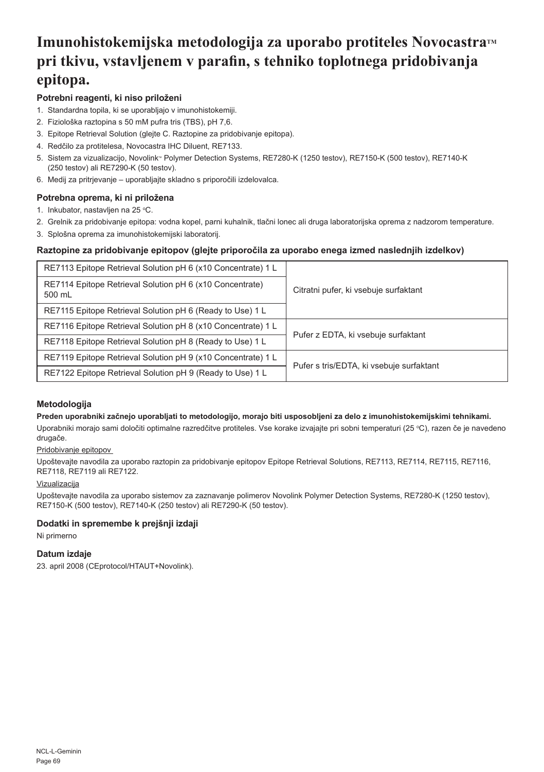# **Imunohistokemijska metodologija za uporabo protiteles NovocastraTM pri tkivu, vstavljenem v parafin, s tehniko toplotnega pridobivanja epitopa.**

# **Potrebni reagenti, ki niso priloženi**

- 1. Standardna topila, ki se uporabljajo v imunohistokemiji.
- 2. Fiziološka raztopina s 50 mM pufra tris (TBS), pH 7,6.
- 3. Epitope Retrieval Solution (glejte C. Raztopine za pridobivanje epitopa).
- 4. Redčilo za protitelesa, Novocastra IHC Diluent, RE7133.
- 5. Sistem za vizualizacijo, Novolink® Polymer Detection Systems, RE7280-K (1250 testov), RE7150-K (500 testov), RE7140-K (250 testov) ali RE7290-K (50 testov).
- 6. Medij za pritrjevanje uporabljajte skladno s priporočili izdelovalca.

# **Potrebna oprema, ki ni priložena**

- 1. Inkubator, nastavljen na 25 °C.
- 2. Grelnik za pridobivanje epitopa: vodna kopel, parni kuhalnik, tlačni lonec ali druga laboratorijska oprema z nadzorom temperature.
- 3. Splošna oprema za imunohistokemijski laboratorij.

# **Raztopine za pridobivanje epitopov (glejte priporočila za uporabo enega izmed naslednjih izdelkov)**

| RE7113 Epitope Retrieval Solution pH 6 (x10 Concentrate) 1 L       |                                          |
|--------------------------------------------------------------------|------------------------------------------|
| RE7114 Epitope Retrieval Solution pH 6 (x10 Concentrate)<br>500 mL | Citratni pufer, ki vsebuje surfaktant    |
| RE7115 Epitope Retrieval Solution pH 6 (Ready to Use) 1 L          |                                          |
| RE7116 Epitope Retrieval Solution pH 8 (x10 Concentrate) 1 L       | Pufer z EDTA, ki vsebuje surfaktant      |
| RE7118 Epitope Retrieval Solution pH 8 (Ready to Use) 1 L          |                                          |
| RE7119 Epitope Retrieval Solution pH 9 (x10 Concentrate) 1 L       | Pufer s tris/EDTA, ki vsebuje surfaktant |
| RE7122 Epitope Retrieval Solution pH 9 (Ready to Use) 1 L          |                                          |

# **Metodologija**

**Preden uporabniki začnejo uporabljati to metodologijo, morajo biti usposobljeni za delo z imunohistokemijskimi tehnikami.**

Uporabniki morajo sami določiti optimalne razredčitve protiteles. Vse korake izvajajte pri sobni temperaturi (25 °C), razen če je navedeno drugače.

# Pridobivanje epitopov

Upoštevajte navodila za uporabo raztopin za pridobivanje epitopov Epitope Retrieval Solutions, RE7113, RE7114, RE7115, RE7116, RE7118, RE7119 ali RE7122.

#### Vizualizacija

Upoštevajte navodila za uporabo sistemov za zaznavanje polimerov Novolink Polymer Detection Systems, RE7280-K (1250 testov), RE7150-K (500 testov), RE7140-K (250 testov) ali RE7290-K (50 testov).

### **Dodatki in spremembe k prejšnji izdaji**

Ni primerno

# **Datum izdaje**

23. april 2008 (CEprotocol/HTAUT+Novolink).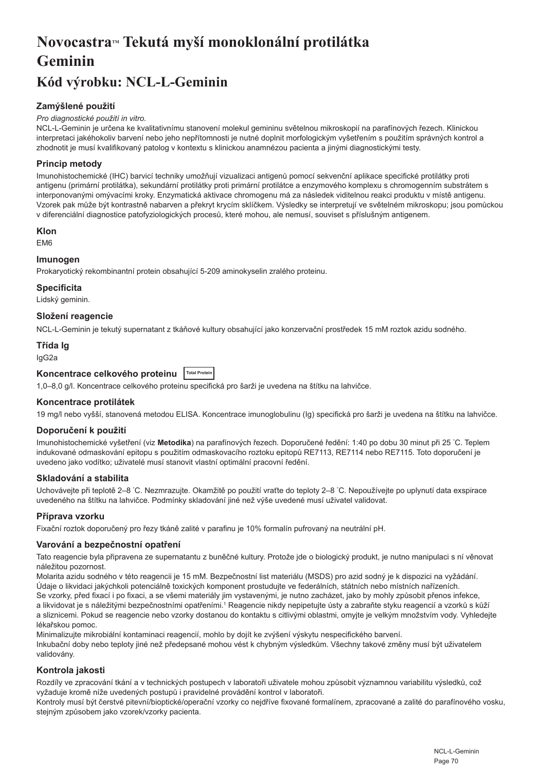# **NovocastraTM Tekutá myší monoklonální protilátka Geminin**

# **Kód výrobku: NCL-L-Geminin**

# **Zamýšlené použití**

#### *Pro diagnostické použití in vitro.*

NCL-L-Geminin je určena ke kvalitativnímu stanovení molekul gemininu světelnou mikroskopií na parafínových řezech. Klinickou interpretaci jakéhokoliv barvení nebo jeho nepřítomnosti je nutné doplnit morfologickým vyšetřením s použitím správných kontrol a zhodnotit je musí kvalifikovaný patolog v kontextu s klinickou anamnézou pacienta a jinými diagnostickými testy.

# **Princip metody**

Imunohistochemické (IHC) barvicí techniky umožňují vizualizaci antigenů pomocí sekvenční aplikace specifické protilátky proti antigenu (primární protilátka), sekundární protilátky proti primární protilátce a enzymového komplexu s chromogenním substrátem s interponovanými omývacími kroky. Enzymatická aktivace chromogenu má za následek viditelnou reakci produktu v místě antigenu. Vzorek pak může být kontrastně nabarven a překryt krycím sklíčkem. Výsledky se interpretují ve světelném mikroskopu; jsou pomůckou v diferenciální diagnostice patofyziologických procesů, které mohou, ale nemusí, souviset s příslušným antigenem.

#### **Klon**

EM6

#### **Imunogen**

Prokaryotický rekombinantní protein obsahující 5-209 aminokyselin zralého proteinu.

# **Specificita**

Lidský geminin.

#### **Složení reagencie**

NCL-L-Geminin je tekutý supernatant z tkáňové kultury obsahující jako konzervační prostředek 15 mM roztok azidu sodného.

# **Třída Ig**

IgG2a

# **Koncentrace celkového proteinu Total Protein**

1,0–8,0 g/l. Koncentrace celkového proteinu specifická pro šarži je uvedena na štítku na lahvičce.

#### **Koncentrace protilátek**

19 mg/l nebo vyšší, stanovená metodou ELISA. Koncentrace imunoglobulinu (Ig) specifická pro šarži je uvedena na štítku na lahvičce.

#### **Doporučení k použití**

Imunohistochemické vyšetření (viz **Metodika**) na parafínových řezech. Doporučené ředění: 1:40 po dobu 30 minut při 25 ° C. Teplem indukované odmaskování epitopu s použitím odmaskovacího roztoku epitopů RE7113, RE7114 nebo RE7115. Toto doporučení je uvedeno jako vodítko; uživatelé musí stanovit vlastní optimální pracovní ředění.

#### **Skladování a stabilita**

Uchovávejte při teplotě 2–8 °C. Nezmrazujte. Okamžitě po použití vraťte do teploty 2–8 °C. Nepoužívejte po uplynutí data exspirace uvedeného na štítku na lahvičce. Podmínky skladování jiné než výše uvedené musí uživatel validovat.

#### **Příprava vzorku**

Fixační roztok doporučený pro řezy tkáně zalité v parafinu je 10% formalín pufrovaný na neutrální pH.

#### **Varování a bezpečnostní opatření**

Tato reagencie byla připravena ze supernatantu z buněčné kultury. Protože jde o biologický produkt, je nutno manipulaci s ní věnovat náležitou pozornost.

Molarita azidu sodného v této reagencii je 15 mM. Bezpečnostní list materiálu (MSDS) pro azid sodný je k dispozici na vyžádání. Údaje o likvidaci jakýchkoli potenciálně toxických komponent prostudujte ve federálních, státních nebo místních nařízeních. Se vzorky, před fixací i po fixaci, a se všemi materiály jim vystavenými, je nutno zacházet, jako by mohly způsobit přenos infekce, a likvidovat je s náležitými bezpečnostními opatřeními.1 Reagencie nikdy nepipetujte ústy a zabraňte styku reagencií a vzorků s kůží a sliznicemi. Pokud se reagencie nebo vzorky dostanou do kontaktu s citlivými oblastmi, omyjte je velkým množstvím vody. Vyhledejte lékařskou pomoc.

Minimalizujte mikrobiální kontaminaci reagencií, mohlo by dojít ke zvýšení výskytu nespecifického barvení. Inkubační doby nebo teploty jiné než předepsané mohou vést k chybným výsledkům. Všechny takové změny musí být uživatelem validovány.

#### **Kontrola jakosti**

Rozdíly ve zpracování tkání a v technických postupech v laboratoři uživatele mohou způsobit významnou variabilitu výsledků, což vyžaduje kromě níže uvedených postupů i pravidelné provádění kontrol v laboratoři.

Kontroly musí být čerstvé pitevní/bioptické/operační vzorky co nejdříve fixované formalínem, zpracované a zalité do parafínového vosku, stejným způsobem jako vzorek/vzorky pacienta.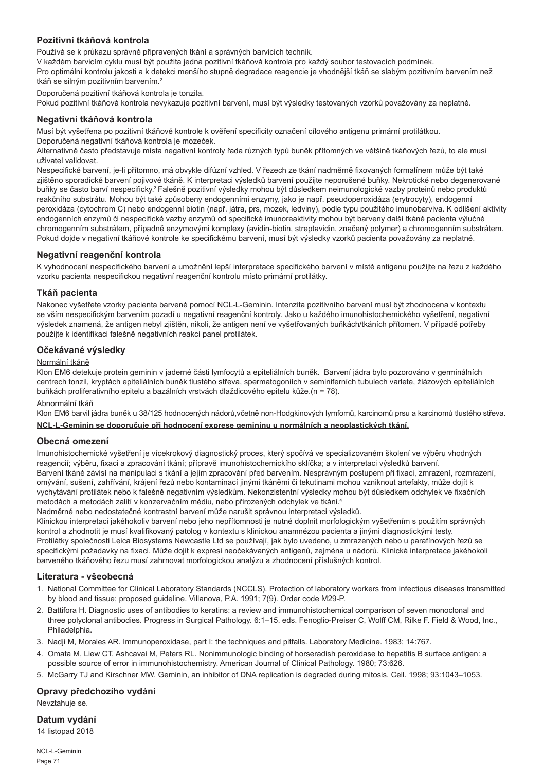# **Pozitivní tkáňová kontrola**

Používá se k průkazu správně připravených tkání a správných barvicích technik.

V každém barvicím cyklu musí být použita jedna pozitivní tkáňová kontrola pro každý soubor testovacích podmínek.

Pro optimální kontrolu jakosti a k detekci menšího stupně degradace reagencie je vhodnější tkáň se slabým pozitivním barvením než tkáň se silným pozitivním barvením.<sup>2</sup>

Doporučená pozitivní tkáňová kontrola je tonzila.

Pokud pozitivní tkáňová kontrola nevykazuje pozitivní barvení, musí být výsledky testovaných vzorků považovány za neplatné.

#### **Negativní tkáňová kontrola**

Musí být vyšetřena po pozitivní tkáňové kontrole k ověření specificity označení cílového antigenu primární protilátkou. Doporučená negativní tkáňová kontrola je mozeček.

Alternativně často představuje místa negativní kontroly řada různých typů buněk přítomných ve většině tkáňových řezů, to ale musí uživatel validovat.

Nespecifické barvení, je-li přítomno, má obvykle difúzní vzhled. V řezech ze tkání nadměrně fixovaných formalínem může být také zjištěno sporadické barvení pojivové tkáně. K interpretaci výsledků barvení použijte neporušené buňky. Nekrotické nebo degenerované buňky se často barví nespecificky.3 Falešně pozitivní výsledky mohou být důsledkem neimunologické vazby proteinů nebo produktů reakčního substrátu. Mohou být také způsobeny endogenními enzymy, jako je např. pseudoperoxidáza (erytrocyty), endogenní peroxidáza (cytochrom C) nebo endogenní biotin (např. játra, prs, mozek, ledviny), podle typu použitého imunobarviva. K odlišení aktivity endogenních enzymů či nespecifické vazby enzymů od specifické imunoreaktivity mohou být barveny další tkáně pacienta výlučně chromogenním substrátem, případně enzymovými komplexy (avidin-biotin, streptavidin, značený polymer) a chromogenním substrátem. Pokud dojde v negativní tkáňové kontrole ke specifickému barvení, musí být výsledky vzorků pacienta považovány za neplatné.

#### **Negativní reagenční kontrola**

K vyhodnocení nespecifického barvení a umožnění lepší interpretace specifického barvení v místě antigenu použijte na řezu z každého vzorku pacienta nespecifickou negativní reagenční kontrolu místo primární protilátky.

#### **Tkáň pacienta**

Nakonec vyšetřete vzorky pacienta barvené pomocí NCL-L-Geminin. Intenzita pozitivního barvení musí být zhodnocena v kontextu se vším nespecifickým barvením pozadí u negativní reagenční kontroly. Jako u každého imunohistochemického vyšetření, negativní výsledek znamená, že antigen nebyl zjištěn, nikoli, že antigen není ve vyšetřovaných buňkách/tkáních přítomen. V případě potřeby použijte k identifikaci falešně negativních reakcí panel protilátek.

#### **Očekávané výsledky**

#### Normální tkáně

Klon EM6 detekuje protein geminin v jaderné části lymfocytů a epiteliálních buněk. Barvení jádra bylo pozorováno v germinálních centrech tonzil, kryptách epiteliálních buněk tlustého střeva, spermatogoniích v seminiferních tubulech varlete, žlázových epiteliálních buňkách proliferativního epitelu a bazálních vrstvách dlaždicového epitelu kůže.(n = 78).

#### Abnormální tkáň

Klon EM6 barvil jádra buněk u 38/125 hodnocených nádorů,včetně non-Hodgkinových lymfomů, karcinomů prsu a karcinomů tlustého střeva.

# **NCL-L-Geminin se doporučuje při hodnocení exprese gemininu u normálních a neoplastických tkání.**

#### **Obecná omezení**

Imunohistochemické vyšetření je vícekrokový diagnostický proces, který spočívá ve specializovaném školení ve výběru vhodných reagencií; výběru, fixaci a zpracování tkání; přípravě imunohistochemickího sklíčka; a v interpretaci výsledků barvení. Barvení tkáně závisí na manipulaci s tkání a jejím zpracování před barvením. Nesprávným postupem při fixaci, zmrazení, rozmrazení, omývání, sušení, zahřívání, krájení řezů nebo kontaminací jinými tkáněmi či tekutinami mohou vzniknout artefakty, může dojít k vychytávání protilátek nebo k falešně negativním výsledkům. Nekonzistentní výsledky mohou být důsledkem odchylek ve fixačních metodách a metodách zalití v konzervačním médiu, nebo přirozených odchylek ve tkáni.4

Nadměrné nebo nedostatečné kontrastní barvení může narušit správnou interpretaci výsledků.

Klinickou interpretaci jakéhokoliv barvení nebo jeho nepřítomnosti je nutné doplnit morfologickým vyšetřením s použitím správných kontrol a zhodnotit je musí kvalifikovaný patolog v kontextu s klinickou anamnézou pacienta a jinými diagnostickými testy. Protilátky společnosti Leica Biosystems Newcastle Ltd se používají, jak bylo uvedeno, u zmrazených nebo u parafínových řezů se specifickými požadavky na fixaci. Může dojít k expresi neočekávaných antigenů, zejména u nádorů. Klinická interpretace jakéhokoli barveného tkáňového řezu musí zahrnovat morfologickou analýzu a zhodnocení příslušných kontrol.

#### **Literatura - všeobecná**

- 1. National Committee for Clinical Laboratory Standards (NCCLS). Protection of laboratory workers from infectious diseases transmitted by blood and tissue; proposed guideline. Villanova, P.A. 1991; 7(9). Order code M29-P.
- 2. Battifora H. Diagnostic uses of antibodies to keratins: a review and immunohistochemical comparison of seven monoclonal and three polyclonal antibodies. Progress in Surgical Pathology. 6:1–15. eds. Fenoglio-Preiser C, Wolff CM, Rilke F. Field & Wood, Inc., **Philadelphia**
- 3. Nadji M, Morales AR. Immunoperoxidase, part I: the techniques and pitfalls. Laboratory Medicine. 1983; 14:767.
- 4. Omata M, Liew CT, Ashcavai M, Peters RL. Nonimmunologic binding of horseradish peroxidase to hepatitis B surface antigen: a possible source of error in immunohistochemistry. American Journal of Clinical Pathology. 1980; 73:626.
- 5. McGarry TJ and Kirschner MW. Geminin, an inhibitor of DNA replication is degraded during mitosis. Cell. 1998; 93:1043–1053.

#### **Opravy předchozího vydání**

Nevztahuje se.

# **Datum vydání**

14 listopad 2018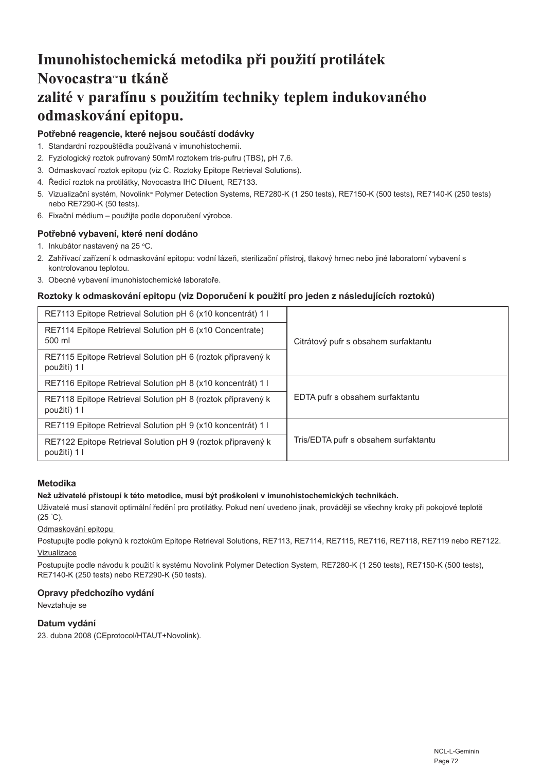# **Imunohistochemická metodika při použití protilátek Novocastra™u tkáně zalité v parafínu s použitím techniky teplem indukovaného odmaskování epitopu.**

# **Potřebné reagencie, které nejsou součástí dodávky**

- 1. Standardní rozpouštědla používaná v imunohistochemii.
- 2. Fyziologický roztok pufrovaný 50mM roztokem tris-pufru (TBS), pH 7,6.
- 3. Odmaskovací roztok epitopu (viz C. Roztoky Epitope Retrieval Solutions).
- 4. Ředicí roztok na protilátky, Novocastra IHC Diluent, RE7133.
- 5. Vizualizační systém, Novolink<sup>®</sup> Polymer Detection Systems, RE7280-K (1 250 tests), RE7150-K (500 tests), RE7140-K (250 tests) nebo RE7290-K (50 tests).
- 6. Fixační médium použijte podle doporučení výrobce.

# **Potřebné vybavení, které není dodáno**

- 1. Inkubátor nastavený na 25 °C.
- 2. Zahřívací zařízení k odmaskování epitopu: vodní lázeň, sterilizační přístroj, tlakový hrnec nebo jiné laboratorní vybavení s kontrolovanou teplotou.
- 3. Obecné vybavení imunohistochemické laboratoře.

### **Roztoky k odmaskování epitopu (viz Doporučení k použití pro jeden z následujících roztoků)**

| RE7113 Epitope Retrieval Solution pH 6 (x10 koncentrát) 1 l                 | Citrátový pufr s obsahem surfaktantu |
|-----------------------------------------------------------------------------|--------------------------------------|
| RE7114 Epitope Retrieval Solution pH 6 (x10 Concentrate)<br>500 ml          |                                      |
| RE7115 Epitope Retrieval Solution pH 6 (roztok připravený k<br>použití) 1 l |                                      |
| RE7116 Epitope Retrieval Solution pH 8 (x10 koncentrát) 1 l                 | EDTA pufr s obsahem surfaktantu      |
| RE7118 Epitope Retrieval Solution pH 8 (roztok připravený k<br>použití) 1 l |                                      |
| RE7119 Epitope Retrieval Solution pH 9 (x10 koncentrát) 1 l                 | Tris/EDTA pufr s obsahem surfaktantu |
| RE7122 Epitope Retrieval Solution pH 9 (roztok připravený k<br>použití) 1 l |                                      |
|                                                                             |                                      |

### **Metodika**

#### **Než uživatelé přistoupí k této metodice, musí být proškoleni v imunohistochemických technikách.**

Uživatelé musí stanovit optimální ředění pro protilátky. Pokud není uvedeno jinak, provádějí se všechny kroky při pokojové teplotě (25 ° C).

Odmaskování epitopu

Postupujte podle pokynů k roztokům Epitope Retrieval Solutions, RE7113, RE7114, RE7115, RE7116, RE7118, RE7119 nebo RE7122.

### **Vizualizace**

Postupujte podle návodu k použití k systému Novolink Polymer Detection System, RE7280-K (1 250 tests), RE7150-K (500 tests), RE7140-K (250 tests) nebo RE7290-K (50 tests).

### **Opravy předchozího vydání**

Nevztahuje se

### **Datum vydání**

23. dubna 2008 (CEprotocol/HTAUT+Novolink).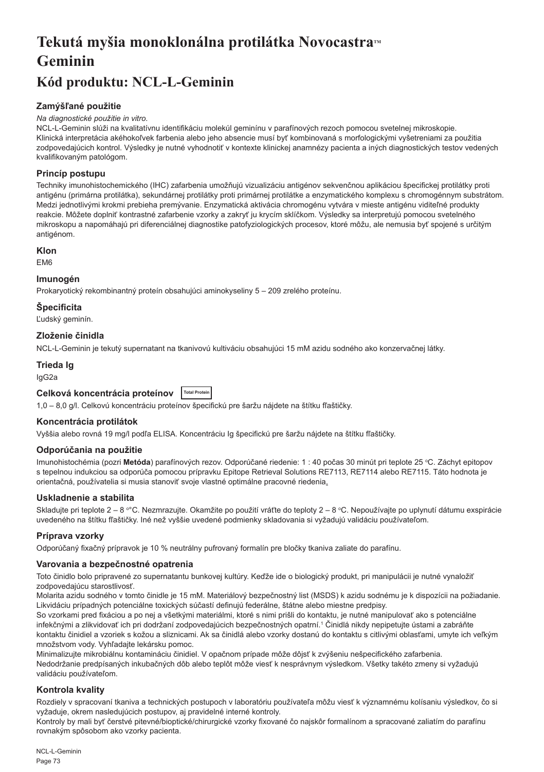# **Tekutá myšia monoklonálna protilátka NovocastraTM Geminin**

# **Kód produktu: NCL-L-Geminin**

# **Zamýšľané použitie**

#### *Na diagnostické použitie in vitro.*

NCL-L-Geminin slúži na kvalitatívnu identifikáciu molekúl geminínu v parafínových rezoch pomocou svetelnej mikroskopie. Klinická interpretácia akéhokoľvek farbenia alebo jeho absencie musí byť kombinovaná s morfologickými vyšetreniami za použitia zodpovedajúcich kontrol. Výsledky je nutné vyhodnotiť v kontexte klinickej anamnézy pacienta a iných diagnostických testov vedených kvalifikovaným patológom.

#### **Princíp postupu**

Techniky imunohistochemického (IHC) zafarbenia umožňujú vizualizáciu antigénov sekvenčnou aplikáciou špecifickej protilátky proti antigénu (primárna protilátka), sekundárnej protilátky proti primárnej protilátke a enzymatického komplexu s chromogénnym substrátom. Medzi jednotlivými krokmi prebieha premývanie. Enzymatická aktivácia chromogénu vytvára v mieste antigénu viditeľné produkty reakcie. Môžete doplniť kontrastné zafarbenie vzorky a zakryť ju krycím sklíčkom. Výsledky sa interpretujú pomocou svetelného mikroskopu a napomáhajú pri diferenciálnej diagnostike patofyziologických procesov, ktoré môžu, ale nemusia byť spojené s určitým antigénom.

#### **Klon**

EM6

#### **Imunogén**

Prokaryotický rekombinantný proteín obsahujúci aminokyseliny 5 – 209 zrelého proteínu.

## **Špecificita**

Ľudský geminín.

#### **Zloženie činidla**

NCL-L-Geminin je tekutý supernatant na tkanivovú kultiváciu obsahujúci 15 mM azidu sodného ako konzervačnej látky.

#### **Trieda Ig**

IgG2a

#### **Celková koncentrácia proteínov Total Protei**

1,0 – 8,0 g/l. Celkovú koncentráciu proteínov špecifickú pre šaržu nájdete na štítku fľaštičky.

#### **Koncentrácia protilátok**

Vyššia alebo rovná 19 mg/l podľa ELISA. Koncentráciu Ig špecifickú pre šaržu nájdete na štítku fľaštičky.

#### **Odporúčania na použitie**

lmunohistochémia (pozri **Metóda**) parafínových rezov. Odporúčané riedenie: 1 : 40 počas 30 minút pri teplote 25 °C. Záchyt epitopov s tepelnou indukciou sa odporúča pomocou prípravku Epitope Retrieval Solutions RE7113, RE7114 alebo RE7115. Táto hodnota je orientačná, používatelia si musia stanoviť svoje vlastné optimálne pracovné riedenia.

#### **Uskladnenie a stabilita**

Skladujte pri teplote 2 – 8 °°C. Nezmrazujte. Okamžite po použití vráťte do teploty 2 – 8 °C. Nepoužívajte po uplynutí dátumu exspirácie uvedeného na štítku fľaštičky. Iné než vyššie uvedené podmienky skladovania si vyžadujú validáciu používateľom.

#### **Príprava vzorky**

Odporúčaný fixačný prípravok je 10 % neutrálny pufrovaný formalín pre bločky tkaniva zaliate do parafínu.

#### **Varovania a bezpečnostné opatrenia**

Toto činidlo bolo pripravené zo supernatantu bunkovej kultúry. Keďže ide o biologický produkt, pri manipulácii je nutné vynaložiť zodpovedajúcu starostlivosť.

Molarita azidu sodného v tomto činidle je 15 mM. Materiálový bezpečnostný list (MSDS) k azidu sodnému je k dispozícii na požiadanie. Likvidáciu prípadných potenciálne toxických súčastí definujú federálne, štátne alebo miestne predpisy.

So vzorkami pred fixáciou a po nej a všetkými materiálmi, ktoré s nimi prišli do kontaktu, je nutné manipulovať ako s potenciálne infekčnými a zlikvidovať ich pri dodržaní zodpovedajúcich bezpečnostných opatrní.<sup>1</sup> Činidlá nikdy nepipetujte ústami a zabráňte kontaktu činidiel a vzoriek s kožou a sliznicami. Ak sa činidlá alebo vzorky dostanú do kontaktu s citlivými oblasťami, umyte ich veľkým množstvom vody. Vyhľadajte lekársku pomoc.

Minimalizujte mikrobiálnu kontamináciu činidiel. V opačnom prípade môže dôjsť k zvýšeniu nešpecifického zafarbenia. Nedodržanie predpísaných inkubačných dôb alebo teplôt môže viesť k nesprávnym výsledkom. Všetky takéto zmeny si vyžadujú validáciu používateľom.

#### **Kontrola kvality**

Rozdiely v spracovaní tkaniva a technických postupoch v laboratóriu používateľa môžu viesť k významnému kolísaniu výsledkov, čo si vyžaduje, okrem nasledujúcich postupov, aj pravidelné interné kontroly.

Kontroly by mali byť čerstvé pitevné/bioptické/chirurgické vzorky fixované čo najskôr formalínom a spracované zaliatím do parafínu rovnakým spôsobom ako vzorky pacienta.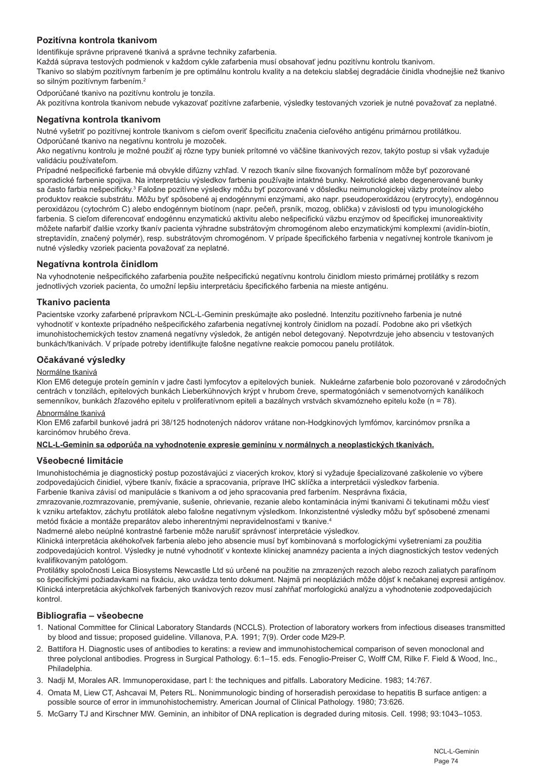#### **Pozitívna kontrola tkanivom**

Identifikuje správne pripravené tkanivá a správne techniky zafarbenia.

Každá súprava testových podmienok v každom cykle zafarbenia musí obsahovať jednu pozitívnu kontrolu tkanivom.

Tkanivo so slabým pozitívnym farbením je pre optimálnu kontrolu kvality a na detekciu slabšej degradácie činidla vhodnejšie než tkanivo so silným pozitívnym farbením.<sup>2</sup>

Odporúčané tkanivo na pozitívnu kontrolu je tonzila.

Ak pozitívna kontrola tkanivom nebude vykazovať pozitívne zafarbenie, výsledky testovaných vzoriek je nutné považovať za neplatné.

#### **Negatívna kontrola tkanivom**

Nutné vyšetriť po pozitívnej kontrole tkanivom s cieľom overiť špecificitu značenia cieľového antigénu primárnou protilátkou. Odporúčané tkanivo na negatívnu kontrolu je mozoček.

Ako negatívnu kontrolu je možné použiť aj rôzne typy buniek prítomné vo väčšine tkanivových rezov, takýto postup si však vyžaduje validáciu používateľom.

Prípadné nešpecifické farbenie má obvykle difúzny vzhľad. V rezoch tkanív silne fixovaných formalínom môže byť pozorované sporadické farbenie spojiva. Na interpretáciu výsledkov farbenia používajte intaktné bunky. Nekrotické alebo degenerované bunky sa často farbia nešpecificky.<sup>3</sup> Falošne pozitívne výsledky môžu byť pozorované v dôsledku neimunologickej väzby proteínov alebo produktov reakcie substrátu. Môžu byť spôsobené aj endogénnymi enzýmami, ako napr. pseudoperoxidázou (erytrocyty), endogénnou peroxidázou (cytochróm C) alebo endogénnym biotínom (napr. pečeň, prsník, mozog, oblička) v závislosti od typu imunologického farbenia. S cieľom diferencovať endogénnu enzymatickú aktivitu alebo nešpecifickú väzbu enzýmov od špecifickej imunoreaktivity môžete nafarbiť ďalšie vzorky tkanív pacienta výhradne substrátovým chromogénom alebo enzymatickými komplexmi (avidín-biotín, streptavidín, značený polymér), resp. substrátovým chromogénom. V prípade špecifického farbenia v negatívnej kontrole tkanivom je nutné výsledky vzoriek pacienta považovať za neplatné.

#### **Negatívna kontrola činidlom**

Na vyhodnotenie nešpecifického zafarbenia použite nešpecifickú negatívnu kontrolu činidlom miesto primárnej protilátky s rezom jednotlivých vzoriek pacienta, čo umožní lepšiu interpretáciu špecifického farbenia na mieste antigénu.

#### **Tkanivo pacienta**

Pacientske vzorky zafarbené prípravkom NCL-L-Geminin preskúmajte ako posledné. Intenzitu pozitívneho farbenia je nutné vyhodnotiť v kontexte prípadného nešpecifického zafarbenia negatívnej kontroly činidlom na pozadí. Podobne ako pri všetkých imunohistochemických testov znamená negatívny výsledok, že antigén nebol detegovaný. Nepotvrdzuje jeho absenciu v testovaných bunkách/tkanivách. V prípade potreby identifikujte falošne negatívne reakcie pomocou panelu protilátok.

#### **Očakávané výsledky**

#### Normálne tkanivá

Klon EM6 deteguje proteín geminín v jadre časti lymfocytov a epitelových buniek. Nukleárne zafarbenie bolo pozorované v zárodočných centrách v tonzilách, epitelových bunkách Lieberkühnových krýpt v hrubom čreve, spermatogóniách v semenotvorných kanálikoch semenníkov, bunkách žľazového epitelu v proliferatívnom epiteli a bazálnych vrstvách skvamózneho epitelu kože (n = 78).

#### Abnormálne tkanivá

Klon EM6 zafarbil bunkové jadrá pri 38/125 hodnotených nádorov vrátane non-Hodgkinových lymfómov, karcinómov prsníka a karcinómov hrubého čreva.

#### **NCL-L-Geminin sa odporúča na vyhodnotenie expresie geminínu v normálnych a neoplastických tkanivách.**

#### **Všeobecné limitácie**

Imunohistochémia je diagnostický postup pozostávajúci z viacerých krokov, ktorý si vyžaduje špecializované zaškolenie vo výbere zodpovedajúcich činidiel, výbere tkanív, fixácie a spracovania, príprave IHC sklíčka a interpretácii výsledkov farbenia. Farbenie tkaniva závisí od manipulácie s tkanivom a od jeho spracovania pred farbením. Nesprávna fixácia,

zmrazovanie,rozmrazovanie, premývanie, sušenie, ohrievanie, rezanie alebo kontaminácia inými tkanivami či tekutinami môžu viesť k vzniku artefaktov, záchytu protilátok alebo falošne negatívnym výsledkom. Inkonzistentné výsledky môžu byť spôsobené zmenami metód fixácie a montáže preparátov alebo inherentnými nepravidelnosťami v tkanive.4

Nadmerné alebo neúplné kontrastné farbenie môže narušiť správnosť interpretácie výsledkov.

Klinická interpretácia akéhokoľvek farbenia alebo jeho absencie musí byť kombinovaná s morfologickými vyšetreniami za použitia zodpovedajúcich kontrol. Výsledky je nutné vyhodnotiť v kontexte klinickej anamnézy pacienta a iných diagnostických testov vedených kvalifikovaným patológom.

Protilátky spoločnosti Leica Biosystems Newcastle Ltd sú určené na použitie na zmrazených rezoch alebo rezoch zaliatych parafínom so špecifickými požiadavkami na fixáciu, ako uvádza tento dokument. Najmä pri neopláziách môže dôjsť k nečakanej expresii antigénov. Klinická interpretácia akýchkoľvek farbených tkanivových rezov musí zahŕňať morfologickú analýzu a vyhodnotenie zodpovedajúcich kontrol.

#### **Bibliografia – všeobecne**

- 1. National Committee for Clinical Laboratory Standards (NCCLS). Protection of laboratory workers from infectious diseases transmitted by blood and tissue; proposed guideline. Villanova, P.A. 1991; 7(9). Order code M29-P.
- 2. Battifora H. Diagnostic uses of antibodies to keratins: a review and immunohistochemical comparison of seven monoclonal and three polyclonal antibodies. Progress in Surgical Pathology. 6:1–15. eds. Fenoglio-Preiser C, Wolff CM, Rilke F. Field & Wood, Inc., Philadelphia.
- 3. Nadji M, Morales AR. Immunoperoxidase, part I: the techniques and pitfalls. Laboratory Medicine. 1983; 14:767.
- 4. Omata M, Liew CT, Ashcavai M, Peters RL. Nonimmunologic binding of horseradish peroxidase to hepatitis B surface antigen: a possible source of error in immunohistochemistry. American Journal of Clinical Pathology. 1980; 73:626.
- 5. McGarry TJ and Kirschner MW. Geminin, an inhibitor of DNA replication is degraded during mitosis. Cell. 1998; 93:1043–1053.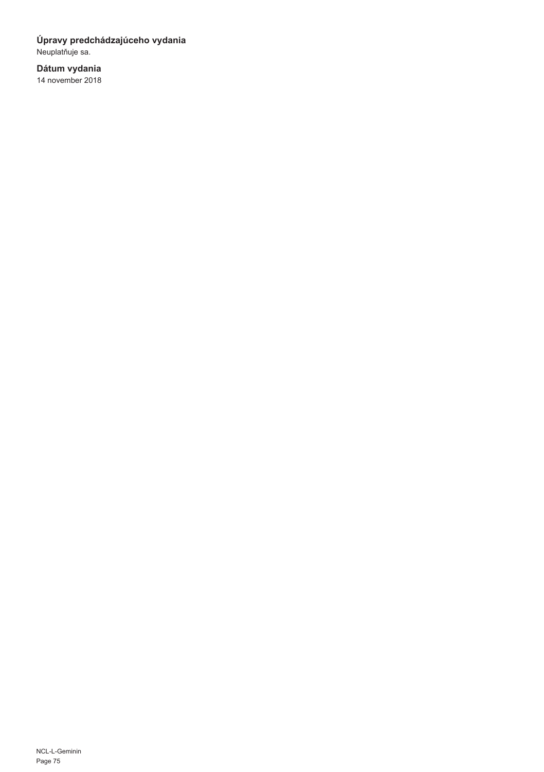# **Úpravy predchádzajúceho vydania**

Neuplatňuje sa.

# **Dátum vydania**

14 november 2018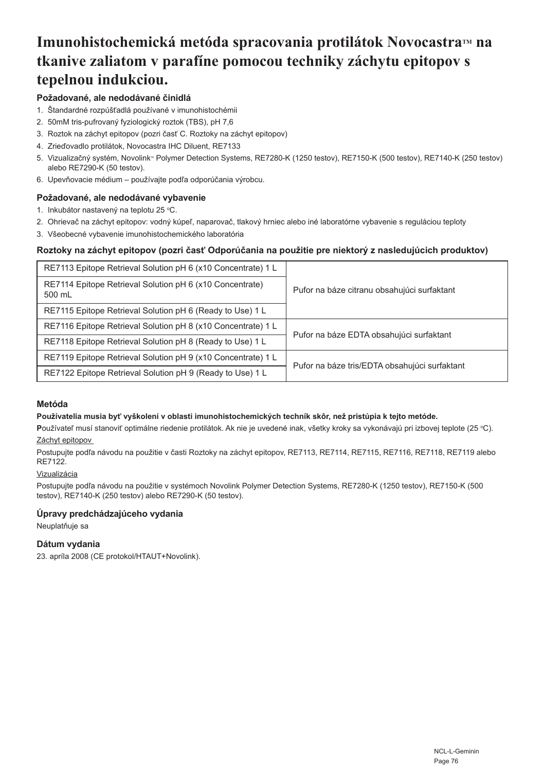# **Imunohistochemická metóda spracovania protilátok Novocastra™ na tkanive zaliatom v parafíne pomocou techniky záchytu epitopov s tepelnou indukciou.**

# **Požadované, ale nedodávané činidlá**

- 1. Štandardné rozpúšťadlá používané v imunohistochémii
- 2. 50mM tris-pufrovaný fyziologický roztok (TBS), pH 7,6
- 3. Roztok na záchyt epitopov (pozri časť C. Roztoky na záchyt epitopov)
- 4. Zrieďovadlo protilátok, Novocastra IHC Diluent, RE7133
- 5. Vizualizačný systém, Novolink™ Polymer Detection Systems, RE7280-K (1250 testov), RE7150-K (500 testov), RE7140-K (250 testov) alebo RE7290-K (50 testov).
- 6. Upevňovacie médium používajte podľa odporúčania výrobcu.

## **Požadované, ale nedodávané vybavenie**

- 1. Inkubátor nastavený na teplotu 25 °C.
- 2. Ohrievač na záchyt epitopov: vodný kúpeľ, naparovač, tlakový hrniec alebo iné laboratórne vybavenie s reguláciou teploty
- 3. Všeobecné vybavenie imunohistochemického laboratória

#### **Roztoky na záchyt epitopov (pozri časť Odporúčania na použitie pre niektorý z nasledujúcich produktov)**

| RE7113 Epitope Retrieval Solution pH 6 (x10 Concentrate) 1 L       | Pufor na báze citranu obsahujúci surfaktant   |
|--------------------------------------------------------------------|-----------------------------------------------|
| RE7114 Epitope Retrieval Solution pH 6 (x10 Concentrate)<br>500 mL |                                               |
| RE7115 Epitope Retrieval Solution pH 6 (Ready to Use) 1 L          |                                               |
| RE7116 Epitope Retrieval Solution pH 8 (x10 Concentrate) 1 L       | Pufor na báze EDTA obsahujúci surfaktant      |
| RE7118 Epitope Retrieval Solution pH 8 (Ready to Use) 1 L          |                                               |
| RE7119 Epitope Retrieval Solution pH 9 (x10 Concentrate) 1 L       | Pufor na báze tris/EDTA obsahujúci surfaktant |
| RE7122 Epitope Retrieval Solution pH 9 (Ready to Use) 1 L          |                                               |

#### **Metóda**

#### **Používatelia musia byť vyškolení v oblasti imunohistochemických techník skôr, než pristúpia k tejto metóde.**

**P**oužívateľ musí stanoviť optimálne riedenie protilátok. Ak nie je uvedené inak, všetky kroky sa vykonávajú pri izbovej teplote (25 °C). Záchyt epitopov

Postupujte podľa návodu na použitie v časti Roztoky na záchyt epitopov, RE7113, RE7114, RE7115, RE7116, RE7118, RE7119 alebo RE7122.

## Vizualizácia

Postupujte podľa návodu na použitie v systémoch Novolink Polymer Detection Systems, RE7280-K (1250 testov), RE7150-K (500 testov), RE7140-K (250 testov) alebo RE7290-K (50 testov).

#### **Úpravy predchádzajúceho vydania**

Neuplatňuje sa

# **Dátum vydania**

23. apríla 2008 (CE protokol/HTAUT+Novolink).